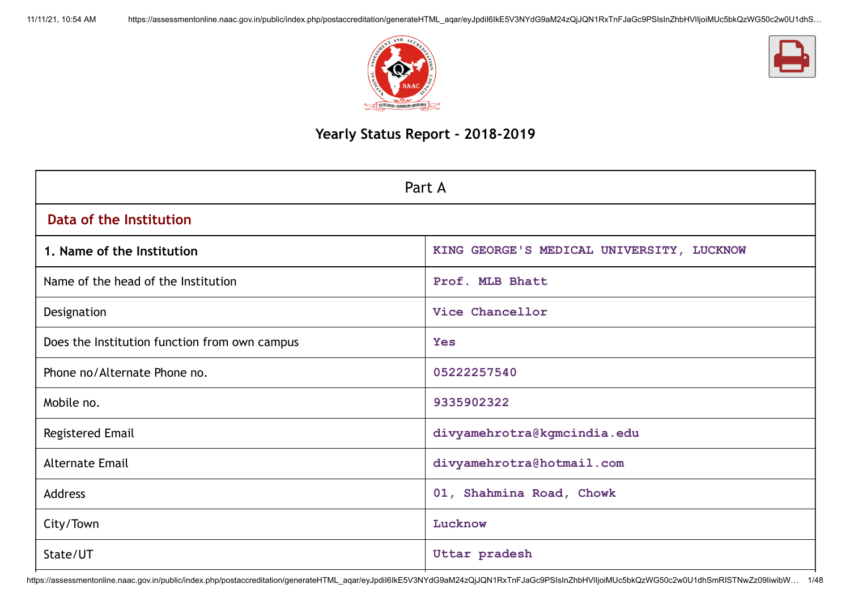



# **Yearly Status Report - 2018-2019**

| Part A                                        |                                           |  |  |  |
|-----------------------------------------------|-------------------------------------------|--|--|--|
| Data of the Institution                       |                                           |  |  |  |
| 1. Name of the Institution                    | KING GEORGE'S MEDICAL UNIVERSITY, LUCKNOW |  |  |  |
| Name of the head of the Institution           | Prof. MLB Bhatt                           |  |  |  |
| Designation                                   | Vice Chancellor                           |  |  |  |
| Does the Institution function from own campus | <b>Yes</b>                                |  |  |  |
| Phone no/Alternate Phone no.                  | 05222257540                               |  |  |  |
| Mobile no.                                    | 9335902322                                |  |  |  |
| Registered Email                              | divyamehrotra@kgmcindia.edu               |  |  |  |
| <b>Alternate Email</b>                        | divyamehrotra@hotmail.com                 |  |  |  |
| Address                                       | 01, Shahmina Road, Chowk                  |  |  |  |
| City/Town                                     | Lucknow                                   |  |  |  |
| State/UT                                      | Uttar pradesh                             |  |  |  |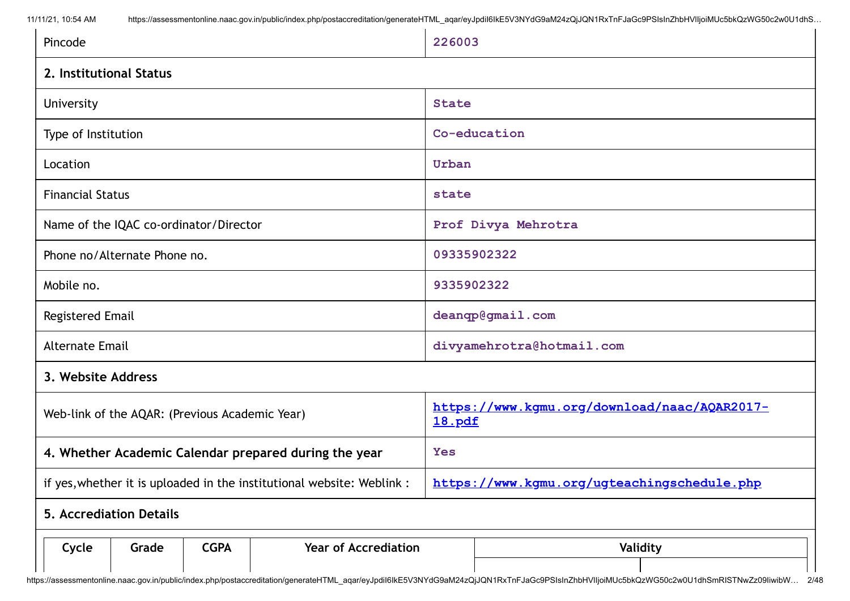| Pincode                 |                                |                                                |                                                                        | 226003                                      |                                              |  |
|-------------------------|--------------------------------|------------------------------------------------|------------------------------------------------------------------------|---------------------------------------------|----------------------------------------------|--|
| 2. Institutional Status |                                |                                                |                                                                        |                                             |                                              |  |
| University              |                                |                                                |                                                                        | <b>State</b>                                |                                              |  |
| Type of Institution     |                                |                                                |                                                                        | Co-education                                |                                              |  |
| Location                |                                |                                                |                                                                        | Urban                                       |                                              |  |
| <b>Financial Status</b> |                                |                                                |                                                                        | state                                       |                                              |  |
|                         |                                | Name of the IQAC co-ordinator/Director         |                                                                        |                                             | Prof Divya Mehrotra                          |  |
|                         | Phone no/Alternate Phone no.   |                                                |                                                                        | 09335902322                                 |                                              |  |
| Mobile no.              |                                | 9335902322                                     |                                                                        |                                             |                                              |  |
| Registered Email        |                                |                                                | deanqp@gmail.com                                                       |                                             |                                              |  |
| <b>Alternate Email</b>  |                                | divyamehrotra@hotmail.com                      |                                                                        |                                             |                                              |  |
| 3. Website Address      |                                |                                                |                                                                        |                                             |                                              |  |
|                         |                                | Web-link of the AQAR: (Previous Academic Year) |                                                                        | 18.pdf                                      | https://www.kgmu.org/download/naac/AQAR2017- |  |
|                         |                                |                                                | 4. Whether Academic Calendar prepared during the year                  | <b>Yes</b>                                  |                                              |  |
|                         |                                |                                                | if yes, whether it is uploaded in the institutional website: Weblink : | https://www.kqmu.org/ugteachingschedule.php |                                              |  |
|                         | <b>5. Accrediation Details</b> |                                                |                                                                        |                                             |                                              |  |
| Cycle                   | Grade                          | <b>CGPA</b>                                    | <b>Year of Accrediation</b>                                            |                                             | Validity                                     |  |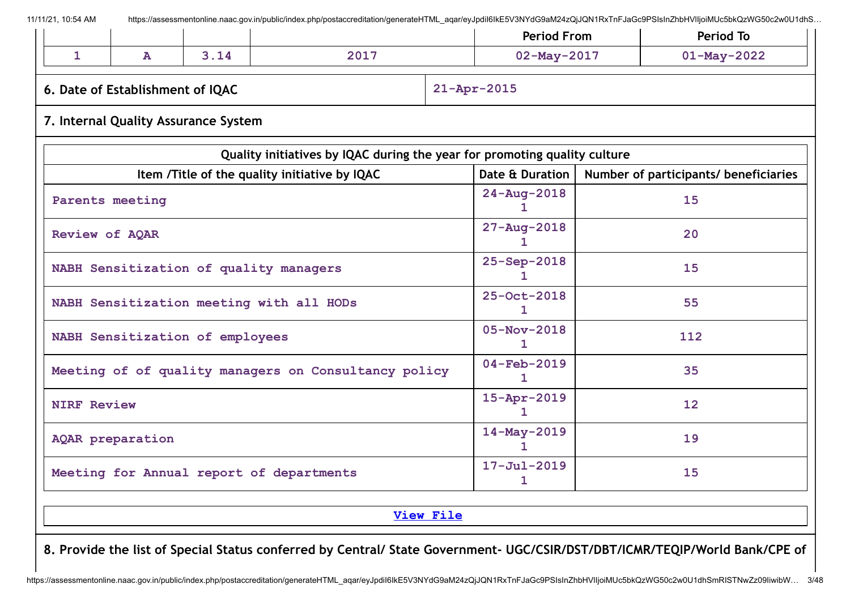|                    |                                  |                                      |                                                                           | <b>Period From</b>            | Period To                             |  |
|--------------------|----------------------------------|--------------------------------------|---------------------------------------------------------------------------|-------------------------------|---------------------------------------|--|
| $\mathbf{1}$       | ${\bf A}$                        | 3.14                                 | 2017                                                                      | $02 - May - 2017$             | $01 - May - 2022$                     |  |
|                    | 6. Date of Establishment of IQAC |                                      |                                                                           | $21 - Apr - 2015$             |                                       |  |
|                    |                                  | 7. Internal Quality Assurance System |                                                                           |                               |                                       |  |
|                    |                                  |                                      | Quality initiatives by IQAC during the year for promoting quality culture |                               |                                       |  |
|                    |                                  |                                      | Item /Title of the quality initiative by IQAC                             | Date & Duration               | Number of participants/ beneficiaries |  |
|                    | Parents meeting                  |                                      |                                                                           | $24 - Aug - 2018$<br>1.       | 15                                    |  |
| Review of AQAR     |                                  |                                      |                                                                           | $27 - Aug - 2018$             | 20                                    |  |
|                    |                                  |                                      | NABH Sensitization of quality managers                                    | 25-Sep-2018                   | 15                                    |  |
|                    |                                  |                                      | NABH Sensitization meeting with all HODs                                  | 25-Oct-2018<br>1.             | 55                                    |  |
|                    |                                  | NABH Sensitization of employees      |                                                                           | $05 - Nov - 2018$             | 112                                   |  |
|                    |                                  |                                      | Meeting of of quality managers on Consultancy policy                      | $04 - Feb - 2019$<br>1        | 35                                    |  |
| <b>NIRF Review</b> |                                  |                                      |                                                                           | $15 - Apr - 2019$<br>1.       | 12 <sup>2</sup>                       |  |
| AQAR preparation   |                                  |                                      |                                                                           | 14-May-2019<br>$\mathbf{1}$   | 19                                    |  |
|                    |                                  |                                      | Meeting for Annual report of departments                                  | $17 - \text{Jul} - 2019$<br>1 | 15                                    |  |
|                    |                                  |                                      |                                                                           |                               |                                       |  |

**[View](https://assessmentonline.naac.gov.in/public/Postacc/Quality_Initiatives/6569_Quality_Initiatives.xlsx) File**

8. Provide the list of Special Status conferred by Central/ State Government- UGC/CSIR/DST/DBT/ICMR/TEQIP/World Bank/CPE of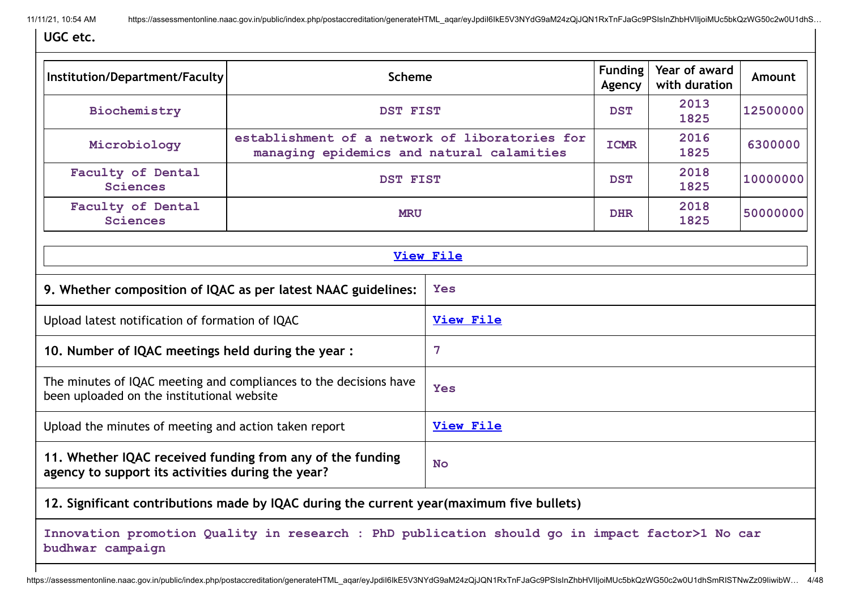**UGC etc.**

| Institution/Department/Faculty                                                                                  | <b>Scheme</b>                                                                                  |                  |             | Year of award<br>with duration | Amount   |  |  |
|-----------------------------------------------------------------------------------------------------------------|------------------------------------------------------------------------------------------------|------------------|-------------|--------------------------------|----------|--|--|
| Biochemistry                                                                                                    | <b>DST FIST</b>                                                                                |                  | <b>DST</b>  | 2013<br>1825                   | 12500000 |  |  |
| Microbiology                                                                                                    | establishment of a network of liboratories for<br>managing epidemics and natural calamities    |                  | <b>ICMR</b> | 2016<br>1825                   | 6300000  |  |  |
| Faculty of Dental<br><b>Sciences</b>                                                                            | <b>DST FIST</b>                                                                                |                  | <b>DST</b>  | 2018<br>1825                   | 10000000 |  |  |
| Faculty of Dental<br><b>Sciences</b>                                                                            | <b>MRU</b>                                                                                     |                  | <b>DHR</b>  | 2018<br>1825                   | 50000000 |  |  |
|                                                                                                                 |                                                                                                | <b>View File</b> |             |                                |          |  |  |
|                                                                                                                 | 9. Whether composition of IQAC as per latest NAAC guidelines:                                  |                  |             | Yes                            |          |  |  |
| Upload latest notification of formation of IQAC                                                                 |                                                                                                | <b>View File</b> |             |                                |          |  |  |
| 10. Number of IQAC meetings held during the year:                                                               |                                                                                                | $\overline{7}$   |             |                                |          |  |  |
| The minutes of IQAC meeting and compliances to the decisions have<br>been uploaded on the institutional website |                                                                                                | <b>Yes</b>       |             |                                |          |  |  |
| Upload the minutes of meeting and action taken report                                                           |                                                                                                | <b>View File</b> |             |                                |          |  |  |
| 11. Whether IQAC received funding from any of the funding<br>agency to support its activities during the year?  |                                                                                                | <b>No</b>        |             |                                |          |  |  |
|                                                                                                                 | 12. Significant contributions made by IQAC during the current year (maximum five bullets)      |                  |             |                                |          |  |  |
| budhwar campaign                                                                                                | Innovation promotion Quality in research : PhD publication should go in impact factor>1 No car |                  |             |                                |          |  |  |

https://assessmentonline.naac.gov.in/public/index.php/postaccreditation/generateHTML\_aqar/eyJpdiI6IkE5V3NYdG9aM24zQjJQN1RxTnFJaGc9PSIsInZhbHVlIjoiMUc5bkQzWG50c2w0U1dhSmRISTNwZz09IiwibW... 4/48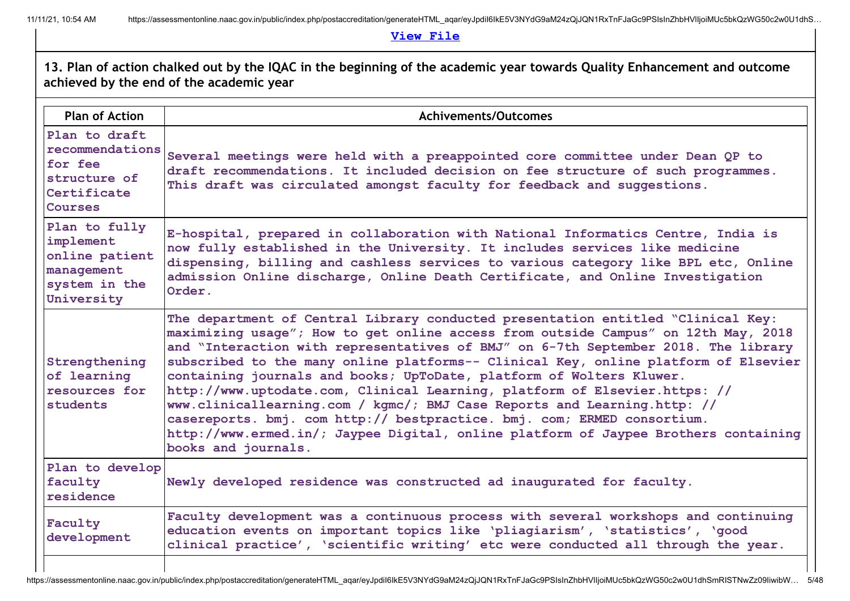**View [File](https://assessmentonline.naac.gov.in/public/Postacc/Contribution/6569_Contribution.xlsx)**

| <b>Plan of Action</b>                                                                        | <b>Achivements/Outcomes</b>                                                                                                                                                                                                                                                                                                                                                                                                                                                                                                                                                                                                                                                                                                                                                    |
|----------------------------------------------------------------------------------------------|--------------------------------------------------------------------------------------------------------------------------------------------------------------------------------------------------------------------------------------------------------------------------------------------------------------------------------------------------------------------------------------------------------------------------------------------------------------------------------------------------------------------------------------------------------------------------------------------------------------------------------------------------------------------------------------------------------------------------------------------------------------------------------|
| Plan to draft<br>recommendations<br>for fee<br>structure of<br>Certificate<br><b>Courses</b> | Several meetings were held with a preappointed core committee under Dean QP to<br>draft recommendations. It included decision on fee structure of such programmes.<br>This draft was circulated amongst faculty for feedback and suggestions.                                                                                                                                                                                                                                                                                                                                                                                                                                                                                                                                  |
| Plan to fully<br>implement<br>online patient<br>management<br>system in the<br>University    | E-hospital, prepared in collaboration with National Informatics Centre, India is<br>now fully established in the University. It includes services like medicine<br>dispensing, billing and cashless services to various category like BPL etc, Online<br>admission Online discharge, Online Death Certificate, and Online Investigation<br>Order.                                                                                                                                                                                                                                                                                                                                                                                                                              |
| Strengthening<br>of learning<br>resources for<br>students                                    | The department of Central Library conducted presentation entitled "Clinical Key:<br>maximizing usage"; How to get online access from outside Campus" on 12th May, 2018<br>and "Interaction with representatives of BMJ" on 6-7th September 2018. The library<br>subscribed to the many online platforms-- Clinical Key, online platform of Elsevier<br>containing journals and books; UpToDate, platform of Wolters Kluwer.<br>http://www.uptodate.com, Clinical Learning, platform of Elsevier.https: //<br>www.clinicallearning.com / kgmc/; BMJ Case Reports and Learning.http: //<br>casereports. bmj. com http:// bestpractice. bmj. com; ERMED consortium.<br>http://www.ermed.in/; Jaypee Digital, online platform of Jaypee Brothers containing<br>books and journals. |
| Plan to develop<br>faculty<br>residence                                                      | Newly developed residence was constructed ad inaugurated for faculty.                                                                                                                                                                                                                                                                                                                                                                                                                                                                                                                                                                                                                                                                                                          |
| Faculty<br>development                                                                       | Faculty development was a continuous process with several workshops and continuing<br>education events on important topics like 'pliagiarism', 'statistics', 'good<br>clinical practice', 'scientific writing' etc were conducted all through the year.                                                                                                                                                                                                                                                                                                                                                                                                                                                                                                                        |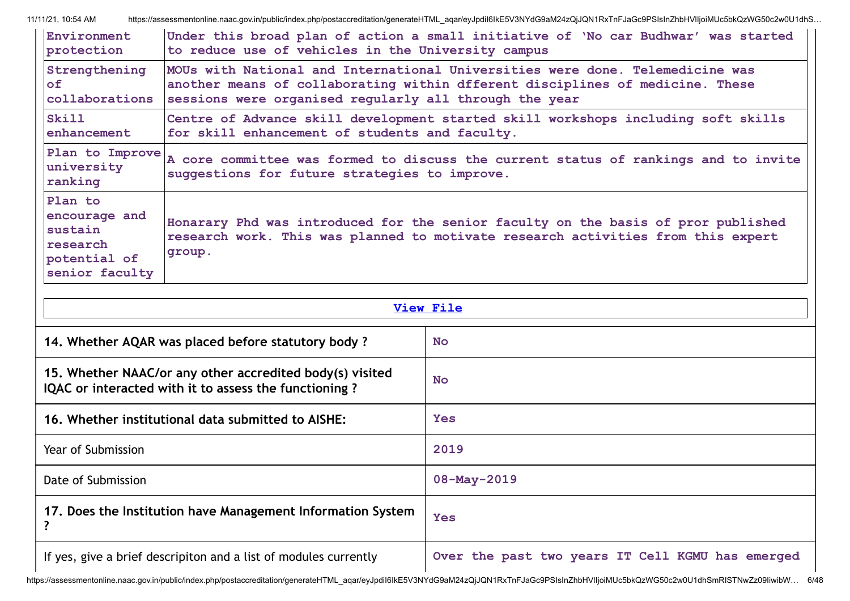| Environment                                                                       | Under this broad plan of action a small initiative of 'No car Budhwar' was started                                                                                              |
|-----------------------------------------------------------------------------------|---------------------------------------------------------------------------------------------------------------------------------------------------------------------------------|
| protection                                                                        | to reduce use of vehicles in the University campus                                                                                                                              |
| Strengthening                                                                     | MOUs with National and International Universities were done. Telemedicine was                                                                                                   |
| of                                                                                | another means of collaborating within dfferent disciplines of medicine. These                                                                                                   |
| collaborations                                                                    | sessions were organised regularly all through the year                                                                                                                          |
| Skill                                                                             | Centre of Advance skill development started skill workshops including soft skills                                                                                               |
| enhancement                                                                       | for skill enhancement of students and faculty.                                                                                                                                  |
| Plan to Improve<br>university<br>ranking                                          | A core committee was formed to discuss the current status of rankings and to invite<br>suggestions for future strategies to improve.                                            |
| Plan to<br>encourage and<br>sustain<br>research<br>potential of<br>senior faculty | Honarary Phd was introduced for the senior faculty on the basis of pror published<br>research work. This was planned to motivate research activities from this expert<br>group. |

| <b>View File</b>                                                                                                  |                                                  |  |
|-------------------------------------------------------------------------------------------------------------------|--------------------------------------------------|--|
| 14. Whether AQAR was placed before statutory body?                                                                | <b>No</b>                                        |  |
| 15. Whether NAAC/or any other accredited body(s) visited<br>IQAC or interacted with it to assess the functioning? | <b>No</b>                                        |  |
| 16. Whether institutional data submitted to AISHE:                                                                | <b>Yes</b>                                       |  |
| Year of Submission                                                                                                | 2019                                             |  |
| Date of Submission                                                                                                | $08 - May - 2019$                                |  |
| 17. Does the Institution have Management Information System                                                       | <b>Yes</b>                                       |  |
| If yes, give a brief descripiton and a list of modules currently                                                  | Over the past two years IT Cell KGMU has emerged |  |

https://assessmentonline.naac.gov.in/public/index.php/postaccreditation/generateHTML\_aqar/eyJpdiI6IkE5V3NYdG9aM24zQjJQN1RxTnFJaGc9PSIsInZhbHVIIjoiMUc5bkQzWG50c2w0U1dhSmRISTNwZz09IiwibW... 6/48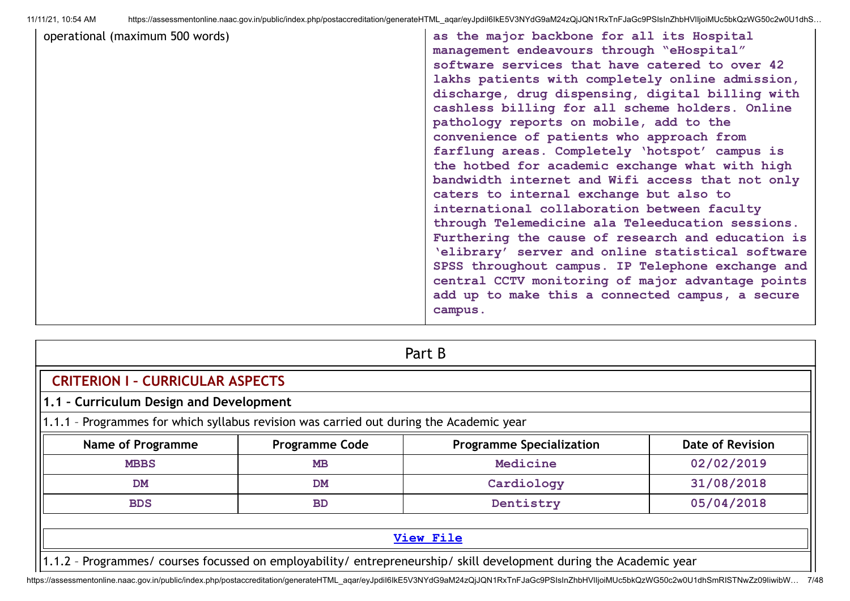| https://assessmentonline.naac.gov.in/public/index.php/postaccreditation/generateHTML aqar/eyJpdil6lkE5V3NYdG9aM24zQjJQN1RxTnFJaGc9PSIsInZhbHVIIjoiMUc5bkQzWG50c2w0U1dhS<br>11/11/21, 10:54 AM |                                                                                                                                                                                                                                                                                                                                                                                                                                                                                                                                                                                                                                                                                                                                                                                                                                                                                                                                                                                        |  |  |  |
|-----------------------------------------------------------------------------------------------------------------------------------------------------------------------------------------------|----------------------------------------------------------------------------------------------------------------------------------------------------------------------------------------------------------------------------------------------------------------------------------------------------------------------------------------------------------------------------------------------------------------------------------------------------------------------------------------------------------------------------------------------------------------------------------------------------------------------------------------------------------------------------------------------------------------------------------------------------------------------------------------------------------------------------------------------------------------------------------------------------------------------------------------------------------------------------------------|--|--|--|
| operational (maximum 500 words)                                                                                                                                                               | as the major backbone for all its Hospital<br>management endeavours through "eHospital"<br>software services that have catered to over 42<br>lakhs patients with completely online admission,<br>discharge, drug dispensing, digital billing with<br>cashless billing for all scheme holders. Online<br>pathology reports on mobile, add to the<br>convenience of patients who approach from<br>farflung areas. Completely 'hotspot' campus is<br>the hotbed for academic exchange what with high<br>bandwidth internet and Wifi access that not only<br>caters to internal exchange but also to<br>international collaboration between faculty<br>through Telemedicine ala Teleeducation sessions.<br>Furthering the cause of research and education is<br>'elibrary' server and online statistical software<br>SPSS throughout campus. IP Telephone exchange and<br>central CCTV monitoring of major advantage points<br>add up to make this a connected campus, a secure<br>campus. |  |  |  |
|                                                                                                                                                                                               |                                                                                                                                                                                                                                                                                                                                                                                                                                                                                                                                                                                                                                                                                                                                                                                                                                                                                                                                                                                        |  |  |  |

| Part B                                                                                  |                                       |                                                                                                                     |                  |  |  |  |
|-----------------------------------------------------------------------------------------|---------------------------------------|---------------------------------------------------------------------------------------------------------------------|------------------|--|--|--|
| <b>CRITERION I - CURRICULAR ASPECTS</b>                                                 |                                       |                                                                                                                     |                  |  |  |  |
| 1.1 - Curriculum Design and Development                                                 |                                       |                                                                                                                     |                  |  |  |  |
| 1.1.1 - Programmes for which syllabus revision was carried out during the Academic year |                                       |                                                                                                                     |                  |  |  |  |
| <b>Name of Programme</b>                                                                | <b>Programme Code</b>                 | <b>Programme Specialization</b>                                                                                     | Date of Revision |  |  |  |
| <b>MBBS</b>                                                                             | <b>MB</b>                             | Medicine                                                                                                            | 02/02/2019       |  |  |  |
| <b>DM</b>                                                                               | 31/08/2018<br>Cardiology<br><b>DM</b> |                                                                                                                     |                  |  |  |  |
| <b>BDS</b>                                                                              | 05/04/2018<br>Dentistry<br><b>BD</b>  |                                                                                                                     |                  |  |  |  |
|                                                                                         |                                       |                                                                                                                     |                  |  |  |  |
|                                                                                         |                                       | <b>View File</b>                                                                                                    |                  |  |  |  |
|                                                                                         |                                       | 1.1.2 - Programmes/ courses focussed on employability/ entrepreneurship/ skill development during the Academic year |                  |  |  |  |

https://assessmentonline.naac.gov.in/public/index.php/postaccreditation/generateHTML\_aqar/eyJpdiI6IkE5V3NYdG9aM24zQjJQN1RxTnFJaGc9PSIsInZhbHVIIjoiMUc5bkQzWG50c2w0U1dhSmRISTNwZz09IiwibW... 7/48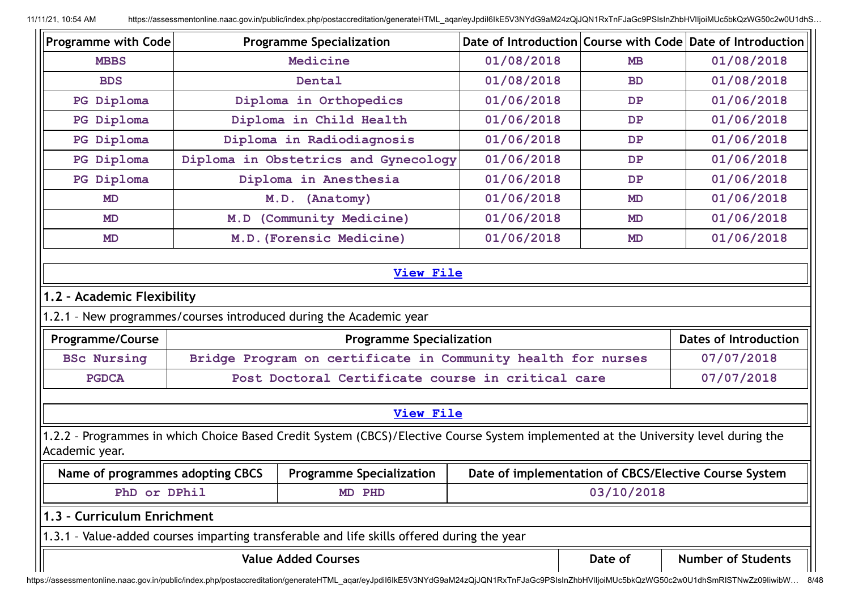| <b>Programme with Code</b>                    | <b>Programme Specialization</b>                                                                                                     |                                                       |            | Date of Introduction Course with Code Date of Introduction |  |
|-----------------------------------------------|-------------------------------------------------------------------------------------------------------------------------------------|-------------------------------------------------------|------------|------------------------------------------------------------|--|
| <b>MBBS</b>                                   | Medicine                                                                                                                            | 01/08/2018                                            | <b>MB</b>  | 01/08/2018                                                 |  |
| <b>BDS</b>                                    | Dental                                                                                                                              | 01/08/2018                                            | <b>BD</b>  | 01/08/2018                                                 |  |
| PG Diploma                                    | Diploma in Orthopedics                                                                                                              | 01/06/2018                                            | DP         | 01/06/2018                                                 |  |
| PG Diploma                                    | Diploma in Child Health                                                                                                             | 01/06/2018                                            | DP         | 01/06/2018                                                 |  |
| PG Diploma                                    | Diploma in Radiodiagnosis                                                                                                           | 01/06/2018                                            | DP         | 01/06/2018                                                 |  |
| PG Diploma                                    | Diploma in Obstetrics and Gynecology                                                                                                | 01/06/2018                                            | DP         | 01/06/2018                                                 |  |
| PG Diploma                                    | Diploma in Anesthesia                                                                                                               | 01/06/2018                                            | DP         | 01/06/2018                                                 |  |
| <b>MD</b>                                     | M.D. (Anatomy)                                                                                                                      | 01/06/2018                                            | <b>MD</b>  | 01/06/2018                                                 |  |
| MD                                            | M.D (Community Medicine)                                                                                                            | 01/06/2018                                            | <b>MD</b>  | 01/06/2018                                                 |  |
| <b>MD</b>                                     | M.D. (Forensic Medicine)                                                                                                            | 01/06/2018                                            | <b>MD</b>  | 01/06/2018                                                 |  |
| 1.2 - Academic Flexibility                    | 1.2.1 - New programmes/courses introduced during the Academic year                                                                  |                                                       |            |                                                            |  |
| <b>Programme/Course</b>                       | <b>Programme Specialization</b>                                                                                                     |                                                       |            | <b>Dates of Introduction</b>                               |  |
| <b>BSc Nursing</b>                            | Bridge Program on certificate in Community health for nurses<br>07/07/2018                                                          |                                                       |            |                                                            |  |
|                                               |                                                                                                                                     |                                                       |            |                                                            |  |
| <b>PGDCA</b>                                  | Post Doctoral Certificate course in critical care                                                                                   |                                                       |            | 07/07/2018                                                 |  |
|                                               | <b>View File</b>                                                                                                                    |                                                       |            |                                                            |  |
|                                               | 1.2.2 - Programmes in which Choice Based Credit System (CBCS)/Elective Course System implemented at the University level during the |                                                       |            |                                                            |  |
| Name of programmes adopting CBCS              | <b>Programme Specialization</b>                                                                                                     | Date of implementation of CBCS/Elective Course System |            |                                                            |  |
| PhD or DPhil                                  | MD PHD                                                                                                                              |                                                       | 03/10/2018 |                                                            |  |
|                                               |                                                                                                                                     |                                                       |            |                                                            |  |
| Academic year.<br>1.3 - Curriculum Enrichment | 1.3.1 - Value-added courses imparting transferable and life skills offered during the year                                          |                                                       |            |                                                            |  |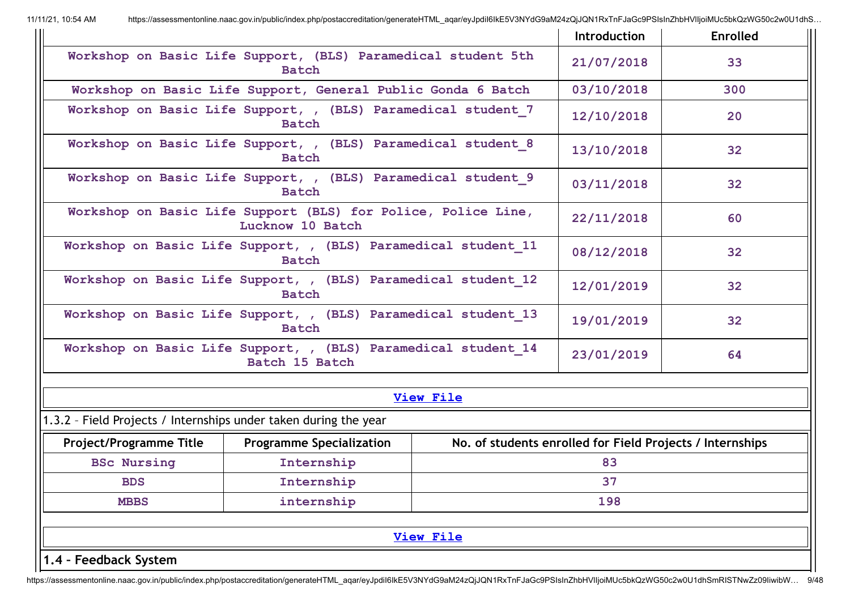|                                                                                |                                                                                   |                  | Introduction                                              | <b>Enrolled</b> |
|--------------------------------------------------------------------------------|-----------------------------------------------------------------------------------|------------------|-----------------------------------------------------------|-----------------|
|                                                                                | Workshop on Basic Life Support, (BLS) Paramedical student 5th<br><b>Batch</b>     |                  | 21/07/2018                                                | 33              |
|                                                                                | Workshop on Basic Life Support, General Public Gonda 6 Batch                      |                  | 03/10/2018                                                | 300             |
|                                                                                | Workshop on Basic Life Support, , (BLS) Paramedical student 7<br><b>Batch</b>     |                  | 12/10/2018                                                | 20              |
|                                                                                | Workshop on Basic Life Support, , (BLS) Paramedical student 8<br><b>Batch</b>     |                  | 13/10/2018                                                | 32              |
|                                                                                | Workshop on Basic Life Support, , (BLS) Paramedical student 9<br><b>Batch</b>     |                  | 03/11/2018                                                | 32              |
|                                                                                | Workshop on Basic Life Support (BLS) for Police, Police Line,<br>Lucknow 10 Batch |                  | 22/11/2018                                                | 60              |
|                                                                                | Workshop on Basic Life Support, , (BLS) Paramedical student 11<br><b>Batch</b>    |                  | 08/12/2018                                                | 32              |
| Workshop on Basic Life Support, , (BLS) Paramedical student 12<br>Batch        |                                                                                   |                  | 12/01/2019                                                | 32              |
| Workshop on Basic Life Support, , (BLS) Paramedical student 13<br><b>Batch</b> |                                                                                   |                  | 19/01/2019                                                | 32              |
|                                                                                | Workshop on Basic Life Support, , (BLS) Paramedical student 14<br>Batch 15 Batch  |                  | 23/01/2019                                                | 64              |
|                                                                                |                                                                                   | <b>View File</b> |                                                           |                 |
| 1.3.2 - Field Projects / Internships under taken during the year               |                                                                                   |                  |                                                           |                 |
| <b>Project/Programme Title</b>                                                 | <b>Programme Specialization</b>                                                   |                  | No. of students enrolled for Field Projects / Internships |                 |
| <b>BSc Nursing</b><br>Internship                                               |                                                                                   |                  | 83                                                        |                 |
| <b>BDS</b>                                                                     | Internship                                                                        |                  |                                                           |                 |
| <b>MBBS</b>                                                                    | internship                                                                        |                  | 198                                                       |                 |
|                                                                                |                                                                                   | <b>View File</b> |                                                           |                 |
| 1.4 - Feedback System                                                          |                                                                                   |                  |                                                           |                 |

https://assessmentonline.naac.gov.in/public/index.php/postaccreditation/generateHTML\_aqar/eyJpdiI6IkE5V3NYdG9aM24zQjJQN1RxTnFJaGc9PSIsInZhbHVIIjoiMUc5bkQzWG50c2w0U1dhSmRISTNwZz09IiwibW... 9/48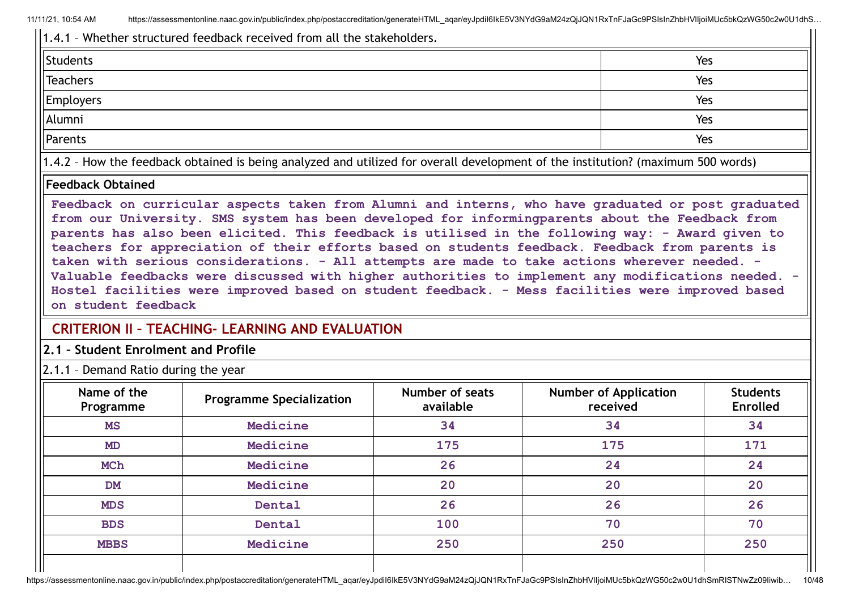1.4.1 – Whether structured feedback received from all the stakeholders. Students and the students of the students of the students of the students of the students of the students of the students of the students of the students of the students of the students of the students of the students of t Teachers Yes Employers Yes Alumni Yes Parents and the set of the set of the set of the set of the set of the set of the set of the set of the Set of the Set of the Set of the Set of the Set of the Set of the Set of the Set of the Set of the Set of the Set of t 1.4.2 – How the feedback obtained is being analyzed and utilized for overall development of the institution? (maximum 500 words)

#### **Feedback Obtained**

**Feedback on curricular aspects taken from Alumni and interns, who have graduated or post graduated from our University. SMS system has been developed for informingparents about the Feedback from parents has also been elicited. This feedback is utilised in the following way: - Award given to teachers for appreciation of their efforts based on students feedback. Feedback from parents is taken with serious considerations. - All attempts are made to take actions wherever needed. - Valuable feedbacks were discussed with higher authorities to implement any modifications needed. - Hostel facilities were improved based on student feedback. - Mess facilities were improved based on student feedback**

# **CRITERION II – TEACHING- LEARNING AND EVALUATION**

**2.1 – Student Enrolment and Profile**

2.1.1 – Demand Ratio during the year

| Name of the<br>Programme | <b>Programme Specialization</b> | Number of seats<br>available | <b>Number of Application</b><br>received | <b>Students</b><br><b>Enrolled</b> |
|--------------------------|---------------------------------|------------------------------|------------------------------------------|------------------------------------|
| <b>MS</b>                | Medicine                        | 34                           | 34                                       | 34                                 |
| MD                       | Medicine                        | 175                          | 175                                      | 171                                |
| MCh                      | Medicine                        | 26                           | 24                                       | 24                                 |
| <b>DM</b>                | Medicine                        | 20                           | 20                                       | 20                                 |
| <b>MDS</b>               | Dental                          | 26                           | 26                                       | 26                                 |
| <b>BDS</b>               | Dental                          | 100                          | 70                                       | 70                                 |
| <b>MBBS</b>              | Medicine                        | 250                          | 250                                      | 250                                |
|                          |                                 |                              |                                          |                                    |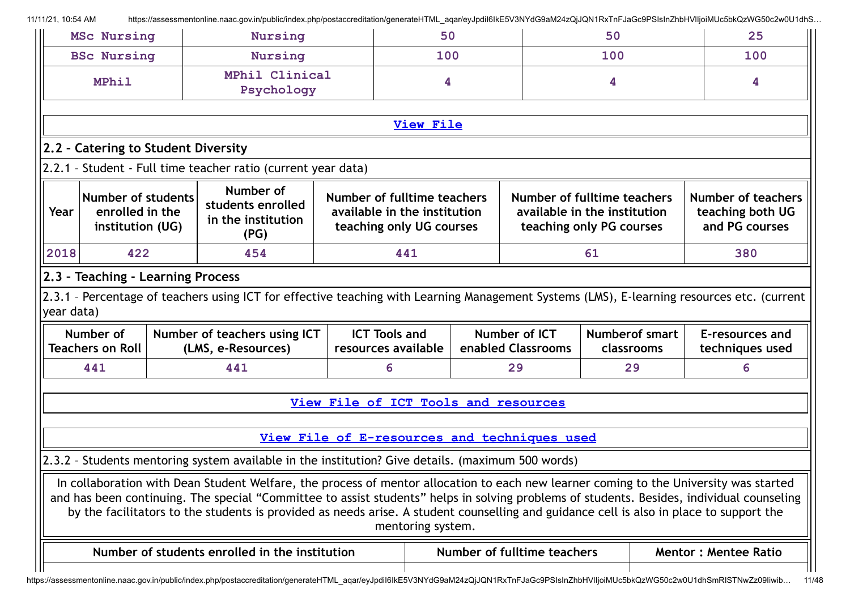|            | <b>MSc Nursing</b>                                               | Nursing                                                                                                                                                                                                                                                                                                                                                                                                                       |                                                                                         | 50                |  | 50                                                                                      |     |                                     | 25                                                              |
|------------|------------------------------------------------------------------|-------------------------------------------------------------------------------------------------------------------------------------------------------------------------------------------------------------------------------------------------------------------------------------------------------------------------------------------------------------------------------------------------------------------------------|-----------------------------------------------------------------------------------------|-------------------|--|-----------------------------------------------------------------------------------------|-----|-------------------------------------|-----------------------------------------------------------------|
|            | <b>BSc Nursing</b>                                               | <b>Nursing</b>                                                                                                                                                                                                                                                                                                                                                                                                                |                                                                                         | 100               |  |                                                                                         | 100 |                                     | 100                                                             |
|            | <b>MPhil</b>                                                     | MPhil Clinical<br>Psychology                                                                                                                                                                                                                                                                                                                                                                                                  |                                                                                         | 4                 |  |                                                                                         | 4   |                                     | 4                                                               |
|            |                                                                  |                                                                                                                                                                                                                                                                                                                                                                                                                               |                                                                                         | <b>View File</b>  |  |                                                                                         |     |                                     |                                                                 |
|            | 2.2 - Catering to Student Diversity                              |                                                                                                                                                                                                                                                                                                                                                                                                                               |                                                                                         |                   |  |                                                                                         |     |                                     |                                                                 |
|            |                                                                  | 2.2.1 - Student - Full time teacher ratio (current year data)                                                                                                                                                                                                                                                                                                                                                                 |                                                                                         |                   |  |                                                                                         |     |                                     |                                                                 |
| Year       | <b>Number of students</b><br>enrolled in the<br>institution (UG) | Number of<br>students enrolled<br>in the institution<br>(PG)                                                                                                                                                                                                                                                                                                                                                                  | Number of fulltime teachers<br>available in the institution<br>teaching only UG courses |                   |  | Number of fulltime teachers<br>available in the institution<br>teaching only PG courses |     |                                     | <b>Number of teachers</b><br>teaching both UG<br>and PG courses |
| 2018       | 422                                                              | 454                                                                                                                                                                                                                                                                                                                                                                                                                           |                                                                                         | 441               |  |                                                                                         | 61  |                                     | 380                                                             |
| year data) | 2.3 - Teaching - Learning Process                                | 2.3.1 - Percentage of teachers using ICT for effective teaching with Learning Management Systems (LMS), E-learning resources etc. (current                                                                                                                                                                                                                                                                                    |                                                                                         |                   |  |                                                                                         |     |                                     |                                                                 |
|            | Number of<br><b>Teachers on Roll</b>                             | Number of teachers using ICT<br>(LMS, e-Resources)                                                                                                                                                                                                                                                                                                                                                                            | <b>ICT Tools and</b><br>resources available                                             |                   |  | Number of ICT<br>enabled Classrooms                                                     |     | <b>Numberof smart</b><br>classrooms | E-resources and<br>techniques used                              |
|            | 441                                                              | 441                                                                                                                                                                                                                                                                                                                                                                                                                           | 6                                                                                       |                   |  | 29                                                                                      |     | 29                                  | 6                                                               |
|            |                                                                  |                                                                                                                                                                                                                                                                                                                                                                                                                               | View File of ICT Tools and resources                                                    |                   |  |                                                                                         |     |                                     |                                                                 |
|            |                                                                  |                                                                                                                                                                                                                                                                                                                                                                                                                               | View File of E-resources and techniques used                                            |                   |  |                                                                                         |     |                                     |                                                                 |
|            |                                                                  | 2.3.2 - Students mentoring system available in the institution? Give details. (maximum 500 words)                                                                                                                                                                                                                                                                                                                             |                                                                                         |                   |  |                                                                                         |     |                                     |                                                                 |
|            |                                                                  | In collaboration with Dean Student Welfare, the process of mentor allocation to each new learner coming to the University was started<br>and has been continuing. The special "Committee to assist students" helps in solving problems of students. Besides, individual counseling<br>by the facilitators to the students is provided as needs arise. A student counselling and guidance cell is also in place to support the |                                                                                         | mentoring system. |  |                                                                                         |     |                                     |                                                                 |
|            |                                                                  | Number of students enrolled in the institution                                                                                                                                                                                                                                                                                                                                                                                |                                                                                         |                   |  | Number of fulltime teachers                                                             |     |                                     | <b>Mentor: Mentee Ratio</b>                                     |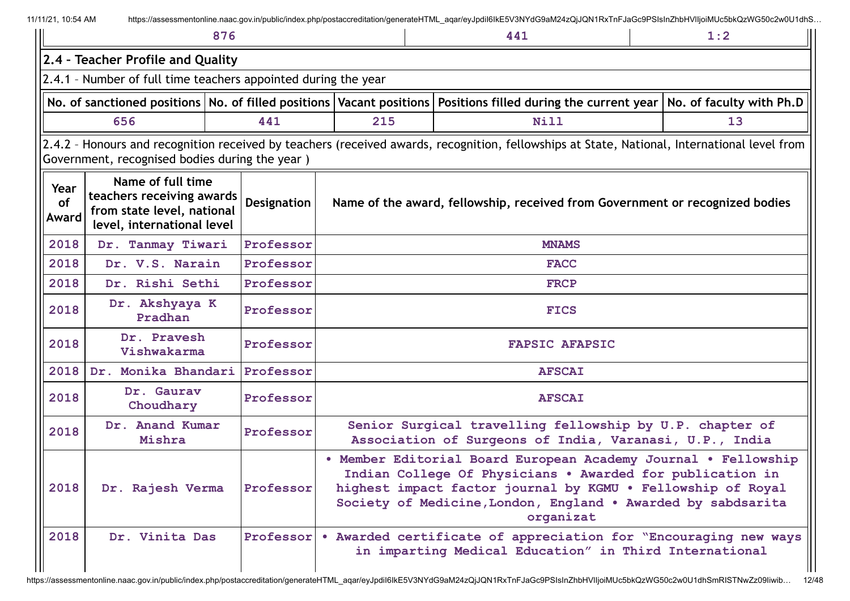|                     |                                                                                                            | 876         |     | 441                                                                                                                                                                                                                                                                     | 1:2                      |
|---------------------|------------------------------------------------------------------------------------------------------------|-------------|-----|-------------------------------------------------------------------------------------------------------------------------------------------------------------------------------------------------------------------------------------------------------------------------|--------------------------|
|                     | 2.4 - Teacher Profile and Quality                                                                          |             |     |                                                                                                                                                                                                                                                                         |                          |
|                     | 2.4.1 - Number of full time teachers appointed during the year                                             |             |     |                                                                                                                                                                                                                                                                         |                          |
|                     | No. of sanctioned positions   No. of filled positions   Vacant positions                                   |             |     | Positions filled during the current year                                                                                                                                                                                                                                | No. of faculty with Ph.D |
|                     | 656                                                                                                        | 441         | 215 | Nill                                                                                                                                                                                                                                                                    | 13                       |
|                     | Government, recognised bodies during the year)                                                             |             |     | 2.4.2 - Honours and recognition received by teachers (received awards, recognition, fellowships at State, National, International level from                                                                                                                            |                          |
| Year<br>of<br>Award | Name of full time<br>teachers receiving awards<br>from state level, national<br>level, international level | Designation |     | Name of the award, fellowship, received from Government or recognized bodies                                                                                                                                                                                            |                          |
| 2018                | Dr. Tanmay Tiwari                                                                                          | Professor   |     | <b>MNAMS</b>                                                                                                                                                                                                                                                            |                          |
| 2018                | Dr. V.S. Narain                                                                                            | Professor   |     | <b>FACC</b>                                                                                                                                                                                                                                                             |                          |
| 2018                | Dr. Rishi Sethi                                                                                            | Professor   |     | <b>FRCP</b>                                                                                                                                                                                                                                                             |                          |
| 2018                | Dr. Akshyaya K<br>Pradhan                                                                                  | Professor   |     | <b>FICS</b>                                                                                                                                                                                                                                                             |                          |
| 2018                | Dr. Pravesh<br>Vishwakarma                                                                                 | Professor   |     | <b>FAPSIC AFAPSIC</b>                                                                                                                                                                                                                                                   |                          |
| 2018                | Dr. Monika Bhandari                                                                                        | Professor   |     | <b>AFSCAI</b>                                                                                                                                                                                                                                                           |                          |
| 2018                | Dr. Gaurav<br>Choudhary                                                                                    | Professor   |     | <b>AFSCAI</b>                                                                                                                                                                                                                                                           |                          |
| 2018                | Dr. Anand Kumar<br>Mishra                                                                                  | Professor   |     | Senior Surgical travelling fellowship by U.P. chapter of<br>Association of Surgeons of India, Varanasi, U.P., India                                                                                                                                                     |                          |
| 2018                | Dr. Rajesh Verma                                                                                           | Professor   |     | • Member Editorial Board European Academy Journal • Fellowship<br>Indian College Of Physicians . Awarded for publication in<br>highest impact factor journal by KGMU . Fellowship of Royal<br>Society of Medicine, London, England . Awarded by sabdsarita<br>organizat |                          |
| 2018                | Dr. Vinita Das                                                                                             | Professor   |     | . Awarded certificate of appreciation for "Encouraging new ways<br>in imparting Medical Education" in Third International                                                                                                                                               |                          |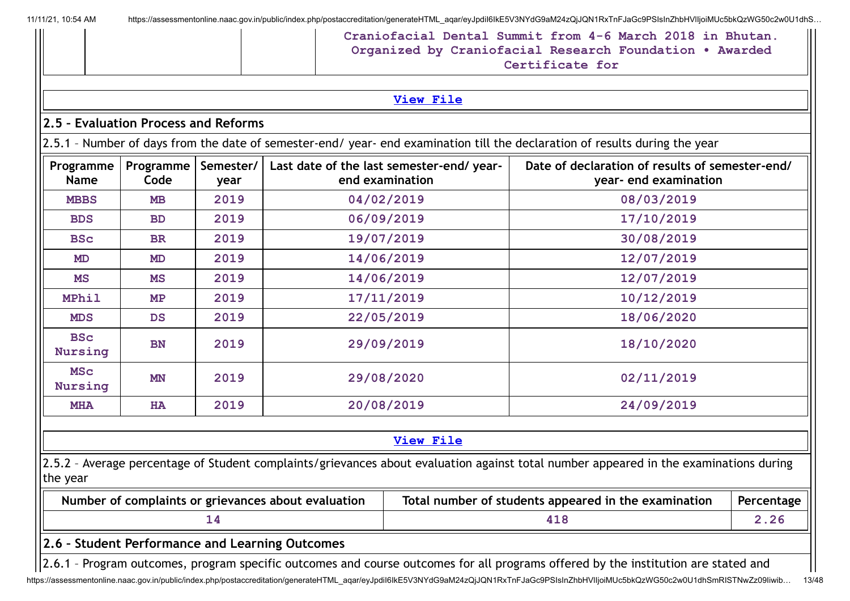|                              |                                      |                   |                                                     | <b>View File</b>                                             |                                                                                                                                       |            |
|------------------------------|--------------------------------------|-------------------|-----------------------------------------------------|--------------------------------------------------------------|---------------------------------------------------------------------------------------------------------------------------------------|------------|
|                              | 2.5 - Evaluation Process and Reforms |                   |                                                     |                                                              |                                                                                                                                       |            |
|                              |                                      |                   |                                                     |                                                              | 2.5.1 - Number of days from the date of semester-end/ year- end examination till the declaration of results during the year           |            |
| Programme<br><b>Name</b>     | Programme<br>Code                    | Semester/<br>year |                                                     | Last date of the last semester-end/ year-<br>end examination | Date of declaration of results of semester-end/<br>year- end examination                                                              |            |
| <b>MBBS</b>                  | <b>MB</b>                            | 2019              |                                                     | 04/02/2019                                                   | 08/03/2019                                                                                                                            |            |
| <b>BDS</b>                   | <b>BD</b>                            | 2019              |                                                     | 06/09/2019                                                   | 17/10/2019                                                                                                                            |            |
| <b>BSc</b>                   | <b>BR</b>                            | 2019              |                                                     | 19/07/2019                                                   | 30/08/2019                                                                                                                            |            |
| <b>MD</b>                    | <b>MD</b>                            | 2019              |                                                     | 14/06/2019                                                   | 12/07/2019                                                                                                                            |            |
| MS                           | MS                                   | 2019              |                                                     | 14/06/2019                                                   | 12/07/2019                                                                                                                            |            |
| <b>MPhil</b>                 | MP                                   | 2019              |                                                     | 17/11/2019                                                   | 10/12/2019                                                                                                                            |            |
| <b>MDS</b>                   | <b>DS</b>                            | 2019              |                                                     | 22/05/2019                                                   | 18/06/2020                                                                                                                            |            |
| <b>BSc</b><br><b>Nursing</b> | BN                                   | 2019              |                                                     | 29/09/2019                                                   | 18/10/2020                                                                                                                            |            |
| <b>MSC</b><br><b>Nursing</b> | <b>MN</b>                            | 2019              |                                                     | 29/08/2020                                                   | 02/11/2019                                                                                                                            |            |
| <b>MHA</b>                   | <b>HA</b>                            | 2019              |                                                     | 20/08/2019                                                   | 24/09/2019                                                                                                                            |            |
|                              |                                      |                   |                                                     | View File                                                    |                                                                                                                                       |            |
| the year                     |                                      |                   |                                                     |                                                              | 2.5.2 - Average percentage of Student complaints/grievances about evaluation against total number appeared in the examinations during |            |
|                              |                                      |                   | Number of complaints or grievances about evaluation |                                                              | Total number of students appeared in the examination                                                                                  | Percentage |
|                              |                                      | 14                |                                                     |                                                              | 418                                                                                                                                   | 2.26       |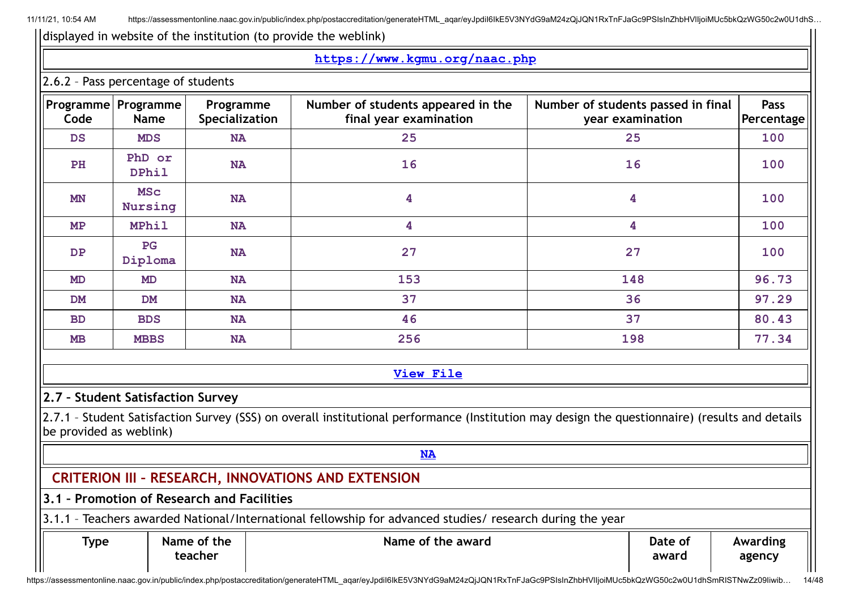|                         |                                        |                                            | https://www.kgmu.org/naac.php                                                                                                                  |                         |                    |  |
|-------------------------|----------------------------------------|--------------------------------------------|------------------------------------------------------------------------------------------------------------------------------------------------|-------------------------|--------------------|--|
|                         | 2.6.2 - Pass percentage of students    |                                            |                                                                                                                                                |                         |                    |  |
| Code                    | Programme   Programme  <br><b>Name</b> | Programme<br>Specialization                | Number of students appeared in the<br>Number of students passed in final<br>final year examination<br>year examination                         |                         | Pass<br>Percentage |  |
| <b>DS</b>               | <b>MDS</b>                             | <b>NA</b>                                  | 25                                                                                                                                             | 25                      | 100                |  |
| PH                      | PhD or<br><b>DPhil</b>                 | <b>NA</b>                                  | 16                                                                                                                                             | 16                      | 100                |  |
| <b>MN</b>               | <b>MSC</b><br>Nursing                  | <b>NA</b>                                  | 4                                                                                                                                              | 4                       | 100                |  |
| MP                      | <b>MPhil</b>                           | <b>NA</b>                                  | 4                                                                                                                                              | $\overline{\mathbf{4}}$ | 100                |  |
| <b>DP</b>               | PG<br>Diploma                          | <b>NA</b>                                  | 27                                                                                                                                             | 27                      | 100                |  |
| <b>MD</b>               | <b>MD</b>                              | <b>NA</b>                                  | 153                                                                                                                                            | 148                     | 96.73              |  |
| <b>DM</b>               | <b>DM</b>                              | <b>NA</b>                                  | 37                                                                                                                                             | 36                      | 97.29              |  |
| <b>BD</b>               | <b>BDS</b>                             | <b>NA</b>                                  | 46                                                                                                                                             | 37                      | 80.43              |  |
| <b>MB</b>               | <b>MBBS</b>                            | <b>NA</b>                                  | 256                                                                                                                                            | 198                     | 77.34              |  |
|                         |                                        |                                            | <b>View File</b>                                                                                                                               |                         |                    |  |
|                         | 2.7 - Student Satisfaction Survey      |                                            |                                                                                                                                                |                         |                    |  |
| be provided as weblink) |                                        |                                            | 2.7.1 - Student Satisfaction Survey (SSS) on overall institutional performance (Institution may design the questionnaire) (results and details |                         |                    |  |
|                         |                                        |                                            | <b>NA</b>                                                                                                                                      |                         |                    |  |
|                         |                                        |                                            | <b>CRITERION III - RESEARCH, INNOVATIONS AND EXTENSION</b>                                                                                     |                         |                    |  |
|                         |                                        | 3.1 - Promotion of Research and Facilities |                                                                                                                                                |                         |                    |  |
|                         |                                        |                                            | 3.1.1 - Teachers awarded National/International fellowship for advanced studies/ research during the year                                      |                         |                    |  |
| <b>Type</b>             |                                        | Name of the<br>teacher                     | Name of the award                                                                                                                              | Date of<br>award        | Awarding<br>agency |  |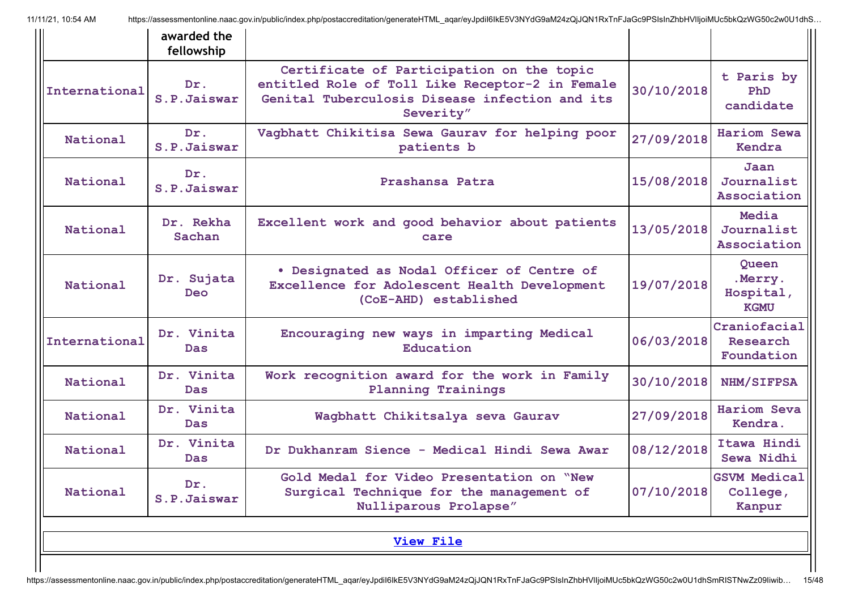|               | awarded the<br>fellowship |                                                                                                                                                             |            |                                              |
|---------------|---------------------------|-------------------------------------------------------------------------------------------------------------------------------------------------------------|------------|----------------------------------------------|
| International | Dr.<br>S.P.Jaiswar        | Certificate of Participation on the topic<br>entitled Role of Toll Like Receptor-2 in Female<br>Genital Tuberculosis Disease infection and its<br>Severity" | 30/10/2018 | t Paris by<br>PhD<br>candidate               |
| National      | Dr.<br>S.P.Jaiswar        | Vagbhatt Chikitisa Sewa Gaurav for helping poor<br>patients b                                                                                               | 27/09/2018 | <b>Hariom Sewa</b><br>Kendra                 |
| National      | Dr.<br>S.P.Jaiswar        | Prashansa Patra                                                                                                                                             | 15/08/2018 | Jaan<br>Journalist<br>Association            |
| National      | Dr. Rekha<br>Sachan       | Excellent work and good behavior about patients<br>care                                                                                                     | 13/05/2018 | Media<br>Journalist<br>Association           |
| National      | Dr. Sujata<br><b>Deo</b>  | . Designated as Nodal Officer of Centre of<br>Excellence for Adolescent Health Development<br>(CoE-AHD) established                                         | 19/07/2018 | Queen<br>.Merry.<br>Hospital,<br><b>KGMU</b> |
| International | Dr. Vinita<br><b>Das</b>  | Encouraging new ways in imparting Medical<br>Education                                                                                                      | 06/03/2018 | Craniofacial<br>Research<br>Foundation       |
| National      | Dr. Vinita<br><b>Das</b>  | Work recognition award for the work in Family<br><b>Planning Trainings</b>                                                                                  | 30/10/2018 | NHM/SIFPSA                                   |
| National      | Dr. Vinita<br><b>Das</b>  | Wagbhatt Chikitsalya seva Gaurav                                                                                                                            | 27/09/2018 | <b>Hariom Seva</b><br>Kendra.                |
| National      | Dr. Vinita<br><b>Das</b>  | Dr Dukhanram Sience - Medical Hindi Sewa Awar                                                                                                               | 08/12/2018 | Itawa Hindi<br>Sewa Nidhi                    |
| National      | Dr.<br>S.P.Jaiswar        | Gold Medal for Video Presentation on "New<br>Surgical Technique for the management of<br>Nulliparous Prolapse"                                              | 07/10/2018 | <b>GSVM Medical</b><br>College,<br>Kanpur    |
|               |                           | <b>View File</b>                                                                                                                                            |            |                                              |
|               |                           |                                                                                                                                                             |            |                                              |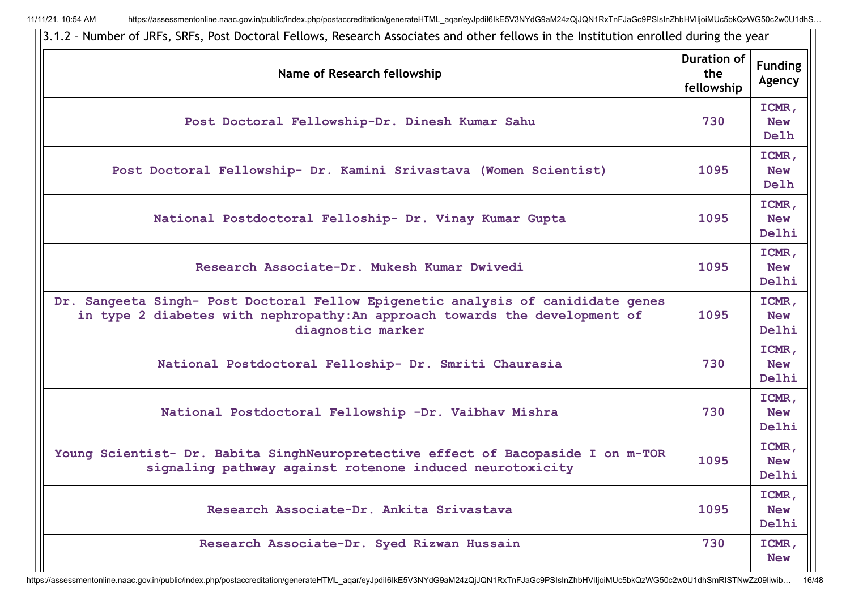| Name of Research fellowship                                                                                                                                                          | <b>Duration of</b><br>the<br>fellowship | <b>Funding</b><br>Agency     |
|--------------------------------------------------------------------------------------------------------------------------------------------------------------------------------------|-----------------------------------------|------------------------------|
| Post Doctoral Fellowship-Dr. Dinesh Kumar Sahu                                                                                                                                       | 730                                     | ICMR,<br><b>New</b><br>Delh  |
| Post Doctoral Fellowship- Dr. Kamini Srivastava (Women Scientist)                                                                                                                    | 1095                                    | ICMR,<br><b>New</b><br>Delh  |
| National Postdoctoral Felloship- Dr. Vinay Kumar Gupta                                                                                                                               | 1095                                    | ICMR,<br><b>New</b><br>Delhi |
| Research Associate-Dr. Mukesh Kumar Dwivedi                                                                                                                                          | 1095                                    | ICMR,<br><b>New</b><br>Delhi |
| Dr. Sangeeta Singh- Post Doctoral Fellow Epigenetic analysis of canididate genes<br>in type 2 diabetes with nephropathy: An approach towards the development of<br>diagnostic marker | 1095                                    | ICMR,<br><b>New</b><br>Delhi |
| National Postdoctoral Felloship- Dr. Smriti Chaurasia                                                                                                                                | 730                                     | ICMR,<br><b>New</b><br>Delhi |
| National Postdoctoral Fellowship -Dr. Vaibhav Mishra                                                                                                                                 | 730                                     | ICMR,<br><b>New</b><br>Delhi |
| Young Scientist- Dr. Babita SinghNeuropretective effect of Bacopaside I on m-TOR<br>signaling pathway against rotenone induced neurotoxicity                                         | 1095                                    | ICMR,<br><b>New</b><br>Delhi |
| Research Associate-Dr. Ankita Srivastava                                                                                                                                             | 1095                                    | ICMR,<br><b>New</b><br>Delhi |
| Research Associate-Dr. Syed Rizwan Hussain                                                                                                                                           | 730                                     | ICMR,<br><b>New</b>          |

3.1.2 – Number of JRFs, SRFs, Post Doctoral Fellows, Research Associates and other fellows in the Institution enrolled during the year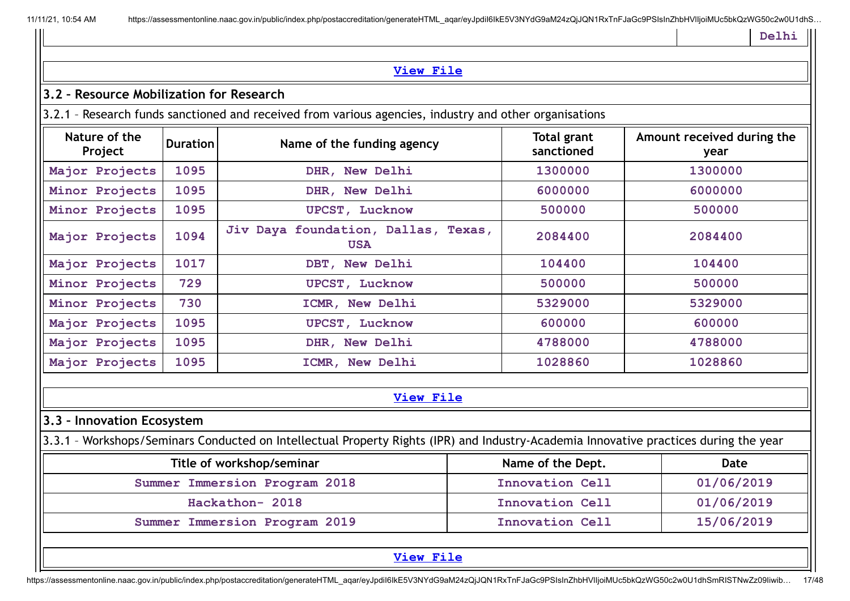```
Delhi
```

|                                          |                 |                                                                                                                                       |                                  | Delhi                              |
|------------------------------------------|-----------------|---------------------------------------------------------------------------------------------------------------------------------------|----------------------------------|------------------------------------|
|                                          |                 | <b>View File</b>                                                                                                                      |                                  |                                    |
| 3.2 - Resource Mobilization for Research |                 |                                                                                                                                       |                                  |                                    |
|                                          |                 | 3.2.1 - Research funds sanctioned and received from various agencies, industry and other organisations                                |                                  |                                    |
| Nature of the<br>Project                 | <b>Duration</b> | Name of the funding agency                                                                                                            | <b>Total grant</b><br>sanctioned | Amount received during the<br>year |
| Major Projects                           | 1095            | DHR, New Delhi                                                                                                                        | 1300000                          | 1300000                            |
| Minor Projects                           | 1095            | DHR, New Delhi                                                                                                                        | 6000000                          | 6000000                            |
| Minor Projects                           | 1095            | <b>UPCST, Lucknow</b>                                                                                                                 | 500000                           | 500000                             |
| Major Projects                           | 1094            | Jiv Daya foundation, Dallas, Texas,<br><b>USA</b>                                                                                     | 2084400                          | 2084400                            |
| Major Projects                           | 1017            | DBT, New Delhi                                                                                                                        | 104400                           | 104400                             |
| Minor Projects                           | 729             | <b>UPCST, Lucknow</b>                                                                                                                 | 500000                           | 500000                             |
| Minor Projects                           | 730             | ICMR, New Delhi                                                                                                                       | 5329000                          | 5329000                            |
| Major Projects                           | 1095            | <b>UPCST, Lucknow</b>                                                                                                                 | 600000                           | 600000                             |
| Major Projects                           | 1095            | DHR, New Delhi                                                                                                                        | 4788000                          | 4788000                            |
| Major Projects                           | 1095            | ICMR, New Delhi                                                                                                                       | 1028860                          | 1028860                            |
|                                          |                 | <b>View File</b>                                                                                                                      |                                  |                                    |
| 3.3 - Innovation Ecosystem               |                 |                                                                                                                                       |                                  |                                    |
|                                          |                 | 3.3.1 - Workshops/Seminars Conducted on Intellectual Property Rights (IPR) and Industry-Academia Innovative practices during the year |                                  |                                    |
|                                          |                 | Title of workshop/seminar                                                                                                             | Name of the Dept.                | Date                               |
|                                          |                 | Summer Immersion Program 2018                                                                                                         | <b>Innovation Cell</b>           | 01/06/2019                         |
|                                          |                 | Hackathon- 2018                                                                                                                       | <b>Innovation Cell</b>           | 01/06/2019                         |
|                                          |                 | Summer Immersion Program 2019                                                                                                         | Innovation Cell                  | 15/06/2019                         |
|                                          |                 | <b>View File</b>                                                                                                                      |                                  |                                    |

https://assessmentonline.naac.gov.in/public/index.php/postaccreditation/generateHTML\_aqar/eyJpdiI6IkE5V3NYdG9aM24zQjJQN1RxTnFJaGc9PSIsInZhbHVlIjoiMUc5bkQzWG50c2w0U1dhSmRISTNwZz09Iiwib... 17/48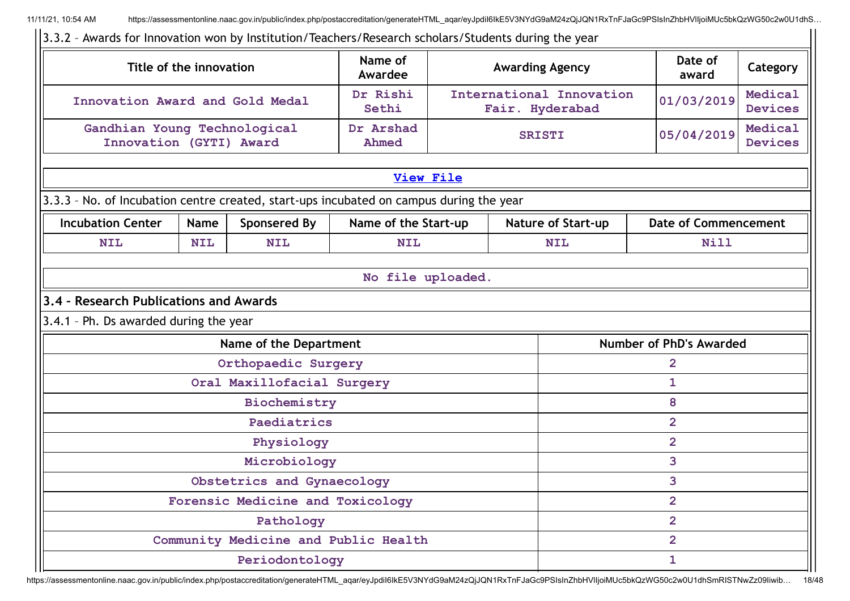$\overline{11}$ 

| Name of<br>Date of<br>Title of the innovation<br><b>Awarding Agency</b><br>Awardee<br>award<br>Dr Rishi<br>International Innovation<br>01/03/2019<br>Innovation Award and Gold Medal<br>Sethi<br>Fair. Hyderabad<br>Gandhian Young Technological<br>Dr Arshad<br>05/04/2019<br><b>SRISTI</b><br>Innovation (GYTI) Award<br>Ahmed<br><b>View File</b><br>3.3.3 - No. of Incubation centre created, start-ups incubated on campus during the year<br><b>Incubation Center</b><br><b>Sponsered By</b><br>Name of the Start-up<br><b>Nature of Start-up</b><br><b>Date of Commencement</b><br><b>Name</b><br>Nill<br><b>NIL</b><br><b>NIL</b><br><b>NIL</b><br><b>NIL</b><br><b>NIL</b><br>No file uploaded.<br>3.4 - Research Publications and Awards<br>3.4.1 - Ph. Ds awarded during the year<br>Name of the Department<br>Number of PhD's Awarded<br>Orthopaedic Surgery<br>$\overline{2}$<br>Oral Maxillofacial Surgery<br>$\mathbf{1}$<br>8<br>Biochemistry<br>$\overline{2}$<br>Paediatrics<br>$\overline{2}$<br>Physiology<br>3<br>Microbiology<br>3<br>Obstetrics and Gynaecology<br>$\overline{2}$<br>Forensic Medicine and Toxicology<br>$\overline{2}$<br>Pathology<br>Community Medicine and Public Health<br>$\overline{2}$<br>Periodontology<br>1 | 3.3.2 - Awards for Innovation won by Institution/Teachers/Research scholars/Students during the year |  |  |  |  |  |                           |                           |
|--------------------------------------------------------------------------------------------------------------------------------------------------------------------------------------------------------------------------------------------------------------------------------------------------------------------------------------------------------------------------------------------------------------------------------------------------------------------------------------------------------------------------------------------------------------------------------------------------------------------------------------------------------------------------------------------------------------------------------------------------------------------------------------------------------------------------------------------------------------------------------------------------------------------------------------------------------------------------------------------------------------------------------------------------------------------------------------------------------------------------------------------------------------------------------------------------------------------------------------------------------------|------------------------------------------------------------------------------------------------------|--|--|--|--|--|---------------------------|---------------------------|
|                                                                                                                                                                                                                                                                                                                                                                                                                                                                                                                                                                                                                                                                                                                                                                                                                                                                                                                                                                                                                                                                                                                                                                                                                                                              |                                                                                                      |  |  |  |  |  |                           | Category                  |
|                                                                                                                                                                                                                                                                                                                                                                                                                                                                                                                                                                                                                                                                                                                                                                                                                                                                                                                                                                                                                                                                                                                                                                                                                                                              |                                                                                                      |  |  |  |  |  | Medical<br><b>Devices</b> |                           |
|                                                                                                                                                                                                                                                                                                                                                                                                                                                                                                                                                                                                                                                                                                                                                                                                                                                                                                                                                                                                                                                                                                                                                                                                                                                              |                                                                                                      |  |  |  |  |  |                           | Medical<br><b>Devices</b> |
|                                                                                                                                                                                                                                                                                                                                                                                                                                                                                                                                                                                                                                                                                                                                                                                                                                                                                                                                                                                                                                                                                                                                                                                                                                                              |                                                                                                      |  |  |  |  |  |                           |                           |
|                                                                                                                                                                                                                                                                                                                                                                                                                                                                                                                                                                                                                                                                                                                                                                                                                                                                                                                                                                                                                                                                                                                                                                                                                                                              |                                                                                                      |  |  |  |  |  |                           |                           |
|                                                                                                                                                                                                                                                                                                                                                                                                                                                                                                                                                                                                                                                                                                                                                                                                                                                                                                                                                                                                                                                                                                                                                                                                                                                              |                                                                                                      |  |  |  |  |  |                           |                           |
|                                                                                                                                                                                                                                                                                                                                                                                                                                                                                                                                                                                                                                                                                                                                                                                                                                                                                                                                                                                                                                                                                                                                                                                                                                                              |                                                                                                      |  |  |  |  |  |                           |                           |
|                                                                                                                                                                                                                                                                                                                                                                                                                                                                                                                                                                                                                                                                                                                                                                                                                                                                                                                                                                                                                                                                                                                                                                                                                                                              |                                                                                                      |  |  |  |  |  |                           |                           |
|                                                                                                                                                                                                                                                                                                                                                                                                                                                                                                                                                                                                                                                                                                                                                                                                                                                                                                                                                                                                                                                                                                                                                                                                                                                              |                                                                                                      |  |  |  |  |  |                           |                           |
|                                                                                                                                                                                                                                                                                                                                                                                                                                                                                                                                                                                                                                                                                                                                                                                                                                                                                                                                                                                                                                                                                                                                                                                                                                                              |                                                                                                      |  |  |  |  |  |                           |                           |
|                                                                                                                                                                                                                                                                                                                                                                                                                                                                                                                                                                                                                                                                                                                                                                                                                                                                                                                                                                                                                                                                                                                                                                                                                                                              |                                                                                                      |  |  |  |  |  |                           |                           |
|                                                                                                                                                                                                                                                                                                                                                                                                                                                                                                                                                                                                                                                                                                                                                                                                                                                                                                                                                                                                                                                                                                                                                                                                                                                              |                                                                                                      |  |  |  |  |  |                           |                           |
|                                                                                                                                                                                                                                                                                                                                                                                                                                                                                                                                                                                                                                                                                                                                                                                                                                                                                                                                                                                                                                                                                                                                                                                                                                                              |                                                                                                      |  |  |  |  |  |                           |                           |
|                                                                                                                                                                                                                                                                                                                                                                                                                                                                                                                                                                                                                                                                                                                                                                                                                                                                                                                                                                                                                                                                                                                                                                                                                                                              |                                                                                                      |  |  |  |  |  |                           |                           |
|                                                                                                                                                                                                                                                                                                                                                                                                                                                                                                                                                                                                                                                                                                                                                                                                                                                                                                                                                                                                                                                                                                                                                                                                                                                              |                                                                                                      |  |  |  |  |  |                           |                           |
|                                                                                                                                                                                                                                                                                                                                                                                                                                                                                                                                                                                                                                                                                                                                                                                                                                                                                                                                                                                                                                                                                                                                                                                                                                                              |                                                                                                      |  |  |  |  |  |                           |                           |
|                                                                                                                                                                                                                                                                                                                                                                                                                                                                                                                                                                                                                                                                                                                                                                                                                                                                                                                                                                                                                                                                                                                                                                                                                                                              |                                                                                                      |  |  |  |  |  |                           |                           |
|                                                                                                                                                                                                                                                                                                                                                                                                                                                                                                                                                                                                                                                                                                                                                                                                                                                                                                                                                                                                                                                                                                                                                                                                                                                              |                                                                                                      |  |  |  |  |  |                           |                           |
|                                                                                                                                                                                                                                                                                                                                                                                                                                                                                                                                                                                                                                                                                                                                                                                                                                                                                                                                                                                                                                                                                                                                                                                                                                                              |                                                                                                      |  |  |  |  |  |                           |                           |
|                                                                                                                                                                                                                                                                                                                                                                                                                                                                                                                                                                                                                                                                                                                                                                                                                                                                                                                                                                                                                                                                                                                                                                                                                                                              |                                                                                                      |  |  |  |  |  |                           |                           |
|                                                                                                                                                                                                                                                                                                                                                                                                                                                                                                                                                                                                                                                                                                                                                                                                                                                                                                                                                                                                                                                                                                                                                                                                                                                              |                                                                                                      |  |  |  |  |  |                           |                           |
|                                                                                                                                                                                                                                                                                                                                                                                                                                                                                                                                                                                                                                                                                                                                                                                                                                                                                                                                                                                                                                                                                                                                                                                                                                                              |                                                                                                      |  |  |  |  |  |                           |                           |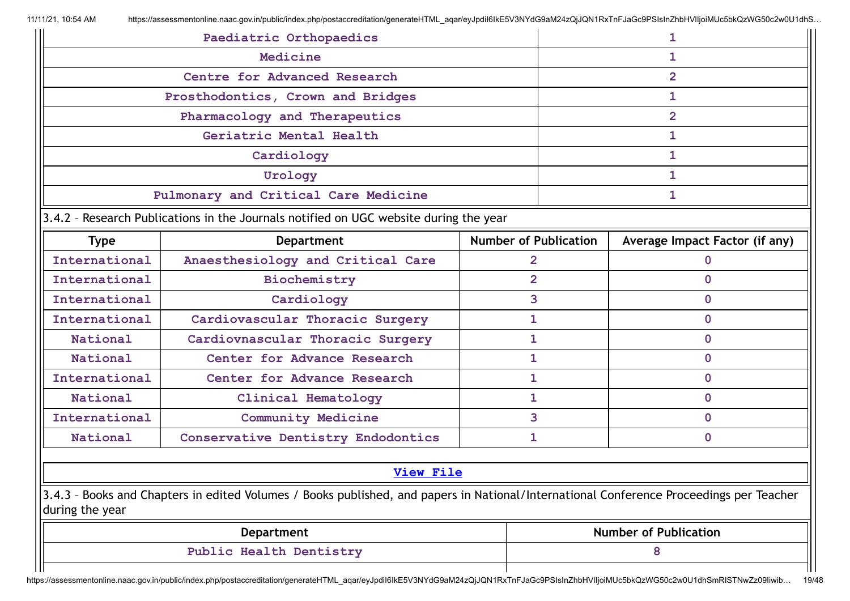|                 | Paediatric Orthopaedics                                                                                                                 |                              |                | 1                              |  |  |
|-----------------|-----------------------------------------------------------------------------------------------------------------------------------------|------------------------------|----------------|--------------------------------|--|--|
|                 | Medicine                                                                                                                                |                              |                | 1                              |  |  |
|                 | Centre for Advanced Research                                                                                                            |                              |                | $\overline{2}$                 |  |  |
|                 | Prosthodontics, Crown and Bridges                                                                                                       |                              |                | 1                              |  |  |
|                 | Pharmacology and Therapeutics                                                                                                           |                              |                | $\overline{2}$                 |  |  |
|                 | Geriatric Mental Health                                                                                                                 |                              |                | 1                              |  |  |
|                 | Cardiology                                                                                                                              |                              |                | 1                              |  |  |
|                 | Urology                                                                                                                                 |                              |                | 1                              |  |  |
|                 | Pulmonary and Critical Care Medicine                                                                                                    |                              |                |                                |  |  |
|                 | 3.4.2 - Research Publications in the Journals notified on UGC website during the year                                                   |                              |                |                                |  |  |
| <b>Type</b>     | <b>Department</b>                                                                                                                       | <b>Number of Publication</b> |                | Average Impact Factor (if any) |  |  |
| International   | Anaesthesiology and Critical Care                                                                                                       |                              | $\overline{2}$ | $\mathbf{0}$                   |  |  |
| International   | Biochemistry                                                                                                                            |                              | $\overline{2}$ | $\Omega$                       |  |  |
| International   | Cardiology                                                                                                                              |                              | 3              | $\Omega$                       |  |  |
| International   | Cardiovascular Thoracic Surgery                                                                                                         |                              | 1              | $\mathbf{0}$                   |  |  |
| National        | Cardiovnascular Thoracic Surgery                                                                                                        |                              | 1              | $\Omega$                       |  |  |
| National        | Center for Advance Research                                                                                                             |                              | 1              | $\mathbf{0}$                   |  |  |
| International   | Center for Advance Research                                                                                                             | 1                            |                | $\mathbf{0}$                   |  |  |
| National        | Clinical Hematology                                                                                                                     |                              | 1              | $\mathbf{0}$                   |  |  |
| International   | <b>Community Medicine</b>                                                                                                               |                              | 3              | $\mathbf{0}$                   |  |  |
| National        | Conservative Dentistry Endodontics                                                                                                      | 1                            |                | $\mathbf{0}$                   |  |  |
|                 | <b>View File</b>                                                                                                                        |                              |                |                                |  |  |
|                 |                                                                                                                                         |                              |                |                                |  |  |
| during the year | 3.4.3 - Books and Chapters in edited Volumes / Books published, and papers in National/International Conference Proceedings per Teacher |                              |                |                                |  |  |
|                 | <b>Department</b>                                                                                                                       |                              |                | <b>Number of Publication</b>   |  |  |
|                 | Public Health Dentistry                                                                                                                 |                              |                | 8                              |  |  |
|                 |                                                                                                                                         |                              |                |                                |  |  |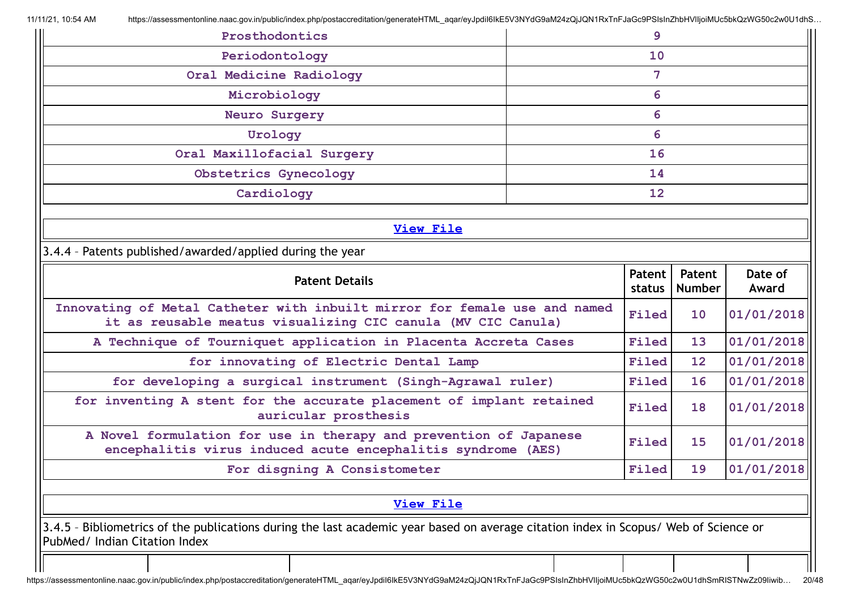| Prosthodontics                                                                                                                                                        |    | 9                 |                         |                  |
|-----------------------------------------------------------------------------------------------------------------------------------------------------------------------|----|-------------------|-------------------------|------------------|
| Periodontology                                                                                                                                                        |    | 10                |                         |                  |
| Oral Medicine Radiology                                                                                                                                               |    | 7                 |                         |                  |
| Microbiology                                                                                                                                                          |    | 6                 |                         |                  |
| <b>Neuro Surgery</b>                                                                                                                                                  |    | 6                 |                         |                  |
| Urology                                                                                                                                                               |    | 6                 |                         |                  |
| Oral Maxillofacial Surgery                                                                                                                                            | 16 |                   |                         |                  |
| Obstetrics Gynecology                                                                                                                                                 |    | 14                |                         |                  |
| Cardiology                                                                                                                                                            |    | $12 \overline{ }$ |                         |                  |
| <b>View File</b>                                                                                                                                                      |    |                   |                         |                  |
| 3.4.4 - Patents published/awarded/applied during the year                                                                                                             |    |                   |                         |                  |
|                                                                                                                                                                       |    |                   |                         |                  |
| <b>Patent Details</b>                                                                                                                                                 |    | Patent<br>status  | Patent<br><b>Number</b> | Date of<br>Award |
| Innovating of Metal Catheter with inbuilt mirror for female use and named                                                                                             |    |                   |                         |                  |
| it as reusable meatus visualizing CIC canula (MV CIC Canula)                                                                                                          |    | Filed             | 10                      | 01/01/2018       |
| A Technique of Tourniquet application in Placenta Accreta Cases                                                                                                       |    | Filed             | 13                      | 01/01/2018       |
| for innovating of Electric Dental Lamp                                                                                                                                |    | Filed             | 12                      | 01/01/2018       |
| for developing a surgical instrument (Singh-Agrawal ruler)                                                                                                            |    | Filed             | 16                      | 01/01/2018       |
| for inventing A stent for the accurate placement of implant retained<br>auricular prosthesis                                                                          |    | Filed             | 18                      |                  |
| A Novel formulation for use in therapy and prevention of Japanese<br>encephalitis virus induced acute encephalitis syndrome (AES)                                     |    | Filed             | 15                      | 01/01/2018       |
| For disgning A Consistometer                                                                                                                                          |    | Filed             | 19                      |                  |
|                                                                                                                                                                       |    |                   |                         | 01/01/2018       |
| <b>View File</b>                                                                                                                                                      |    |                   |                         |                  |
| 3.4.5 - Bibliometrics of the publications during the last academic year based on average citation index in Scopus/ Web of Science or<br>PubMed/ Indian Citation Index |    |                   |                         | 01/01/2018       |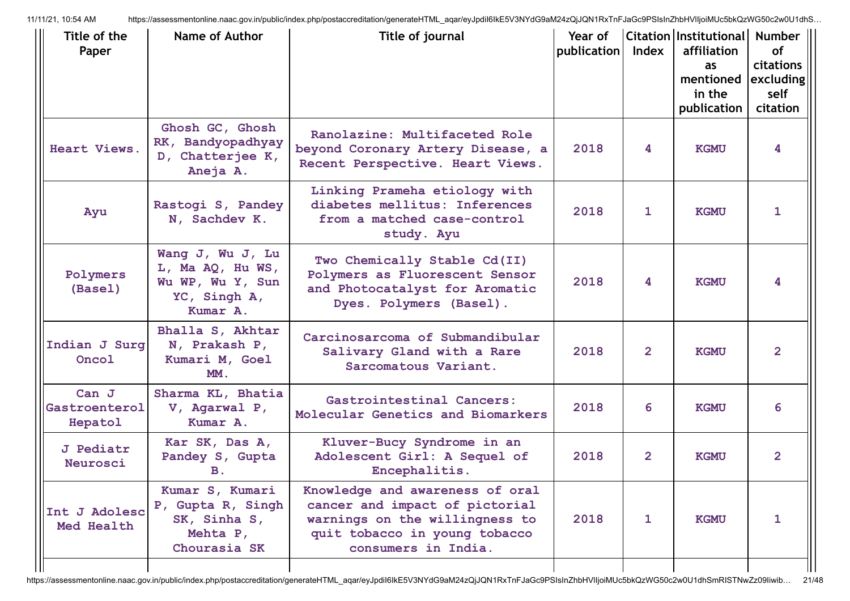| Title of the<br>Paper             | Name of Author                                                                       | Title of journal                                                                                                                                            | Year of<br>publication | Index        | Citation Institutional<br>affiliation<br>as<br>mentioned<br>in the<br>publication | Number<br><b>of</b><br><b>citations</b><br>excluding<br>self<br>citation |
|-----------------------------------|--------------------------------------------------------------------------------------|-------------------------------------------------------------------------------------------------------------------------------------------------------------|------------------------|--------------|-----------------------------------------------------------------------------------|--------------------------------------------------------------------------|
| Heart Views.                      | Ghosh GC, Ghosh<br>RK, Bandyopadhyay<br>D, Chatterjee K,<br>Aneja A.                 | Ranolazine: Multifaceted Role<br>beyond Coronary Artery Disease, a<br>Recent Perspective. Heart Views.                                                      | 2018                   | 4            | <b>KGMU</b>                                                                       | 4                                                                        |
| Ayu                               | Rastogi S, Pandey<br>N, Sachdev K.                                                   | Linking Prameha etiology with<br>diabetes mellitus: Inferences<br>from a matched case-control<br>study. Ayu                                                 | 2018                   | 1            | <b>KGMU</b>                                                                       | 1                                                                        |
| Polymers<br>(Basel)               | Wang J, Wu J, Lu<br>L, Ma AQ, Hu WS,<br>Wu WP, Wu Y, Sun<br>YC, Singh A,<br>Kumar A. | Two Chemically Stable Cd(II)<br>Polymers as Fluorescent Sensor<br>and Photocatalyst for Aromatic<br>Dyes. Polymers (Basel).                                 | 2018                   | 4            | <b>KGMU</b>                                                                       | 4                                                                        |
| Indian J Surg<br>Oncol            | Bhalla S, Akhtar<br>N, Prakash P,<br>Kumari M, Goel<br>MM.                           | Carcinosarcoma of Submandibular<br>Salivary Gland with a Rare<br>Sarcomatous Variant.                                                                       | 2018                   | $\mathbf{2}$ | <b>KGMU</b>                                                                       | $\overline{2}$                                                           |
| Can J<br>Gastroenterol<br>Hepatol | Sharma KL, Bhatia<br>V, Agarwal P,<br>Kumar A.                                       | Gastrointestinal Cancers:<br>Molecular Genetics and Biomarkers                                                                                              | 2018                   | 6            | <b>KGMU</b>                                                                       | 6                                                                        |
| <b>J</b> Pediatr<br>Neurosci      | Kar SK, Das A,<br>Pandey S, Gupta<br><b>B.</b>                                       | Kluver-Bucy Syndrome in an<br>Adolescent Girl: A Sequel of<br>Encephalitis.                                                                                 | 2018                   | $\mathbf{2}$ | <b>KGMU</b>                                                                       | $\overline{2}$                                                           |
| Int J Adolesc<br>Med Health       | Kumar S, Kumari<br>P, Gupta R, Singh<br>SK, Sinha S,<br>Mehta P,<br>Chourasia SK     | Knowledge and awareness of oral<br>cancer and impact of pictorial<br>warnings on the willingness to<br>quit tobacco in young tobacco<br>consumers in India. | 2018                   | 1            | <b>KGMU</b>                                                                       | 1                                                                        |
|                                   |                                                                                      |                                                                                                                                                             |                        |              |                                                                                   |                                                                          |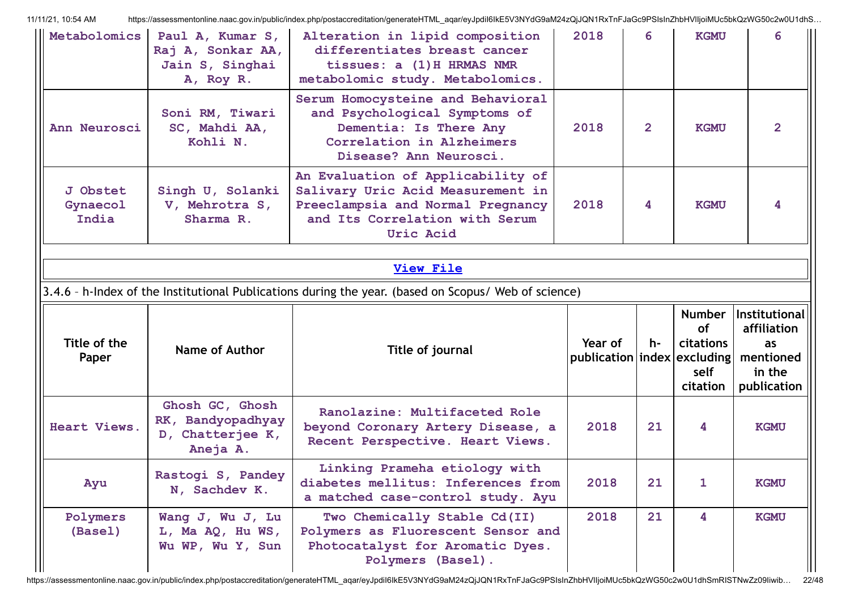| Metabolomics                  | Paul A, Kumar S,<br>Raj A, Sonkar AA,<br>Jain S, Singhai<br>A, Roy R. | Alteration in lipid composition<br>differentiates breast cancer<br>tissues: a (1) H HRMAS NMR<br>metabolomic study. Metabolomics.                                 | 2018                                       | 6              | <b>KGMU</b>                                                        | 6                                                                        |
|-------------------------------|-----------------------------------------------------------------------|-------------------------------------------------------------------------------------------------------------------------------------------------------------------|--------------------------------------------|----------------|--------------------------------------------------------------------|--------------------------------------------------------------------------|
| Ann Neurosci                  | Soni RM, Tiwari<br>SC, Mahdi AA,<br>Kohli N.                          | Serum Homocysteine and Behavioral<br>and Psychological Symptoms of<br>Dementia: Is There Any<br>Correlation in Alzheimers<br>Disease? Ann Neurosci.               | 2018                                       | $\overline{2}$ | <b>KGMU</b>                                                        | $\overline{2}$                                                           |
| J Obstet<br>Gynaecol<br>India | Singh U, Solanki<br>V, Mehrotra S,<br>Sharma R.                       | An Evaluation of Applicability of<br>Salivary Uric Acid Measurement in<br>Preeclampsia and Normal Pregnancy<br>and Its Correlation with Serum<br><b>Uric Acid</b> | 2018                                       | 4              | <b>KGMU</b>                                                        | 4                                                                        |
|                               |                                                                       |                                                                                                                                                                   |                                            |                |                                                                    |                                                                          |
|                               |                                                                       | <b>View File</b>                                                                                                                                                  |                                            |                |                                                                    |                                                                          |
|                               |                                                                       | 3.4.6 - h-Index of the Institutional Publications during the year. (based on Scopus/ Web of science)                                                              |                                            |                |                                                                    |                                                                          |
|                               |                                                                       |                                                                                                                                                                   |                                            |                |                                                                    |                                                                          |
| Title of the<br>Paper         | Name of Author                                                        | Title of journal                                                                                                                                                  | Year of<br>publication   index   excluding | h-             | <b>Number</b><br><b>of</b><br><b>citations</b><br>self<br>citation | Institutional<br>affiliation<br>as<br>mentioned<br>in the<br>publication |
| Heart Views.                  | Ghosh GC, Ghosh<br>RK, Bandyopadhyay<br>D, Chatterjee K,<br>Aneja A.  | Ranolazine: Multifaceted Role<br>beyond Coronary Artery Disease, a<br>Recent Perspective. Heart Views.                                                            | 2018                                       | 21             | 4                                                                  | <b>KGMU</b>                                                              |
| Ayu                           | Rastogi S, Pandey<br>N, Sachdev K.                                    | Linking Prameha etiology with<br>diabetes mellitus: Inferences from<br>a matched case-control study. Ayu                                                          | 2018                                       | 21             | 1                                                                  | <b>KGMU</b>                                                              |

https://assessmentonline.naac.gov.in/public/index.php/postaccreditation/generateHTML\_aqar/eyJpdiI6IkE5V3NYdG9aM24zQjJQN1RxTnFJaGc9PSIsInZhbHVlIjoiMUc5bkQzWG50c2w0U1dhSmRISTNwZz09Iiwib... 22/48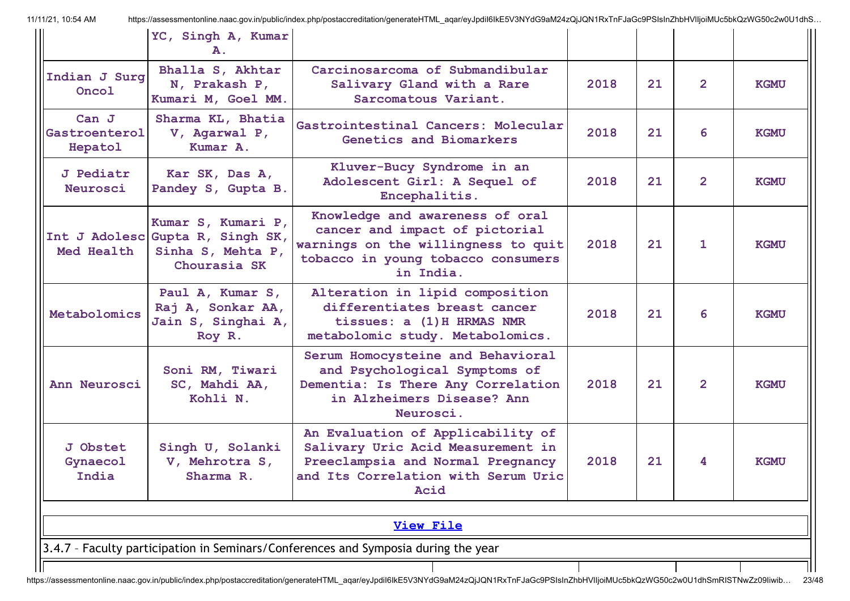|                                   | YC, Singh A, Kumar<br>Α.                                                                    |                                                                                                                                                             |      |    |                |             |  |  |
|-----------------------------------|---------------------------------------------------------------------------------------------|-------------------------------------------------------------------------------------------------------------------------------------------------------------|------|----|----------------|-------------|--|--|
| Indian J Surg<br>Oncol            | Bhalla S, Akhtar<br>N, Prakash P,<br>Kumari M, Goel MM.                                     | Carcinosarcoma of Submandibular<br>Salivary Gland with a Rare<br>Sarcomatous Variant.                                                                       | 2018 | 21 | $\mathbf{2}$   | <b>KGMU</b> |  |  |
| Can J<br>Gastroenterol<br>Hepatol | Sharma KL, Bhatia<br>V, Agarwal P,<br>Kumar A.                                              | Gastrointestinal Cancers: Molecular<br>Genetics and Biomarkers                                                                                              | 2018 | 21 | 6              | <b>KGMU</b> |  |  |
| <b>J</b> Pediatr<br>Neurosci      | Kar SK, Das A,<br>Pandey S, Gupta B.                                                        | Kluver-Bucy Syndrome in an<br>Adolescent Girl: A Sequel of<br>Encephalitis.                                                                                 | 2018 | 21 | $\overline{2}$ | <b>KGMU</b> |  |  |
| Med Health                        | Kumar S, Kumari P,<br>Int J Adolesc Gupta R, Singh SK,<br>Sinha S, Mehta P,<br>Chourasia SK | Knowledge and awareness of oral<br>cancer and impact of pictorial<br>warnings on the willingness to quit<br>tobacco in young tobacco consumers<br>in India. | 2018 | 21 | 1              | <b>KGMU</b> |  |  |
| Metabolomics                      | Paul A, Kumar S,<br>Raj A, Sonkar AA,<br>Jain S, Singhai A,<br>Roy R.                       | Alteration in lipid composition<br>differentiates breast cancer<br>tissues: a (1) H HRMAS NMR<br>metabolomic study. Metabolomics.                           | 2018 | 21 | 6              | <b>KGMU</b> |  |  |
| Ann Neurosci                      | Soni RM, Tiwari<br>SC, Mahdi AA,<br>Kohli N.                                                | Serum Homocysteine and Behavioral<br>and Psychological Symptoms of<br>Dementia: Is There Any Correlation<br>in Alzheimers Disease? Ann<br>Neurosci.         | 2018 | 21 | $\mathbf{2}$   | <b>KGMU</b> |  |  |
| J Obstet<br>Gynaecol<br>India     | Singh U, Solanki<br>V, Mehrotra S,<br>Sharma R.                                             | An Evaluation of Applicability of<br>Salivary Uric Acid Measurement in<br>Preeclampsia and Normal Pregnancy<br>and Its Correlation with Serum Uric<br>Acid  | 2018 | 21 | 4              | <b>KGMU</b> |  |  |
|                                   | <b>View File</b>                                                                            |                                                                                                                                                             |      |    |                |             |  |  |
|                                   |                                                                                             | 3.4.7 - Faculty participation in Seminars/Conferences and Symposia during the year                                                                          |      |    |                |             |  |  |
|                                   |                                                                                             |                                                                                                                                                             |      |    |                |             |  |  |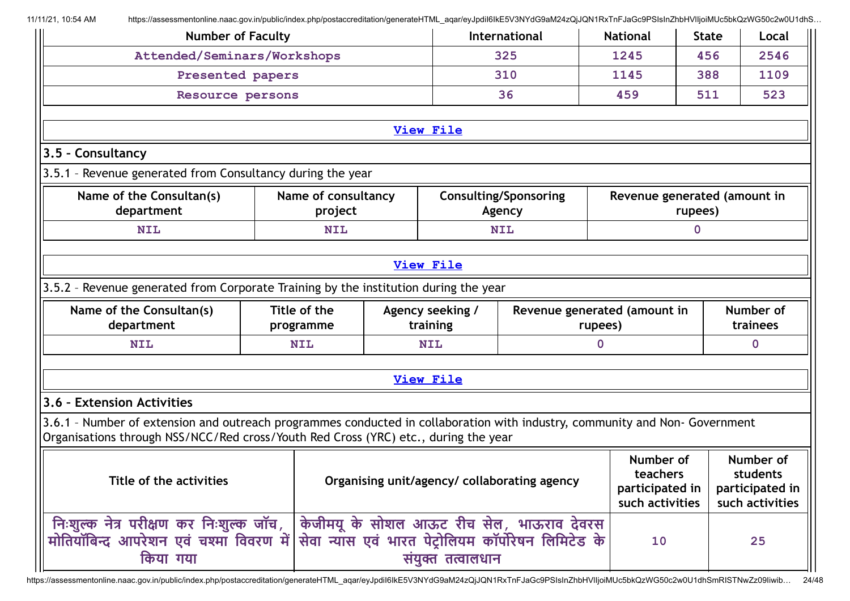| <b>Number of Faculty</b>                                                                                                                                                                                            |                                |  |                              | International                           | <b>National</b>              | <b>State</b>     |  | Local                 |
|---------------------------------------------------------------------------------------------------------------------------------------------------------------------------------------------------------------------|--------------------------------|--|------------------------------|-----------------------------------------|------------------------------|------------------|--|-----------------------|
| Attended/Seminars/Workshops                                                                                                                                                                                         |                                |  |                              | 325                                     | 1245                         | 456              |  | 2546                  |
| Presented papers                                                                                                                                                                                                    |                                |  |                              | 310                                     | 1145                         | 388              |  | 1109                  |
| Resource persons                                                                                                                                                                                                    |                                |  |                              | 36                                      | 459                          | 511              |  | 523                   |
|                                                                                                                                                                                                                     |                                |  |                              |                                         |                              |                  |  |                       |
| <b>View File</b>                                                                                                                                                                                                    |                                |  |                              |                                         |                              |                  |  |                       |
| 3.5 - Consultancy                                                                                                                                                                                                   |                                |  |                              |                                         |                              |                  |  |                       |
| 3.5.1 - Revenue generated from Consultancy during the year                                                                                                                                                          |                                |  |                              |                                         |                              |                  |  |                       |
| Name of the Consultan(s)<br>department                                                                                                                                                                              | Name of consultancy<br>project |  |                              | <b>Consulting/Sponsoring</b><br>Agency  | Revenue generated (amount in | rupees)          |  |                       |
| <b>NIL</b>                                                                                                                                                                                                          | <b>NIL</b>                     |  |                              | <b>NIL</b>                              |                              | $\boldsymbol{0}$ |  |                       |
|                                                                                                                                                                                                                     |                                |  |                              |                                         |                              |                  |  |                       |
| <b>View File</b>                                                                                                                                                                                                    |                                |  |                              |                                         |                              |                  |  |                       |
| 3.5.2 - Revenue generated from Corporate Training by the institution during the year                                                                                                                                |                                |  |                              |                                         |                              |                  |  |                       |
| Name of the Consultan(s)<br>department                                                                                                                                                                              | Title of the<br>programme      |  | Agency seeking /<br>training | Revenue generated (amount in<br>rupees) |                              |                  |  | Number of<br>trainees |
| <b>NIL</b>                                                                                                                                                                                                          | <b>NIL</b>                     |  | <b>NIL</b>                   | $\mathbf 0$                             |                              | $\mathbf{0}$     |  |                       |
|                                                                                                                                                                                                                     |                                |  |                              |                                         |                              |                  |  |                       |
|                                                                                                                                                                                                                     |                                |  | <b>View File</b>             |                                         |                              |                  |  |                       |
| 3.6 - Extension Activities                                                                                                                                                                                          |                                |  |                              |                                         |                              |                  |  |                       |
| 3.6.1 - Number of extension and outreach programmes conducted in collaboration with industry, community and Non-Government<br>Organisations through NSS/NCC/Red cross/Youth Red Cross (YRC) etc., during the year   |                                |  |                              |                                         |                              |                  |  |                       |
| Number of<br>Number of<br>teachers<br>students<br>Title of the activities<br>Organising unit/agency/ collaborating agency<br>participated in<br>participated in<br>such activities<br>such activities               |                                |  |                              |                                         |                              |                  |  |                       |
| निःशुल्क नेत्र परीक्षण कर निःशुल्क जॉच,   केजीमयू के सोशल आऊट रीच सेल, भाऊराव देवरस<br>मोतियॉबिन्द आपरेशन एवं चश्मा विवरण में सेवा न्यास एवं भारत पेट्रोलियम कॉर्पोरेषन लिमिटेड के<br>किया गया<br>संयुक्त तत्वालधान |                                |  |                              |                                         | 10                           |                  |  | 25                    |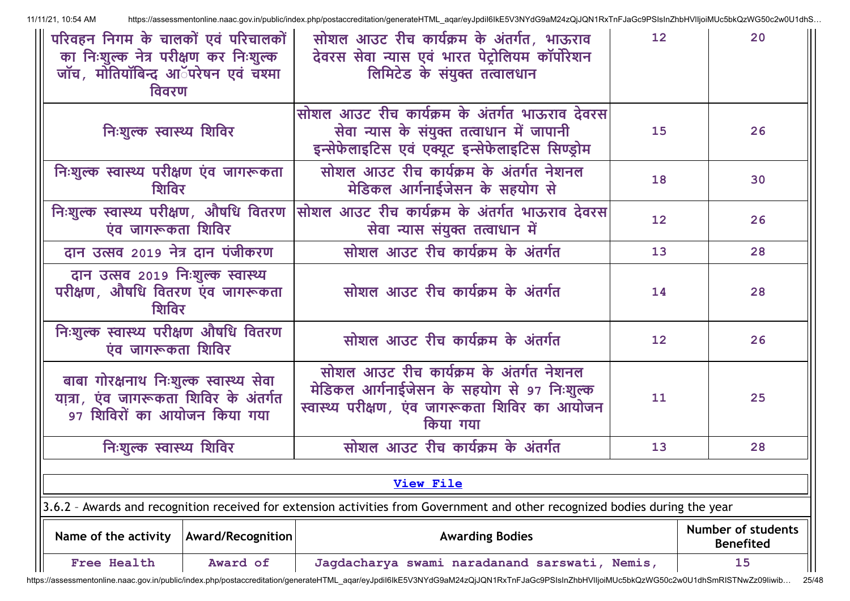| परिवहन निगम के चालकों एवं परिचालकों<br>का निःशुल्क नेत्र परीक्षण कर निःशुल्क<br>जॉच <i>,</i> मोतियॉबिन्द आॅपरेषन एवं चश्मा<br>विवरण | सोशल आउट रीच कार्यक्रम के अंतर्गत, भाऊराव<br>देवरस सेवा न्यास एवं भारत पेट्रोलियम कॉर्पोरेशन<br>लिमिटेड के संयुक्त तत्वालधान                        | 12 <sub>2</sub> | 20                                     |  |  |  |  |
|-------------------------------------------------------------------------------------------------------------------------------------|-----------------------------------------------------------------------------------------------------------------------------------------------------|-----------------|----------------------------------------|--|--|--|--|
| निःशुल्क स्वास्थ्य शिविर                                                                                                            | सोशल आउट रीच कार्यक्रम के अंतर्गत भाऊराव देवरस<br>सेवा न्यास के संयुक्त तत्वाधान में जापानी<br>इन्सेफेलाइटिस एवं एक्यूट इन्सेफेलाइटिस सिण्ड्रोम     | 15              | 26                                     |  |  |  |  |
| निःशुल्क स्वास्थ्य परीक्षण एंव जागरूकता<br>शिविर                                                                                    | सोशल आउट रीच कार्यक्रम के अंतर्गत नेशनल<br>मेडिकल आर्गनाईजेसन के सहयोग से                                                                           | 18              | 30                                     |  |  |  |  |
| निःशुल्क स्वास्थ्य परीक्षण, औषधि वितरण<br>एंव जागरूकता शिविर                                                                        | सोशल आउट रीच कार्यक्रम के अंतर्गत भाऊराव देवरस<br>सेवा न्यास संयुक्त तत्वाधान में                                                                   | 12              | 26                                     |  |  |  |  |
| दान उत्सव 2019 नेत्र दान पंजीकरण                                                                                                    | सोशल आउट रीच कार्यक्रम के अंतर्गत                                                                                                                   | 13              | 28                                     |  |  |  |  |
| दान उत्सव २०१९ निःशुल्क स्वास्थ्य<br>परीक्षण, औषधि वितरण एंव जागरूकता<br>शिविर                                                      | सोशल आउट रीच कार्यक्रम के अंतर्गत                                                                                                                   | 14              | 28                                     |  |  |  |  |
| निःशुल्क स्वास्थ्य परीक्षण औषधि वितरण<br>एंव जागरूकता शिविर                                                                         | सोशल आउट रीच कार्यक्रम के अंतर्गत                                                                                                                   | 12              | 26                                     |  |  |  |  |
| बाबा गोरक्षनाथ निःशुल्क स्वास्थ्य सेवा<br>यात्रा, एंव जागरूकता शिविर के अंतर्गत<br>९७ शिविरों का आयोजन किया गया                     | सोशल आउट रीच कार्यक्रम के अंतर्गत नेशनल<br>मेडिकल आर्गनाईजेसन के सहयोग से 97 निःशुल्क<br>स्वास्थ्य परीक्षण, एंव जागरूकता शिविर का आयोजन<br>किया गया | 11              | 25                                     |  |  |  |  |
| निःशुल्क स्वास्थ्य शिविर                                                                                                            | सोशल आउट रीच कार्यक्रम के अंतर्गत                                                                                                                   | 13              | 28                                     |  |  |  |  |
|                                                                                                                                     |                                                                                                                                                     |                 |                                        |  |  |  |  |
|                                                                                                                                     | <b>View File</b>                                                                                                                                    |                 |                                        |  |  |  |  |
|                                                                                                                                     | 3.6.2 - Awards and recognition received for extension activities from Government and other recognized bodies during the year                        |                 |                                        |  |  |  |  |
| Name of the activity<br><b>Award/Recognition</b>                                                                                    | <b>Awarding Bodies</b>                                                                                                                              |                 | Number of students<br><b>Benefited</b> |  |  |  |  |
| <b>Free Health</b><br>Award of                                                                                                      | Jagdacharya swami naradanand sarswati, Nemis,                                                                                                       |                 | 15                                     |  |  |  |  |

https://assessmentonline.naac.gov.in/public/index.php/postaccreditation/generateHTML\_aqar/eyJpdiI6IkE5V3NYdG9aM24zQjJQN1RxTnFJaGc9PSIsInZhbHVlIjoiMUc5bkQzWG50c2w0U1dhSmRISTNwZz09Iiwib... 25/48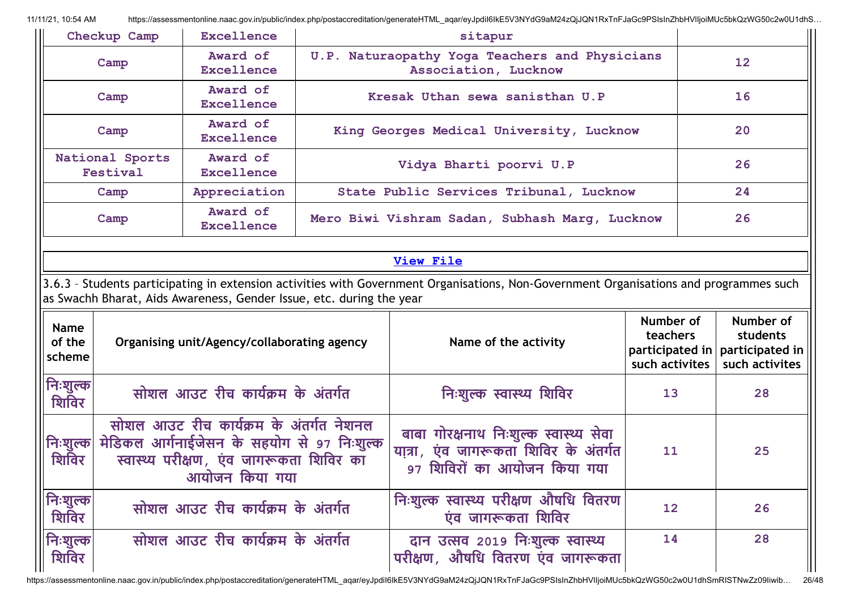|                                 | Checkup Camp                                                                                                                                                                                                   | <b>Excellence</b>                           |  | sitapur                                                                                                         |                                         |                                                                              |  |  |  |
|---------------------------------|----------------------------------------------------------------------------------------------------------------------------------------------------------------------------------------------------------------|---------------------------------------------|--|-----------------------------------------------------------------------------------------------------------------|-----------------------------------------|------------------------------------------------------------------------------|--|--|--|
|                                 | Camp                                                                                                                                                                                                           | Award of<br>Excellence                      |  | U.P. Naturaopathy Yoga Teachers and Physicians<br>Association, Lucknow                                          |                                         |                                                                              |  |  |  |
|                                 | Camp                                                                                                                                                                                                           | Award of<br>Excellence                      |  | Kresak Uthan sewa sanisthan U.P                                                                                 |                                         | 16                                                                           |  |  |  |
|                                 | Camp                                                                                                                                                                                                           | Award of<br>Excellence                      |  | King Georges Medical University, Lucknow                                                                        |                                         | 20                                                                           |  |  |  |
|                                 | National Sports<br>Festival                                                                                                                                                                                    | Award of<br>Excellence                      |  | Vidya Bharti poorvi U.P                                                                                         |                                         | 26                                                                           |  |  |  |
|                                 | Camp                                                                                                                                                                                                           | Appreciation                                |  | State Public Services Tribunal, Lucknow                                                                         |                                         | 24                                                                           |  |  |  |
|                                 | Camp                                                                                                                                                                                                           | Award of<br>Excellence                      |  | Mero Biwi Vishram Sadan, Subhash Marg, Lucknow                                                                  |                                         |                                                                              |  |  |  |
|                                 | <b>View File</b>                                                                                                                                                                                               |                                             |  |                                                                                                                 |                                         |                                                                              |  |  |  |
|                                 | 3.6.3 - Students participating in extension activities with Government Organisations, Non-Government Organisations and programmes such<br>as Swachh Bharat, Aids Awareness, Gender Issue, etc. during the year |                                             |  |                                                                                                                 |                                         |                                                                              |  |  |  |
| <b>Name</b><br>of the<br>scheme |                                                                                                                                                                                                                | Organising unit/Agency/collaborating agency |  | Name of the activity                                                                                            | Number of<br>teachers<br>such activites | Number of<br>students<br>participated in   participated in<br>such activites |  |  |  |
| निःशुल्क।<br>शिविर              |                                                                                                                                                                                                                | सोशल आउट रीच कार्यक्रम के अंतर्गत           |  | निःशुल्क स्वास्थ्य शिविर                                                                                        | 13                                      | 28                                                                           |  |  |  |
| शिविर                           | सोशल आउट रीच कार्यक्रम के अंतर्गत नेशनल<br>मेडिकल आर्गनाईजेसन के सहयोग से 97 निःशुल्क<br>निःशुल्क<br>स्वास्थ्य परीक्षण, एंव जागरूकता शिविर का<br>आयोजन किया गया                                                |                                             |  | बाबा गोरक्षनाथ निःशुल्क स्वास्थ्य सेवा<br>यात्रा, एंव जागरूकता शिविर के अंतर्गत<br>९७ शिविरों का आयोजन किया गया | 11                                      | 25                                                                           |  |  |  |
|                                 |                                                                                                                                                                                                                |                                             |  |                                                                                                                 |                                         |                                                                              |  |  |  |
| । निःशुल्क'<br>शिविर            |                                                                                                                                                                                                                | सोशल आउट रीच कार्यक्रम के अंतर्गत           |  | निःशुल्क स्वास्थ्य परीक्षण औषधि वितरण<br>एंव जागरूकता शिविर                                                     | 12                                      | 26                                                                           |  |  |  |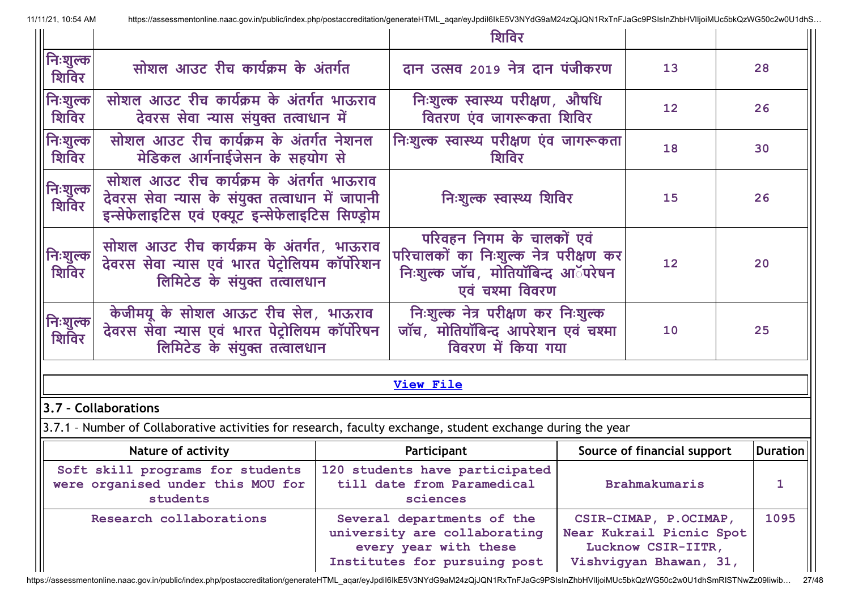|                                   |                                                                                                                                                 |  | शिविर                                                                                                                       |                                                                                                   |                             |    |                 |
|-----------------------------------|-------------------------------------------------------------------------------------------------------------------------------------------------|--|-----------------------------------------------------------------------------------------------------------------------------|---------------------------------------------------------------------------------------------------|-----------------------------|----|-----------------|
| <mark>.</mark> निःशुल्क।<br>शिविर | सोशल आउट रीच कार्यक्रम के अंतर्गत                                                                                                               |  | दान उत्सव २०19 नेत्र दान पंजीकरण                                                                                            |                                                                                                   | 13                          | 28 |                 |
| निःशुल्क<br>शिविर                 | सोशल आउट रीच कार्यक्रम के अंतर्गत भाऊराव<br>देवरस सेवा न्यास संयुक्त तत्वाधान में                                                               |  | निःशुल्क स्वास्थ्य परीक्षण, औषधि<br>वितरण एंव जागरूकता शिविर                                                                |                                                                                                   | $12 \overline{ }$           | 26 |                 |
| निःशुल्क<br>शिविर                 | सोशल आउट रीच कार्यक्रम के अंतर्गत नेशनल<br>मेडिकल आर्गनाईजेसन के सहयोग से                                                                       |  | निःशुल्क स्वास्थ्य परीक्षण एंव जागरूकता<br>शिविर                                                                            |                                                                                                   | 18                          | 30 |                 |
| निःशुल्क <br>शिविर                | सोशल आउट रीच कार्यक्रम के अंतर्गत भाऊराव<br>देवरस सेवा न्यास के संयुक्त तत्वाधान में जापानी<br>इन्सेफेलाइटिस एवं एक्यूट इन्सेफेलाइटिस सिण्ड्रोम |  | निःशुल्क स्वास्थ्य शिविर                                                                                                    |                                                                                                   | 15                          | 26 |                 |
| निःशुल्क!<br>शिविर                | सोशल आउट रीच कार्यक्रम के अंतर्गत, भाऊराव<br>देवरस सेवा न्यास एवं भारत पेट्रोलियम कॉर्पोरेशन<br>लिमिटेड के संयुक्त तत्वालधान                    |  | परिवहन निगम के चालकों एवं<br>परिचालकों का निःशुल्क नेत्र परीक्षण कर<br>निःशुल्क जॉच, मोतियॉबिन्द आॅपरेषन<br>एवं चश्मा विवरण |                                                                                                   | 12                          | 20 |                 |
| निःशुल्क<br>शिविर                 | केजीमयू के सोशल आऊट रीच सेल, भाऊराव<br>देवरस सेवा न्यास एवं भारत पेट्रोलियम कॉर्पोरेषन<br>लिमिटेड के संयुक्त तत्वालधान                          |  | निःशुल्क नेत्र परीक्षण कर निःशुल्क<br>जॉच, मोतियॉबिन्द आपरेशन एवं चश्मा<br>विवरण में किया गया                               |                                                                                                   | 10                          | 25 |                 |
|                                   |                                                                                                                                                 |  | <b>View File</b>                                                                                                            |                                                                                                   |                             |    |                 |
|                                   | 3.7 - Collaborations                                                                                                                            |  |                                                                                                                             |                                                                                                   |                             |    |                 |
|                                   | 3.7.1 - Number of Collaborative activities for research, faculty exchange, student exchange during the year                                     |  |                                                                                                                             |                                                                                                   |                             |    |                 |
| <b>Nature of activity</b>         |                                                                                                                                                 |  | Participant                                                                                                                 |                                                                                                   | Source of financial support |    | <b>Duration</b> |
|                                   | Soft skill programs for students<br>were organised under this MOU for<br>students                                                               |  | 120 students have participated<br>till date from Paramedical<br>sciences                                                    |                                                                                                   | <b>Brahmakumaris</b>        |    | 1               |
| Research collaborations           |                                                                                                                                                 |  | Several departments of the<br>university are collaborating<br>every year with these<br>Institutes for pursuing post         | CSIR-CIMAP, P.OCIMAP,<br>Near Kukrail Picnic Spot<br>Lucknow CSIR-IITR,<br>Vishviqyan Bhawan, 31, |                             |    | 1095            |

https://assessmentonline.naac.gov.in/public/index.php/postaccreditation/generateHTML\_aqar/eyJpdiI6IkE5V3NYdG9aM24zQjJQN1RxTnFJaGc9PSIsInZhbHVlIjoiMUc5bkQzWG50c2w0U1dhSmRISTNwZz09Iiwib... 27/48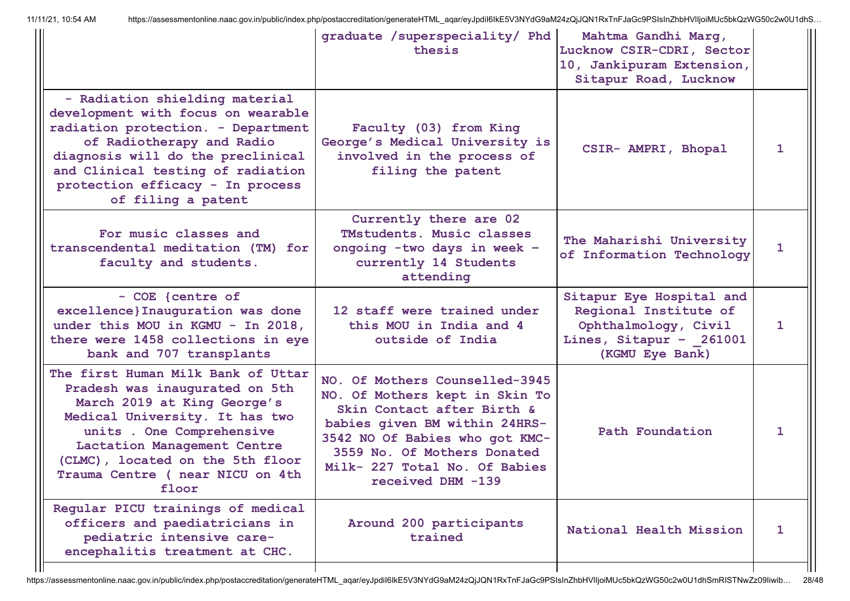|                                                                                                                                                                                                                                                                                    | graduate /superspeciality/ Phd<br>thesis                                                                                                                                                                                                               | Mahtma Gandhi Marq,<br>Lucknow CSIR-CDRI, Sector<br>10, Jankipuram Extension,<br>Sitapur Road, Lucknow                  |              |
|------------------------------------------------------------------------------------------------------------------------------------------------------------------------------------------------------------------------------------------------------------------------------------|--------------------------------------------------------------------------------------------------------------------------------------------------------------------------------------------------------------------------------------------------------|-------------------------------------------------------------------------------------------------------------------------|--------------|
| - Radiation shielding material<br>development with focus on wearable<br>radiation protection. - Department<br>of Radiotherapy and Radio<br>diagnosis will do the preclinical<br>and Clinical testing of radiation<br>protection efficacy - In process<br>of filing a patent        | Faculty (03) from King<br>George's Medical University is<br>involved in the process of<br>filing the patent                                                                                                                                            | CSIR- AMPRI, Bhopal                                                                                                     | 1            |
| For music classes and<br>transcendental meditation (TM) for<br>faculty and students.                                                                                                                                                                                               | Currently there are 02<br>TMstudents. Music classes<br>ongoing -two days in week -<br>currently 14 Students<br>attending                                                                                                                               | The Maharishi University<br>of Information Technology                                                                   | 1            |
| - COE {centre of<br>excellence}Inauguration was done<br>under this MOU in KGMU - In 2018,<br>there were 1458 collections in eye<br>bank and 707 transplants                                                                                                                        | 12 staff were trained under<br>this MOU in India and 4<br>outside of India                                                                                                                                                                             | Sitapur Eye Hospital and<br>Regional Institute of<br>Ophthalmology, Civil<br>Lines, Sitapur - 261001<br>(KGMU Eye Bank) | 1            |
| The first Human Milk Bank of Uttar<br>Pradesh was inaugurated on 5th<br>March 2019 at King George's<br>Medical University. It has two<br>units . One Comprehensive<br>Lactation Management Centre<br>(CLMC), located on the 5th floor<br>Trauma Centre ( near NICU on 4th<br>floor | NO. Of Mothers Counselled-3945<br>NO. Of Mothers kept in Skin To<br>Skin Contact after Birth &<br>babies given BM within 24HRS-<br>3542 NO Of Babies who got KMC-<br>3559 No. Of Mothers Donated<br>Milk- 227 Total No. Of Babies<br>received DHM -139 | Path Foundation                                                                                                         | 1            |
| Regular PICU trainings of medical<br>officers and paediatricians in<br>pediatric intensive care-<br>encephalitis treatment at CHC.                                                                                                                                                 | Around 200 participants<br>trained                                                                                                                                                                                                                     | National Health Mission                                                                                                 | $\mathbf{1}$ |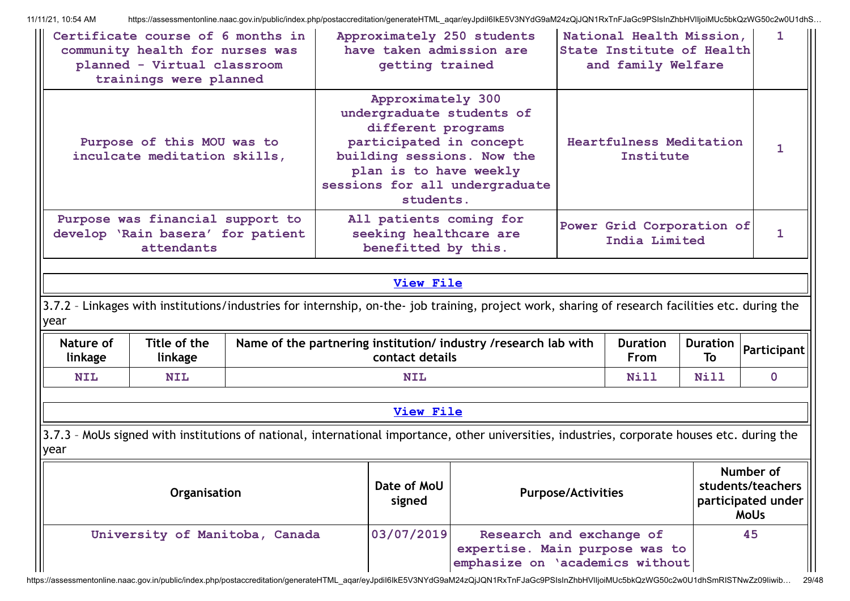|                                                                    | Certificate course of 6 months in<br>Approximately 250 students<br>National Health Mission,<br>have taken admission are<br>State Institute of Health<br>community health for nurses was<br>planned - Virtual classroom<br>getting trained<br>and family Welfare<br>trainings were planned |  |  |                                                                                                           |                                                                                                                                                  |                                             |                                                                     | 1                     |                    |
|--------------------------------------------------------------------|-------------------------------------------------------------------------------------------------------------------------------------------------------------------------------------------------------------------------------------------------------------------------------------------|--|--|-----------------------------------------------------------------------------------------------------------|--------------------------------------------------------------------------------------------------------------------------------------------------|---------------------------------------------|---------------------------------------------------------------------|-----------------------|--------------------|
|                                                                    | Purpose of this MOU was to<br>inculcate meditation skills,                                                                                                                                                                                                                                |  |  | Approximately 300<br>different programs<br>participated in concept<br>plan is to have weekly<br>students. | undergraduate students of<br>building sessions. Now the<br>sessions for all undergraduate                                                        | <b>Heartfulness Meditation</b><br>Institute |                                                                     |                       |                    |
|                                                                    | Purpose was financial support to<br>develop 'Rain basera' for patient<br>attendants                                                                                                                                                                                                       |  |  | All patients coming for<br>seeking healthcare are<br>benefitted by this.                                  |                                                                                                                                                  |                                             | Power Grid Corporation of<br>India Limited                          |                       | $\mathbf{1}$       |
|                                                                    | <b>View File</b>                                                                                                                                                                                                                                                                          |  |  |                                                                                                           |                                                                                                                                                  |                                             |                                                                     |                       |                    |
| year                                                               |                                                                                                                                                                                                                                                                                           |  |  |                                                                                                           | 3.7.2 - Linkages with institutions/industries for internship, on-the- job training, project work, sharing of research facilities etc. during the |                                             |                                                                     |                       |                    |
| Nature of<br>linkage                                               | Title of the<br>linkage                                                                                                                                                                                                                                                                   |  |  | contact details                                                                                           | Name of the partnering institution/ industry / research lab with                                                                                 |                                             | <b>Duration</b><br><b>From</b>                                      | <b>Duration</b><br>To | <b>Participant</b> |
| <b>NIL</b>                                                         | <b>NIL</b>                                                                                                                                                                                                                                                                                |  |  | <b>NIL</b>                                                                                                |                                                                                                                                                  |                                             | <b>Nill</b>                                                         | <b>Nill</b>           | $\mathbf 0$        |
|                                                                    |                                                                                                                                                                                                                                                                                           |  |  | <b>View File</b>                                                                                          |                                                                                                                                                  |                                             |                                                                     |                       |                    |
| year                                                               |                                                                                                                                                                                                                                                                                           |  |  |                                                                                                           | 3.7.3 - MoUs signed with institutions of national, international importance, other universities, industries, corporate houses etc. during the    |                                             |                                                                     |                       |                    |
| Date of MoU<br>Organisation<br><b>Purpose/Activities</b><br>signed |                                                                                                                                                                                                                                                                                           |  |  |                                                                                                           |                                                                                                                                                  |                                             | Number of<br>students/teachers<br>participated under<br><b>MoUs</b> |                       |                    |
|                                                                    | University of Manitoba, Canada                                                                                                                                                                                                                                                            |  |  | 03/07/2019                                                                                                | Research and exchange of<br>expertise. Main purpose was to<br>emphasize on 'academics without                                                    |                                             |                                                                     |                       | 45                 |

https://assessmentonline.naac.gov.in/public/index.php/postaccreditation/generateHTML\_aqar/eyJpdiI6IkE5V3NYdG9aM24zQjJQN1RxTnFJaGc9PSIsInZhbHVlIjoiMUc5bkQzWG50c2w0U1dhSmRISTNwZz09Iiwib... 29/48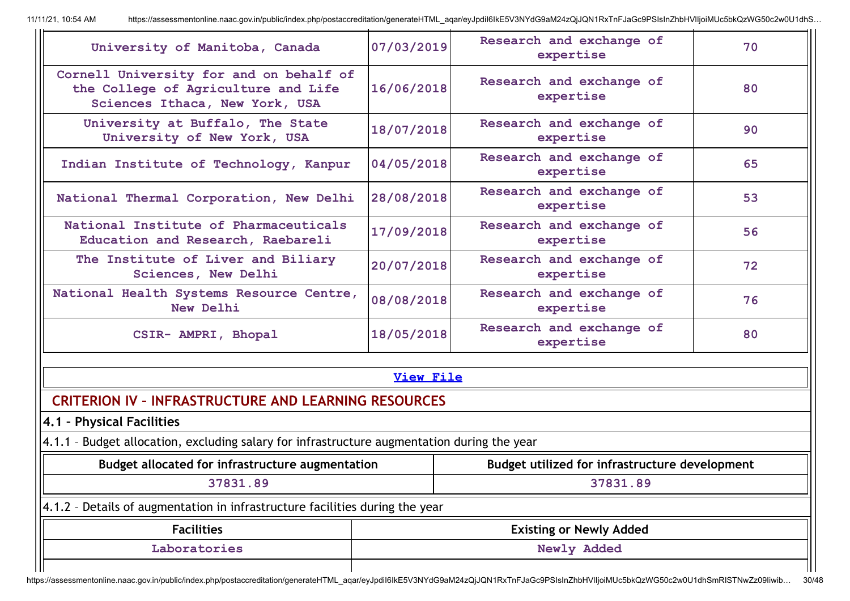| University of Manitoba, Canada                                                                                   | 07/03/2019       | Research and exchange of<br>expertise          | 70 |  |  |  |  |  |
|------------------------------------------------------------------------------------------------------------------|------------------|------------------------------------------------|----|--|--|--|--|--|
| Cornell University for and on behalf of<br>the College of Agriculture and Life<br>Sciences Ithaca, New York, USA | 16/06/2018       | Research and exchange of<br>expertise          | 80 |  |  |  |  |  |
| University at Buffalo, The State<br>University of New York, USA                                                  | 18/07/2018       | Research and exchange of<br>expertise          | 90 |  |  |  |  |  |
| Indian Institute of Technology, Kanpur                                                                           | 04/05/2018       | Research and exchange of<br>expertise          | 65 |  |  |  |  |  |
| National Thermal Corporation, New Delhi                                                                          | 28/08/2018       | Research and exchange of<br>expertise          | 53 |  |  |  |  |  |
| National Institute of Pharmaceuticals<br>Education and Research, Raebareli                                       | 17/09/2018       | Research and exchange of<br>expertise          | 56 |  |  |  |  |  |
| The Institute of Liver and Biliary<br>Sciences, New Delhi                                                        | 20/07/2018       | Research and exchange of<br>expertise          | 72 |  |  |  |  |  |
| National Health Systems Resource Centre,<br>New Delhi                                                            | 08/08/2018       | Research and exchange of<br>expertise          | 76 |  |  |  |  |  |
| CSIR- AMPRI, Bhopal                                                                                              | 18/05/2018       | Research and exchange of<br>expertise          | 80 |  |  |  |  |  |
|                                                                                                                  | <b>View File</b> |                                                |    |  |  |  |  |  |
| <b>CRITERION IV - INFRASTRUCTURE AND LEARNING RESOURCES</b>                                                      |                  |                                                |    |  |  |  |  |  |
| 4.1 - Physical Facilities                                                                                        |                  |                                                |    |  |  |  |  |  |
| 4.1.1 - Budget allocation, excluding salary for infrastructure augmentation during the year                      |                  |                                                |    |  |  |  |  |  |
| <b>Budget allocated for infrastructure augmentation</b>                                                          |                  | Budget utilized for infrastructure development |    |  |  |  |  |  |
| 37831.89                                                                                                         |                  | 37831.89                                       |    |  |  |  |  |  |
| Details of augmentation in infrastructure facilities during the year<br>$4.1.2 -$                                |                  |                                                |    |  |  |  |  |  |
| <b>Facilities</b>                                                                                                |                  | <b>Existing or Newly Added</b>                 |    |  |  |  |  |  |
| Laboratories                                                                                                     |                  | Newly Added                                    |    |  |  |  |  |  |
|                                                                                                                  |                  |                                                |    |  |  |  |  |  |

https://assessmentonline.naac.gov.in/public/index.php/postaccreditation/generateHTML\_aqar/eyJpdiI6IkE5V3NYdG9aM24zQjJQN1RxTnFJaGc9PSIsInZhbHVlIjoiMUc5bkQzWG50c2w0U1dhSmRISTNwZz09Iiwib... 30/48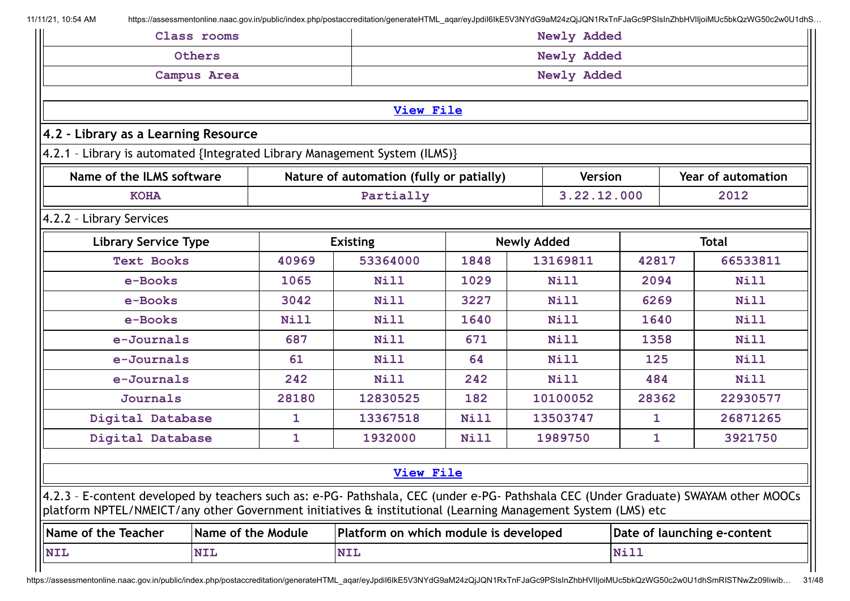|                                                                                                                                                                                                                                                      | Class rooms                                                                |                                                     | Newly Added                              |             |  |                |              |      |                             |
|------------------------------------------------------------------------------------------------------------------------------------------------------------------------------------------------------------------------------------------------------|----------------------------------------------------------------------------|-----------------------------------------------------|------------------------------------------|-------------|--|----------------|--------------|------|-----------------------------|
|                                                                                                                                                                                                                                                      | Others                                                                     |                                                     |                                          | Newly Added |  |                |              |      |                             |
| <b>Campus Area</b>                                                                                                                                                                                                                                   |                                                                            |                                                     |                                          |             |  | Newly Added    |              |      |                             |
|                                                                                                                                                                                                                                                      |                                                                            |                                                     |                                          |             |  |                |              |      |                             |
| <b>View File</b>                                                                                                                                                                                                                                     |                                                                            |                                                     |                                          |             |  |                |              |      |                             |
| 4.2 - Library as a Learning Resource                                                                                                                                                                                                                 |                                                                            |                                                     |                                          |             |  |                |              |      |                             |
|                                                                                                                                                                                                                                                      | 4.2.1 - Library is automated {Integrated Library Management System (ILMS)} |                                                     |                                          |             |  |                |              |      |                             |
| Name of the ILMS software                                                                                                                                                                                                                            |                                                                            |                                                     | Nature of automation (fully or patially) |             |  | <b>Version</b> |              |      | <b>Year of automation</b>   |
| <b>KOHA</b>                                                                                                                                                                                                                                          |                                                                            |                                                     | Partially                                |             |  | 3.22.12.000    |              |      | 2012                        |
| 4.2.2 - Library Services                                                                                                                                                                                                                             |                                                                            |                                                     |                                          |             |  |                |              |      |                             |
| <b>Library Service Type</b><br><b>Existing</b><br><b>Newly Added</b><br><b>Total</b>                                                                                                                                                                 |                                                                            |                                                     |                                          |             |  |                |              |      |                             |
| <b>Text Books</b>                                                                                                                                                                                                                                    | 53364000<br>40969                                                          |                                                     |                                          | 1848        |  | 13169811       | 42817        |      | 66533811                    |
| e-Books                                                                                                                                                                                                                                              | 1065                                                                       |                                                     |                                          | 1029        |  | Nill           | 2094         |      | <b>Nill</b>                 |
| e-Books                                                                                                                                                                                                                                              | 3227<br>3042<br>Nill<br>Nill                                               |                                                     |                                          |             |  | 6269           |              | Nill |                             |
| e-Books                                                                                                                                                                                                                                              |                                                                            | Nill<br>1640<br>1640<br>Nill<br>Nill<br><b>Nill</b> |                                          |             |  |                |              |      |                             |
| e-Journals                                                                                                                                                                                                                                           |                                                                            | 687                                                 | Nill<br>671<br>Nill<br>1358<br>Nill      |             |  |                |              |      |                             |
| e-Journals                                                                                                                                                                                                                                           |                                                                            | 61                                                  | Nill                                     | 64          |  | <b>Nill</b>    | 125          |      | <b>Nill</b>                 |
| e-Journals                                                                                                                                                                                                                                           |                                                                            | 242                                                 | <b>Nill</b>                              | 242         |  | <b>Nill</b>    | 484          |      | Nill                        |
| <b>Journals</b>                                                                                                                                                                                                                                      |                                                                            | 28180                                               | 12830525                                 | 182         |  | 10100052       | 28362        |      | 22930577                    |
| Digital Database                                                                                                                                                                                                                                     |                                                                            | 1                                                   | 13367518                                 | <b>Nill</b> |  | 13503747       | $\mathbf 1$  |      | 26871265                    |
| Digital Database                                                                                                                                                                                                                                     |                                                                            | $\mathbf{1}$                                        | 1932000                                  | <b>Nill</b> |  | 1989750        | $\mathbf{1}$ |      | 3921750                     |
|                                                                                                                                                                                                                                                      |                                                                            |                                                     |                                          |             |  |                |              |      |                             |
|                                                                                                                                                                                                                                                      |                                                                            |                                                     | <b>View File</b>                         |             |  |                |              |      |                             |
| 4.2.3 - E-content developed by teachers such as: e-PG- Pathshala, CEC (under e-PG- Pathshala CEC (Under Graduate) SWAYAM other MOOCs<br>platform NPTEL/NMEICT/any other Government initiatives & institutional (Learning Management System (LMS) etc |                                                                            |                                                     |                                          |             |  |                |              |      |                             |
| Name of the Teacher                                                                                                                                                                                                                                  | Name of the Module                                                         |                                                     | Platform on which module is developed    |             |  |                |              |      | Date of launching e-content |
| <b>NIL</b>                                                                                                                                                                                                                                           | <b>NIL</b>                                                                 |                                                     | <b>NIL</b>                               |             |  |                | <b>Nill</b>  |      |                             |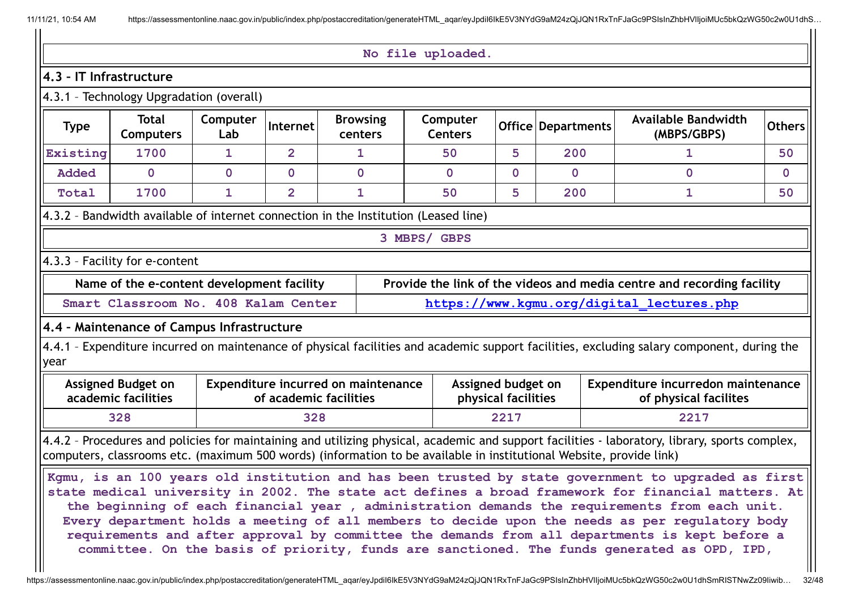#### **No file uploaded.**

## **4.3 – IT Infrastructure**

# 4.3.1 – Technology Upgradation (overall)

| <b>Type</b> | <b>Total</b><br>Computers                                                           | Computer<br>Lab | <b>Internet</b> | <b>Browsing</b><br>centers | Computer<br><b>Centers</b> |  | Office   Departments | <b>Available Bandwidth</b><br>(MBPS/GBPS) | <b>Others</b> |
|-------------|-------------------------------------------------------------------------------------|-----------------|-----------------|----------------------------|----------------------------|--|----------------------|-------------------------------------------|---------------|
| Existing    | 1700                                                                                |                 |                 |                            | 50                         |  | 200                  |                                           | 50            |
| Added       |                                                                                     |                 |                 |                            |                            |  |                      |                                           |               |
| Total       | 1700                                                                                |                 |                 |                            | 50                         |  | 200                  |                                           | 50            |
|             | 4.3.2 - Bandwidth available of internet connection in the Institution (Leased line) |                 |                 |                            |                            |  |                      |                                           |               |

#### **3 MBPS/ GBPS**

# 4.3.3 – Facility for e-content

| Name of the e-content development facility | Provide the link of the videos and media centre and recording facility |
|--------------------------------------------|------------------------------------------------------------------------|
| Smart Classroom No. 408 Kalam Center       | https://www.kgmu.org/digital_lectures.php                              |

## **4.4 – Maintenance of Campus Infrastructure**

4.4.1 - Expenditure incurred on maintenance of physical facilities and academic support facilities, excluding salary component, during the year

| Assigned Budget on  | Expenditure incurred on maintenance | Assigned budget on  | Expenditure incurredon maintenance |  |  |
|---------------------|-------------------------------------|---------------------|------------------------------------|--|--|
| academic facilities | of academic facilities              | physical facilities | of physical facilites              |  |  |
| 328                 | 328                                 | 2217                | 2217                               |  |  |

4.4.2 - Procedures and policies for maintaining and utilizing physical, academic and support facilities - laboratory, library, sports complex, computers, classrooms etc. (maximum 500 words) (information to be available in institutional Website, provide link)

Kgmu, is an 100 years old institution and has been trusted by state government to upgraded as first **state medical university in 2002. The state act defines a broad framework for financial matters. At the beginning of each financial year , administration demands the requirements from each unit. Every department holds a meeting of all members to decide upon the needs as per regulatory body requirements and after approval by committee the demands from all departments is kept before a committee. On the basis of priority, funds are sanctioned. The funds generated as OPD, IPD,**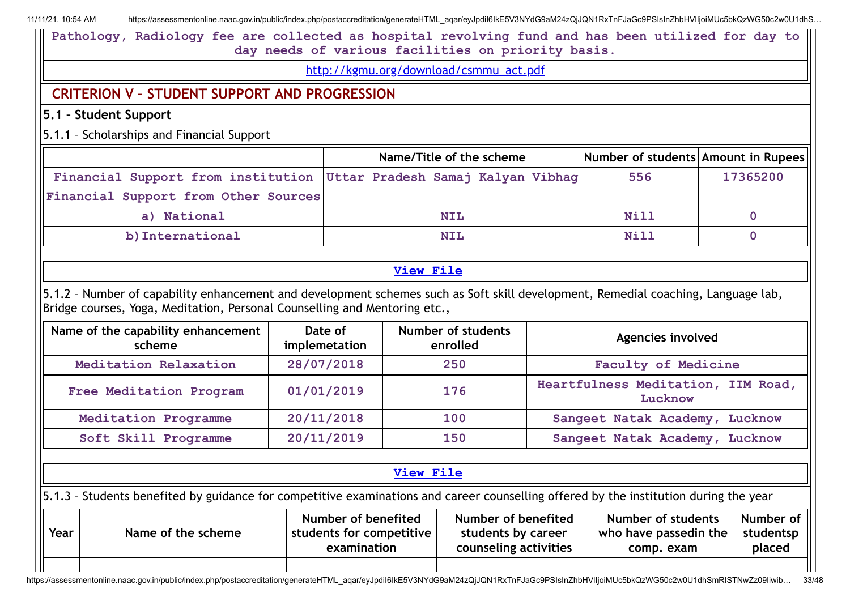**Pathology, Radiology fee are collected as hospital revolving fund and has been utilized for day to day needs of various facilities on priority basis.**

[http://kgmu.org/download/csmmu\\_act.pdf](http://kgmu.org/download/csmmu_act.pdf)

# **CRITERION V – STUDENT SUPPORT AND PROGRESSION**

**5.1 – Student Support**

5.1.1 – Scholarships and Financial Support

|                                                                      | Name/Title of the scheme | Number of students Amount in Rupees |          |
|----------------------------------------------------------------------|--------------------------|-------------------------------------|----------|
| Financial Support from institution Uttar Pradesh Samaj Kalyan Vibhag |                          | 556                                 | 17365200 |
| Financial Support from Other Sources                                 |                          |                                     |          |
| a) National                                                          | <b>NIL</b>               | Nill                                |          |
| b) International                                                     | <b>NIL</b>               | <b>Nill</b>                         |          |

## **[View](https://assessmentonline.naac.gov.in/public/Postacc/Scholarships/6569_Scholarships_1633584191.xlsx) File**

5.1.2 – Number of capability enhancement and development schemes such as Soft skill development, Remedial coaching, Language lab, Bridge courses, Yoga, Meditation, Personal Counselling and Mentoring etc.,

| Name of the capability enhancement<br>scheme | Date of<br>implemetation | <b>Number of students</b><br>enrolled | Agencies involved                             |
|----------------------------------------------|--------------------------|---------------------------------------|-----------------------------------------------|
| Meditation Relaxation                        | 28/07/2018               | 250                                   | Faculty of Medicine                           |
| Free Meditation Program                      | 01/01/2019               | 176                                   | Heartfulness Meditation, IIM Road,<br>Lucknow |
| Meditation Programme                         | 20/11/2018               | 100                                   | Sangeet Natak Academy,<br>Lucknow             |
| Soft Skill Programme                         | 20/11/2019               | 150                                   | Sangeet Natak Academy,<br>Lucknow             |

## **[View](https://assessmentonline.naac.gov.in/public/Postacc/Development_Schemes/6569_Development_Schemes_1606192697.xlsx) File**

5.1.3 – Students benefited by guidance for competitive examinations and career counselling offered by the institution during the year

| $\sqrt{\frac{1}{1+\epsilon^2}}$ | Name of the scheme | Number of benefited<br>students for competitive<br>examination | Number of benefited<br>students by career<br>counseling activities | Number of students<br>who have passedin the<br>comp. exam | Number of II<br>studentsp<br>placed |
|---------------------------------|--------------------|----------------------------------------------------------------|--------------------------------------------------------------------|-----------------------------------------------------------|-------------------------------------|
|                                 |                    |                                                                |                                                                    |                                                           |                                     |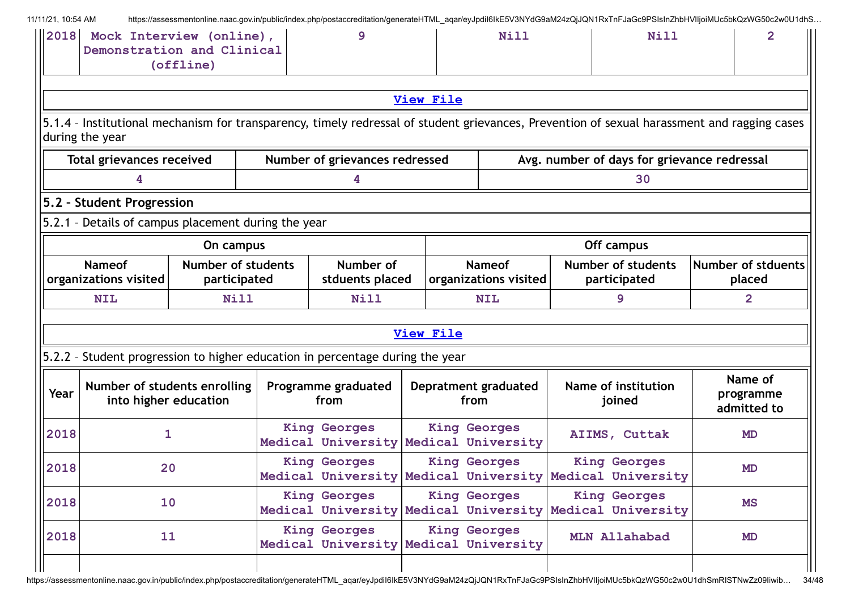| 11/11/21, 10:54 AM |                                                                                                                                                                |                                           | https://assessmentonline.naac.gov.in/public/index.php/postaccreditation/generateHTML aqar/eyJpdil6lkE5V3NYdG9aM24zQjJQN1RxTnFJaGc9PSIsInZhbHVIIjoiMUc5bkQzWG50c2w0U1dhS |                  |                                        |                                           |      |                                             |                                     |
|--------------------|----------------------------------------------------------------------------------------------------------------------------------------------------------------|-------------------------------------------|-------------------------------------------------------------------------------------------------------------------------------------------------------------------------|------------------|----------------------------------------|-------------------------------------------|------|---------------------------------------------|-------------------------------------|
| $\vert$ 2018       | Demonstration and Clinical                                                                                                                                     | Mock Interview (online),<br>(offline)     | q                                                                                                                                                                       |                  |                                        | Nill                                      | Nill |                                             | 2                                   |
|                    |                                                                                                                                                                |                                           |                                                                                                                                                                         | <b>View File</b> |                                        |                                           |      |                                             |                                     |
|                    | 5.1.4 - Institutional mechanism for transparency, timely redressal of student grievances, Prevention of sexual harassment and ragging cases<br>during the year |                                           |                                                                                                                                                                         |                  |                                        |                                           |      |                                             |                                     |
|                    | <b>Total grievances received</b>                                                                                                                               |                                           | Number of grievances redressed                                                                                                                                          |                  |                                        |                                           |      | Avg. number of days for grievance redressal |                                     |
|                    |                                                                                                                                                                |                                           |                                                                                                                                                                         |                  |                                        |                                           |      | 30                                          |                                     |
|                    | 5.2 - Student Progression                                                                                                                                      |                                           |                                                                                                                                                                         |                  |                                        |                                           |      |                                             |                                     |
|                    | 5.2.1 - Details of campus placement during the year                                                                                                            |                                           |                                                                                                                                                                         |                  |                                        |                                           |      |                                             |                                     |
|                    |                                                                                                                                                                | On campus                                 |                                                                                                                                                                         |                  |                                        |                                           |      | Off campus                                  |                                     |
|                    | <b>Nameof</b><br>organizations visited                                                                                                                         | <b>Number of students</b><br>participated | Number of<br>stduents placed                                                                                                                                            |                  | <b>Nameof</b><br>organizations visited | <b>Number of students</b><br>participated |      | Number of stduents<br>placed                |                                     |
|                    | <b>NIL</b>                                                                                                                                                     | <b>Nill</b>                               | Nill                                                                                                                                                                    | <b>NIL</b>       |                                        | 9                                         |      | 2                                           |                                     |
|                    |                                                                                                                                                                |                                           |                                                                                                                                                                         | <b>View File</b> |                                        |                                           |      |                                             |                                     |
|                    | 5.2.2 - Student progression to higher education in percentage during the year                                                                                  |                                           |                                                                                                                                                                         |                  |                                        |                                           |      |                                             |                                     |
| Year               | Number of students enrolling<br>into higher education                                                                                                          |                                           | Programme graduated<br>from                                                                                                                                             |                  | from                                   | Depratment graduated                      |      | Name of institution<br>joined               | Name of<br>programme<br>admitted to |
| 2018               | 1                                                                                                                                                              |                                           | <b>King Georges</b><br>Medical University Medical University                                                                                                            |                  |                                        | <b>King Georges</b>                       |      | AIIMS, Cuttak                               | <b>MD</b>                           |
| 2018<br>20         |                                                                                                                                                                |                                           | <b>King Georges</b><br>Medical University Medical University Medical University                                                                                         |                  |                                        | <b>King Georges</b>                       |      | <b>King Georges</b>                         | MD                                  |
| 2018               | 10                                                                                                                                                             |                                           | <b>King Georges</b><br>Medical University Medical University Medical University                                                                                         |                  |                                        | <b>King Georges</b>                       |      | <b>King Georges</b>                         | MS                                  |
| 2018               | 11                                                                                                                                                             |                                           | <b>King Georges</b><br>Medical University Medical University                                                                                                            |                  |                                        | <b>King Georges</b>                       |      | MLN Allahabad                               | MD                                  |
|                    |                                                                                                                                                                |                                           |                                                                                                                                                                         |                  |                                        |                                           |      |                                             |                                     |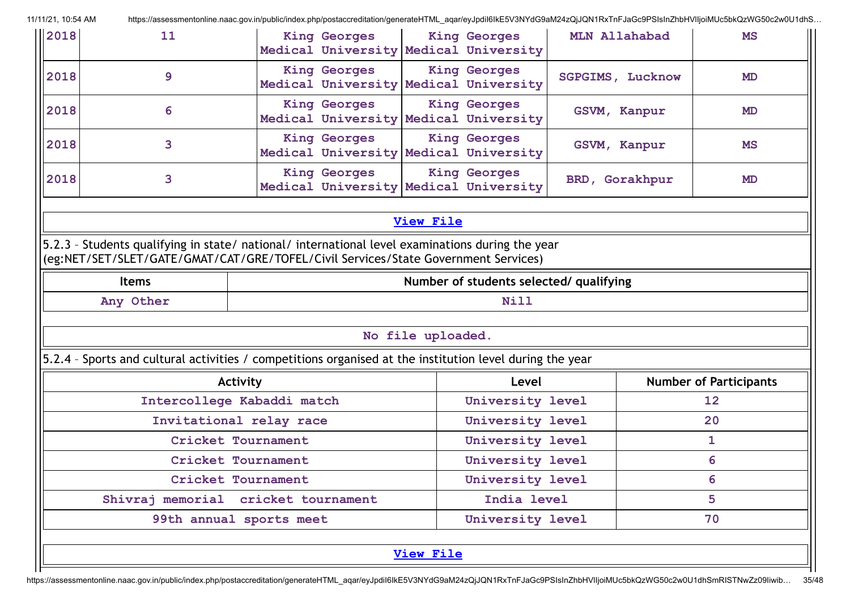| 2018 | 11           | <b>King Georges</b><br>Medical University Medical University                                                                                                                           |                   | <b>King Georges</b>                       | MLN Allahabad           | <b>MS</b>                     |  |
|------|--------------|----------------------------------------------------------------------------------------------------------------------------------------------------------------------------------------|-------------------|-------------------------------------------|-------------------------|-------------------------------|--|
| 2018 | 9            | <b>King Georges</b><br>Medical University Medical University                                                                                                                           |                   | <b>King Georges</b>                       | <b>SGPGIMS, Lucknow</b> | <b>MD</b>                     |  |
| 2018 | 6            | <b>King Georges</b><br>Medical University Medical University                                                                                                                           |                   | <b>King Georges</b>                       | GSVM, Kanpur            | <b>MD</b>                     |  |
| 2018 | 3            | <b>King Georges</b><br>Medical University                                                                                                                                              |                   | <b>King Georges</b><br>Medical University | GSVM, Kanpur            | <b>MS</b>                     |  |
| 2018 | 3            | <b>King Georges</b><br>Medical University Medical University                                                                                                                           |                   | <b>King Georges</b>                       | BRD, Gorakhpur          | <b>MD</b>                     |  |
|      |              |                                                                                                                                                                                        | <b>View File</b>  |                                           |                         |                               |  |
|      |              | 5.2.3 - Students qualifying in state/ national/ international level examinations during the year<br>(eg:NET/SET/SLET/GATE/GMAT/CAT/GRE/TOFEL/Civil Services/State Government Services) |                   |                                           |                         |                               |  |
|      | <b>Items</b> |                                                                                                                                                                                        |                   | Number of students selected/ qualifying   |                         |                               |  |
|      | Any Other    |                                                                                                                                                                                        |                   | Nill                                      |                         |                               |  |
|      |              |                                                                                                                                                                                        | No file uploaded. |                                           |                         |                               |  |
|      |              | 5.2.4 - Sports and cultural activities / competitions organised at the institution level during the year                                                                               |                   |                                           |                         |                               |  |
|      |              | Activity                                                                                                                                                                               |                   | Level                                     |                         | <b>Number of Participants</b> |  |
|      |              | Intercollege Kabaddi match                                                                                                                                                             |                   | University level                          |                         | 12                            |  |
|      |              | Invitational relay race                                                                                                                                                                |                   | University level                          |                         | 20                            |  |
|      |              | Cricket Tournament                                                                                                                                                                     |                   | University level                          |                         | 1                             |  |
|      |              | Cricket Tournament                                                                                                                                                                     |                   | University level                          |                         | 6                             |  |
|      |              | Cricket Tournament                                                                                                                                                                     |                   | University level                          |                         | 6                             |  |
|      |              | Shivraj memorial cricket tournament                                                                                                                                                    |                   | India level                               |                         | 5                             |  |
|      |              | 99th annual sports meet                                                                                                                                                                |                   | University level                          |                         | 70                            |  |
|      |              |                                                                                                                                                                                        | <b>View File</b>  |                                           |                         |                               |  |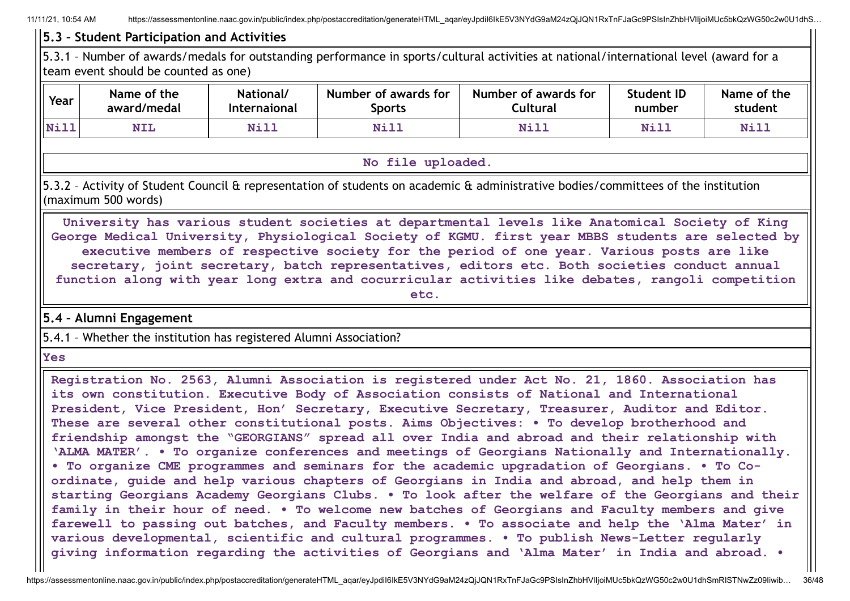## **5.3 – Student Participation and Activities**

5.3.1 – Number of awards/medals for outstanding performance in sports/cultural activities at national/international level (award for a team event should be counted as one)

| Year | Name of the | National/    | Number of awards for | Number of awards for | Student ID  | Name of the |
|------|-------------|--------------|----------------------|----------------------|-------------|-------------|
|      | award/medal | Internaional | Sports               | .ultural             | number      | student     |
| Nill | <b>NIL</b>  | <b>Nill</b>  | Nill                 | Nill                 | <b>Nill</b> | Nill        |

#### **No file uploaded.**

5.3.2 – Activity of Student Council & representation of students on academic & administrative bodies/committees of the institution (maximum 500 words)

**University has various student societies at departmental levels like Anatomical Society of King George Medical University, Physiological Society of KGMU. first year MBBS students are selected by executive members of respective society for the period of one year. Various posts are like secretary, joint secretary, batch representatives, editors etc. Both societies conduct annual function along with year long extra and cocurricular activities like debates, rangoli competition etc.**

**5.4 – Alumni Engagement**

5.4.1 – Whether the institution has registered Alumni Association?

**Yes**

**Registration No. 2563, Alumni Association is registered under Act No. 21, 1860. Association has its own constitution. Executive Body of Association consists of National and International President, Vice President, Hon' Secretary, Executive Secretary, Treasurer, Auditor and Editor. These are several other constitutional posts. Aims Objectives: • To develop brotherhood and friendship amongst the "GEORGIANS" spread all over India and abroad and their relationship with 'ALMA MATER'. • To organize conferences and meetings of Georgians Nationally and Internationally. • To organize CME programmes and seminars for the academic upgradation of Georgians. • To Coordinate, guide and help various chapters of Georgians in India and abroad, and help them in starting Georgians Academy Georgians Clubs. • To look after the welfare of the Georgians and their family in their hour of need. • To welcome new batches of Georgians and Faculty members and give farewell to passing out batches, and Faculty members. • To associate and help the 'Alma Mater' in various developmental, scientific and cultural programmes. • To publish News-Letter regularly giving information regarding the activities of Georgians and 'Alma Mater' in India and abroad. •**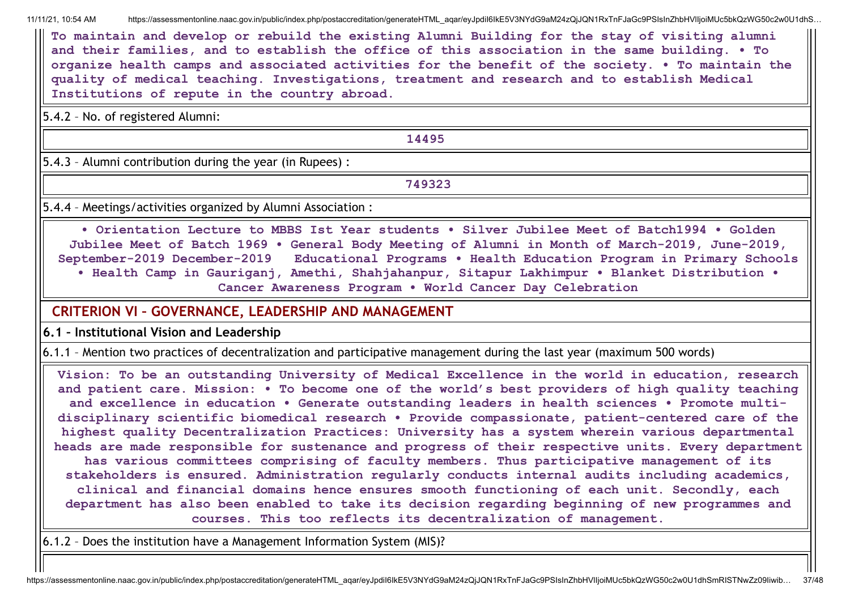**To maintain and develop or rebuild the existing Alumni Building for the stay of visiting alumni and their families, and to establish the office of this association in the same building. • To organize health camps and associated activities for the benefit of the society. • To maintain the quality of medical teaching. Investigations, treatment and research and to establish Medical Institutions of repute in the country abroad.**

5.4.2 – No. of registered Alumni:

**14495**

5.4.3 – Alumni contribution during the year (in Rupees) :

**749323**

5.4.4 – Meetings/activities organized by Alumni Association :

**• Orientation Lecture to MBBS Ist Year students • Silver Jubilee Meet of Batch1994 • Golden Jubilee Meet of Batch 1969 • General Body Meeting of Alumni in Month of March-2019, June-2019, September-2019 December-2019 Educational Programs • Health Education Program in Primary Schools • Health Camp in Gauriganj, Amethi, Shahjahanpur, Sitapur Lakhimpur • Blanket Distribution • Cancer Awareness Program • World Cancer Day Celebration**

## **CRITERION VI – GOVERNANCE, LEADERSHIP AND MANAGEMENT**

**6.1 – Institutional Vision and Leadership**

6.1.1 – Mention two practices of decentralization and participative management during the last year (maximum 500 words)

**Vision: To be an outstanding University of Medical Excellence in the world in education, research and patient care. Mission: • To become one of the world's best providers of high quality teaching and excellence in education • Generate outstanding leaders in health sciences • Promote multidisciplinary scientific biomedical research • Provide compassionate, patient-centered care of the highest quality Decentralization Practices: University has a system wherein various departmental heads are made responsible for sustenance and progress of their respective units. Every department has various committees comprising of faculty members. Thus participative management of its stakeholders is ensured. Administration regularly conducts internal audits including academics, clinical and financial domains hence ensures smooth functioning of each unit. Secondly, each department has also been enabled to take its decision regarding beginning of new programmes and courses. This too reflects its decentralization of management.**

6.1.2 – Does the institution have a Management Information System (MIS)?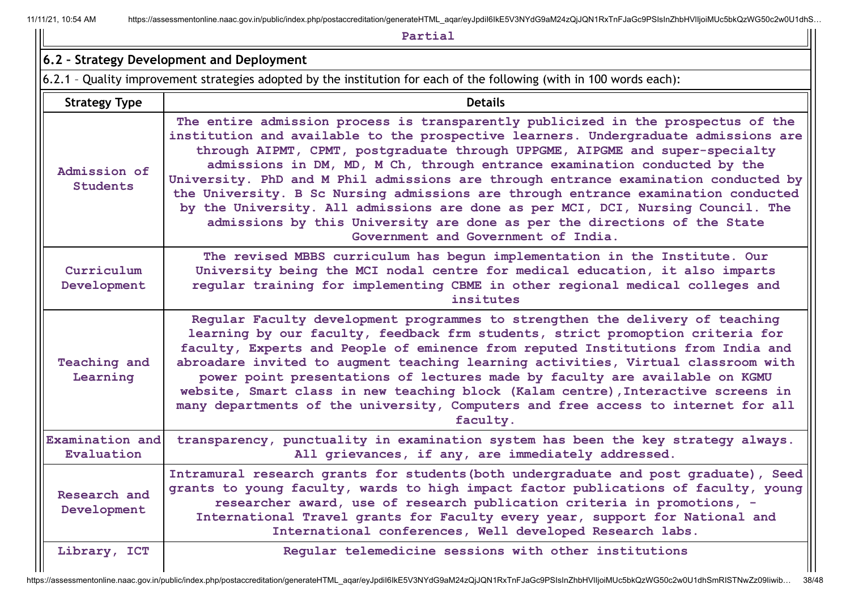|                                 | Partial                                                                                                                                                                                                                                                                                                                                                                                                                                                                                                                                                                                                                                                                                                                    |  |  |  |  |  |
|---------------------------------|----------------------------------------------------------------------------------------------------------------------------------------------------------------------------------------------------------------------------------------------------------------------------------------------------------------------------------------------------------------------------------------------------------------------------------------------------------------------------------------------------------------------------------------------------------------------------------------------------------------------------------------------------------------------------------------------------------------------------|--|--|--|--|--|
|                                 | 6.2 - Strategy Development and Deployment                                                                                                                                                                                                                                                                                                                                                                                                                                                                                                                                                                                                                                                                                  |  |  |  |  |  |
|                                 | 6.2.1 - Quality improvement strategies adopted by the institution for each of the following (with in 100 words each):                                                                                                                                                                                                                                                                                                                                                                                                                                                                                                                                                                                                      |  |  |  |  |  |
| <b>Strategy Type</b>            | <b>Details</b>                                                                                                                                                                                                                                                                                                                                                                                                                                                                                                                                                                                                                                                                                                             |  |  |  |  |  |
| Admission of<br>Students        | The entire admission process is transparently publicized in the prospectus of the<br>institution and available to the prospective learners. Undergraduate admissions are<br>through AIPMT, CPMT, postgraduate through UPPGME, AIPGME and super-specialty<br>admissions in DM, MD, M Ch, through entrance examination conducted by the<br>University. PhD and M Phil admissions are through entrance examination conducted by<br>the University. B Sc Nursing admissions are through entrance examination conducted<br>by the University. All admissions are done as per MCI, DCI, Nursing Council. The<br>admissions by this University are done as per the directions of the State<br>Government and Government of India. |  |  |  |  |  |
| Curriculum<br>Development       | The revised MBBS curriculum has begun implementation in the Institute. Our<br>University being the MCI nodal centre for medical education, it also imparts<br>regular training for implementing CBME in other regional medical colleges and<br>insitutes                                                                                                                                                                                                                                                                                                                                                                                                                                                                   |  |  |  |  |  |
| <b>Teaching and</b><br>Learning | Regular Faculty development programmes to strengthen the delivery of teaching<br>learning by our faculty, feedback frm students, strict promoption criteria for<br>faculty, Experts and People of eminence from reputed Institutions from India and<br>abroadare invited to augment teaching learning activities, Virtual classroom with<br>power point presentations of lectures made by faculty are available on KGMU<br>website, Smart class in new teaching block (Kalam centre), Interactive screens in<br>many departments of the university, Computers and free access to internet for all<br>faculty.                                                                                                              |  |  |  |  |  |
| Examination and<br>Evaluation   | transparency, punctuality in examination system has been the key strategy always.<br>All grievances, if any, are immediately addressed.                                                                                                                                                                                                                                                                                                                                                                                                                                                                                                                                                                                    |  |  |  |  |  |
| Research and<br>Development     | Intramural research grants for students (both undergraduate and post graduate), Seed<br>grants to young faculty, wards to high impact factor publications of faculty, young<br>researcher award, use of research publication criteria in promotions, -<br>International Travel grants for Faculty every year, support for National and<br>International conferences, Well developed Research labs.                                                                                                                                                                                                                                                                                                                         |  |  |  |  |  |
| Library, ICT                    | Reqular telemedicine sessions with other institutions                                                                                                                                                                                                                                                                                                                                                                                                                                                                                                                                                                                                                                                                      |  |  |  |  |  |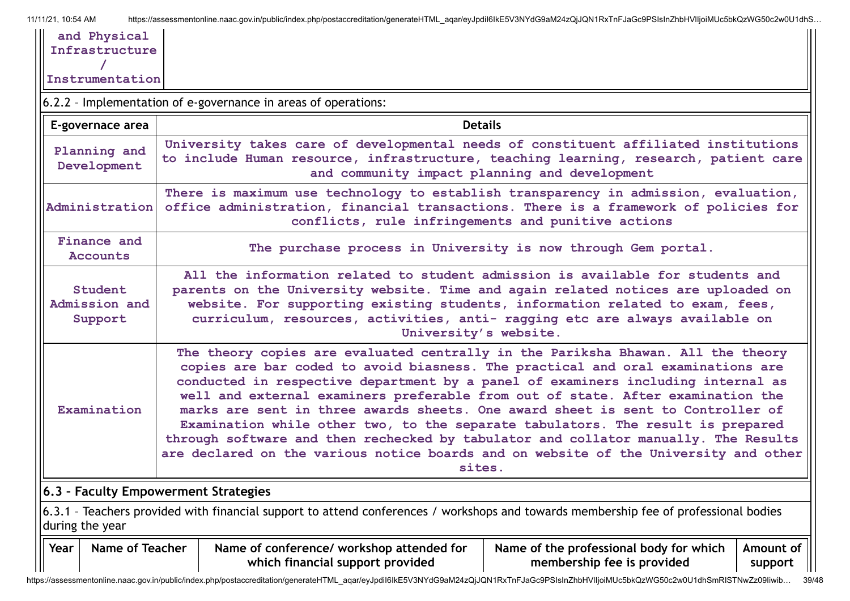| and Physical<br>Infrastructure       |                                                                                                                                                                                                                                                                                                                                                                                                                                                                                                                                                                                                                                                                                                           |                                                                                                                                                                                                                                                                                                                                                               |                                                    |  |  |  |  |
|--------------------------------------|-----------------------------------------------------------------------------------------------------------------------------------------------------------------------------------------------------------------------------------------------------------------------------------------------------------------------------------------------------------------------------------------------------------------------------------------------------------------------------------------------------------------------------------------------------------------------------------------------------------------------------------------------------------------------------------------------------------|---------------------------------------------------------------------------------------------------------------------------------------------------------------------------------------------------------------------------------------------------------------------------------------------------------------------------------------------------------------|----------------------------------------------------|--|--|--|--|
| Instrumentation                      |                                                                                                                                                                                                                                                                                                                                                                                                                                                                                                                                                                                                                                                                                                           |                                                                                                                                                                                                                                                                                                                                                               |                                                    |  |  |  |  |
|                                      |                                                                                                                                                                                                                                                                                                                                                                                                                                                                                                                                                                                                                                                                                                           | 6.2.2 - Implementation of e-governance in areas of operations:                                                                                                                                                                                                                                                                                                |                                                    |  |  |  |  |
| E-governace area                     |                                                                                                                                                                                                                                                                                                                                                                                                                                                                                                                                                                                                                                                                                                           |                                                                                                                                                                                                                                                                                                                                                               | <b>Details</b>                                     |  |  |  |  |
| Planning and<br>Development          |                                                                                                                                                                                                                                                                                                                                                                                                                                                                                                                                                                                                                                                                                                           | University takes care of developmental needs of constituent affiliated institutions<br>to include Human resource, infrastructure, teaching learning, research, patient care                                                                                                                                                                                   | and community impact planning and development      |  |  |  |  |
| Administration                       |                                                                                                                                                                                                                                                                                                                                                                                                                                                                                                                                                                                                                                                                                                           | There is maximum use technology to establish transparency in admission, evaluation,<br>office administration, financial transactions. There is a framework of policies for                                                                                                                                                                                    | conflicts, rule infringements and punitive actions |  |  |  |  |
| Finance and<br><b>Accounts</b>       |                                                                                                                                                                                                                                                                                                                                                                                                                                                                                                                                                                                                                                                                                                           | The purchase process in University is now through Gem portal.                                                                                                                                                                                                                                                                                                 |                                                    |  |  |  |  |
| Student<br>Admission and<br>Support  |                                                                                                                                                                                                                                                                                                                                                                                                                                                                                                                                                                                                                                                                                                           | All the information related to student admission is available for students and<br>parents on the University website. Time and again related notices are uploaded on<br>website. For supporting existing students, information related to exam, fees,<br>curriculum, resources, activities, anti- ragging etc are always available on<br>University's website. |                                                    |  |  |  |  |
| Examination                          | The theory copies are evaluated centrally in the Pariksha Bhawan. All the theory<br>copies are bar coded to avoid biasness. The practical and oral examinations are<br>conducted in respective department by a panel of examiners including internal as<br>well and external examiners preferable from out of state. After examination the<br>marks are sent in three awards sheets. One award sheet is sent to Controller of<br>Examination while other two, to the separate tabulators. The result is prepared<br>through software and then rechecked by tabulator and collator manually. The Results<br>are declared on the various notice boards and on website of the University and other<br>sites. |                                                                                                                                                                                                                                                                                                                                                               |                                                    |  |  |  |  |
| 6.3 - Faculty Empowerment Strategies |                                                                                                                                                                                                                                                                                                                                                                                                                                                                                                                                                                                                                                                                                                           |                                                                                                                                                                                                                                                                                                                                                               |                                                    |  |  |  |  |
| during the year                      | 6.3.1 - Teachers provided with financial support to attend conferences / workshops and towards membership fee of professional bodies                                                                                                                                                                                                                                                                                                                                                                                                                                                                                                                                                                      |                                                                                                                                                                                                                                                                                                                                                               |                                                    |  |  |  |  |
| Year                                 | Name of Teacher<br>Name of conference/ workshop attended for<br>Name of the professional body for which<br>Amount of<br>which financial support provided<br>membership fee is provided<br>support                                                                                                                                                                                                                                                                                                                                                                                                                                                                                                         |                                                                                                                                                                                                                                                                                                                                                               |                                                    |  |  |  |  |

https://assessmentonline.naac.gov.in/public/index.php/postaccreditation/generateHTML\_aqar/eyJpdiI6IkE5V3NYdG9aM24zQjJQN1RxTnFJaGc9PSIsInZhbHVlIjoiMUc5bkQzWG50c2w0U1dhSmRISTNwZz09Iiwib... 39/48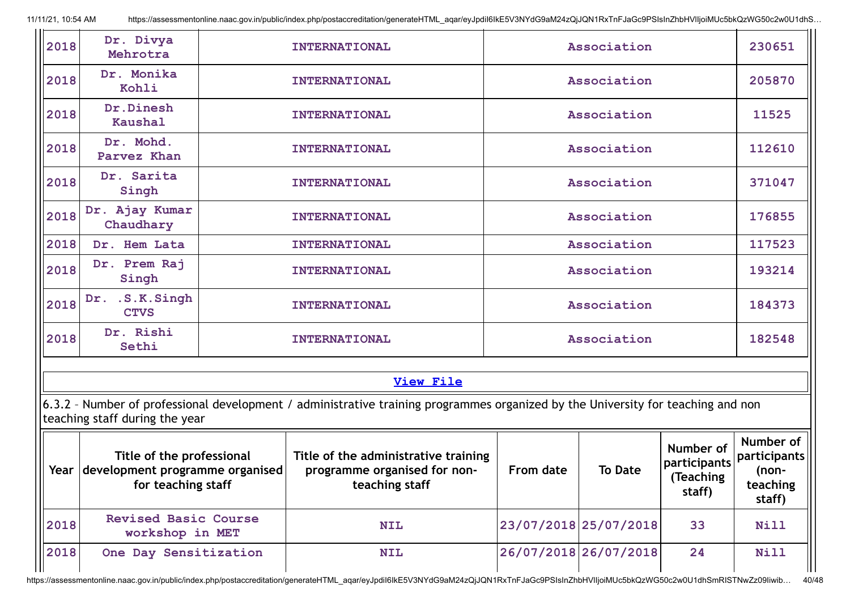| 2018        | Dr. Divya<br>Mehrotra                                                                   |                      | <b>INTERNATIONAL</b>                                                                                                             |             | Association           |                                                  | 230651                                                   |
|-------------|-----------------------------------------------------------------------------------------|----------------------|----------------------------------------------------------------------------------------------------------------------------------|-------------|-----------------------|--------------------------------------------------|----------------------------------------------------------|
| 2018        | Dr. Monika<br>Kohli                                                                     | <b>INTERNATIONAL</b> |                                                                                                                                  | Association |                       |                                                  | 205870                                                   |
| 2018        | Dr.Dinesh<br><b>Kaushal</b>                                                             |                      | <b>INTERNATIONAL</b>                                                                                                             |             | Association           |                                                  | 11525                                                    |
| 2018        | Dr. Mohd.<br>Parvez Khan                                                                |                      | <b>INTERNATIONAL</b>                                                                                                             |             | Association           |                                                  | 112610                                                   |
| 2018        | Dr. Sarita<br>Singh                                                                     |                      | <b>INTERNATIONAL</b>                                                                                                             |             | Association           |                                                  | 371047                                                   |
| 2018        | Dr. Ajay Kumar<br>Chaudhary                                                             |                      | <b>INTERNATIONAL</b>                                                                                                             |             | Association           |                                                  | 176855                                                   |
| 2018        | Dr. Hem Lata                                                                            |                      | <b>INTERNATIONAL</b>                                                                                                             |             | Association           |                                                  | 117523                                                   |
| 2018        | Dr. Prem Raj<br>Singh                                                                   |                      | <b>INTERNATIONAL</b>                                                                                                             |             | Association           |                                                  | 193214                                                   |
| 2018        | .S.K.Singh<br>Dr.<br><b>CTVS</b>                                                        |                      | <b>INTERNATIONAL</b>                                                                                                             | Association |                       |                                                  | 184373                                                   |
| 2018        | Dr. Rishi<br>Sethi                                                                      |                      | Association<br><b>INTERNATIONAL</b>                                                                                              |             |                       | 182548                                           |                                                          |
|             |                                                                                         |                      |                                                                                                                                  |             |                       |                                                  |                                                          |
|             |                                                                                         |                      | <b>View File</b>                                                                                                                 |             |                       |                                                  |                                                          |
|             | teaching staff during the year                                                          |                      | 6.3.2 - Number of professional development / administrative training programmes organized by the University for teaching and non |             |                       |                                                  |                                                          |
| $\parallel$ | Title of the professional<br>Year development programme organised<br>for teaching staff |                      | Title of the administrative training<br>programme organised for non-<br>teaching staff                                           | From date   | <b>To Date</b>        | Number of<br>participants<br>(Teaching<br>staff) | Number of<br>participants<br>(non-<br>teaching<br>staff) |
| 2018        | <b>Revised Basic Course</b><br>workshop in MET                                          |                      | <b>NIL</b>                                                                                                                       |             | 23/07/2018 25/07/2018 | 33                                               | Nill                                                     |
| 2018        | One Day Sensitization                                                                   |                      | <b>NIL</b>                                                                                                                       |             | 26/07/2018 26/07/2018 | 24                                               | Nill                                                     |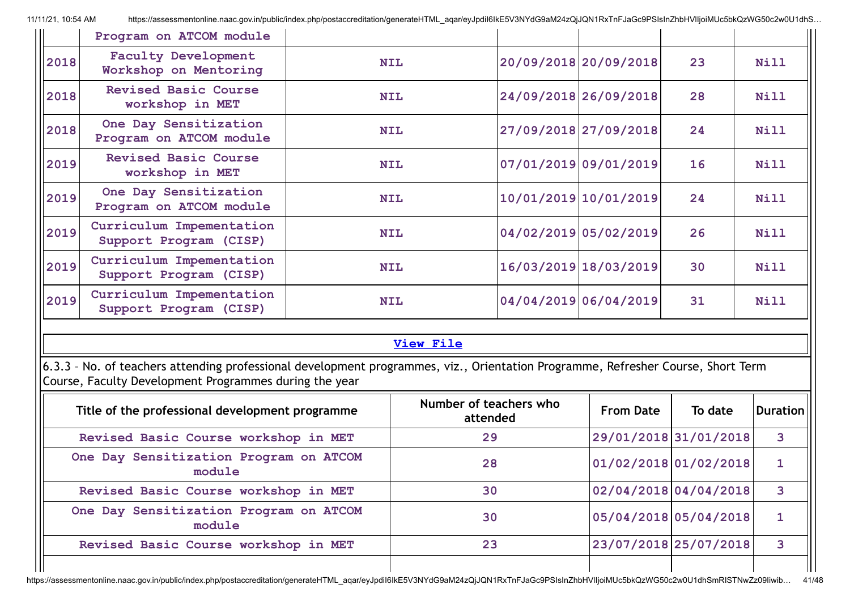|                                                  | Program on ATCOM module                                                                                                                                                                    |    |                                     |  |                       |                       |                 |
|--------------------------------------------------|--------------------------------------------------------------------------------------------------------------------------------------------------------------------------------------------|----|-------------------------------------|--|-----------------------|-----------------------|-----------------|
| 2018                                             | <b>Faculty Development</b><br>Workshop on Mentoring                                                                                                                                        |    | <b>NIL</b>                          |  | 20/09/2018 20/09/2018 | 23                    | Nill            |
| 2018                                             | <b>Revised Basic Course</b><br>workshop in MET                                                                                                                                             |    | <b>NIL</b>                          |  | 24/09/2018 26/09/2018 | 28                    | <b>Nill</b>     |
| 2018                                             | One Day Sensitization<br>Program on ATCOM module                                                                                                                                           |    | <b>NIL</b>                          |  | 27/09/2018 27/09/2018 | 24                    | Nill            |
| 2019                                             | <b>Revised Basic Course</b><br>workshop in MET                                                                                                                                             |    | <b>NIL</b>                          |  | 07/01/2019 09/01/2019 | 16                    | Nill            |
| 2019                                             | One Day Sensitization<br>Program on ATCOM module                                                                                                                                           |    | <b>NIL</b>                          |  | 10/01/2019 10/01/2019 | 24                    | <b>Nill</b>     |
| 2019                                             | Curriculum Impementation<br>Support Program (CISP)                                                                                                                                         |    | <b>NIL</b>                          |  | 04/02/2019 05/02/2019 | 26                    | <b>Nill</b>     |
| 2019                                             | Curriculum Impementation<br>Support Program (CISP)                                                                                                                                         |    | 16/03/2019 18/03/2019<br><b>NIL</b> |  |                       | 30                    | Nill            |
| 2019                                             | Curriculum Impementation<br>Support Program (CISP)                                                                                                                                         |    | <b>NIL</b>                          |  | 04/04/2019 06/04/2019 | 31                    | Nill            |
|                                                  |                                                                                                                                                                                            |    | <b>View File</b>                    |  |                       |                       |                 |
|                                                  | 6.3.3 - No. of teachers attending professional development programmes, viz., Orientation Programme, Refresher Course, Short Term<br>Course, Faculty Development Programmes during the year |    |                                     |  |                       |                       |                 |
|                                                  | Title of the professional development programme                                                                                                                                            |    | Number of teachers who<br>attended  |  | <b>From Date</b>      | To date               | <b>Duration</b> |
|                                                  | Revised Basic Course workshop in MET                                                                                                                                                       |    | 29                                  |  |                       | 29/01/2018 31/01/2018 | $\mathbf{3}$    |
|                                                  | One Day Sensitization Program on ATCOM<br>module                                                                                                                                           | 28 |                                     |  | 01/02/2018 01/02/2018 | $\mathbf{1}$          |                 |
|                                                  | Revised Basic Course workshop in MET                                                                                                                                                       | 30 |                                     |  | 02/04/2018 04/04/2018 | 3                     |                 |
| One Day Sensitization Program on ATCOM<br>module |                                                                                                                                                                                            |    | 30                                  |  |                       | 05/04/2018 05/04/2018 | $\mathbf{1}$    |
|                                                  | Revised Basic Course workshop in MET                                                                                                                                                       |    | 23                                  |  |                       | 23/07/2018 25/07/2018 | $\mathbf{3}$    |
|                                                  |                                                                                                                                                                                            |    |                                     |  |                       |                       |                 |

https://assessmentonline.naac.gov.in/public/index.php/postaccreditation/generateHTML\_aqar/eyJpdiI6IkE5V3NYdG9aM24zQjJQN1RxTnFJaGc9PSIsInZhbHVlIjoiMUc5bkQzWG50c2w0U1dhSmRISTNwZz09Iiwib... 41/48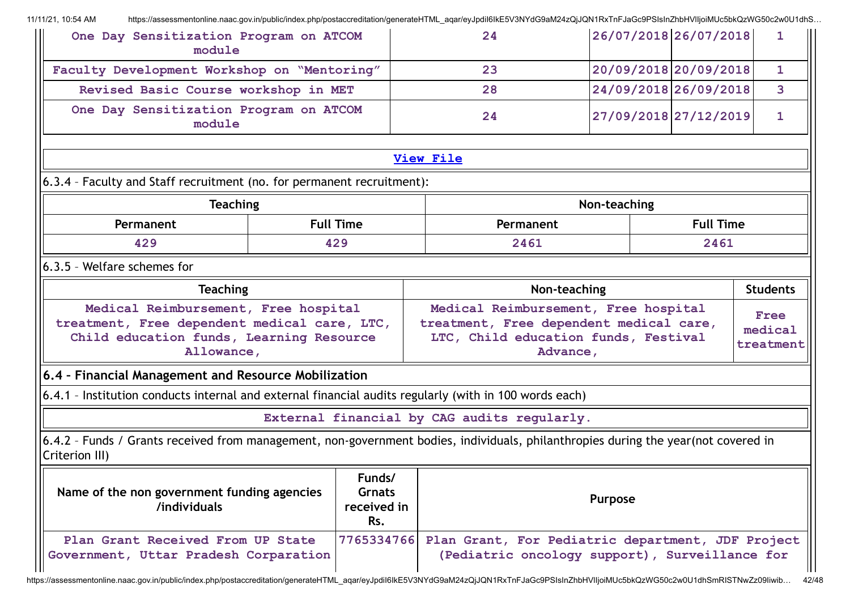**One Day Sensitization Program on ATCOM module 24 26/07/2018 26/07/2018 1 Faculty Development Workshop on "Mentoring" 23 20/09/2018 20/09/2018 1 Revised Basic Course workshop in MET 28 24/09/2018 26/09/2018 3 One Day Sensitization Program on ATCOM module 24 27/09/2018 27/12/2019 1 [View](https://assessmentonline.naac.gov.in/public/Postacc/Training_Programmes/6569_Training_Programmes_1633760570.xlsx) File** 6.3.4 – Faculty and Staff recruitment (no. for permanent recruitment): **Teaching Non-teaching Permanent Full Time Permanent Full Time 429 429 2461 2461** 6.3.5 – Welfare schemes for **Teaching Non-teaching Non-teaching Non-teaching I** Students **Medical Reimbursement, Free hospital treatment, Free dependent medical care, LTC, Child education funds, Learning Resource Allowance, Medical Reimbursement, Free hospital treatment, Free dependent medical care, LTC, Child education funds, Festival Advance, Free medical treatment 6.4 – Financial Management and Resource Mobilization** 6.4.1 – Institution conducts internal and external financial audits regularly (with in 100 words each) **External financial by CAG audits regularly.** 6.4.2 – Funds / Grants received from management, non-government bodies, individuals, philanthropies during the year(not covered in Criterion III) **Name of the non government funding agencies /individuals Funds/ Grnats received in Rs. Purpose Plan Grant Received From UP State Government, Uttar Pradesh Corparation 7765334766 Plan Grant, For Pediatric department, JDF Project (Pediatric oncology support), Surveillance for**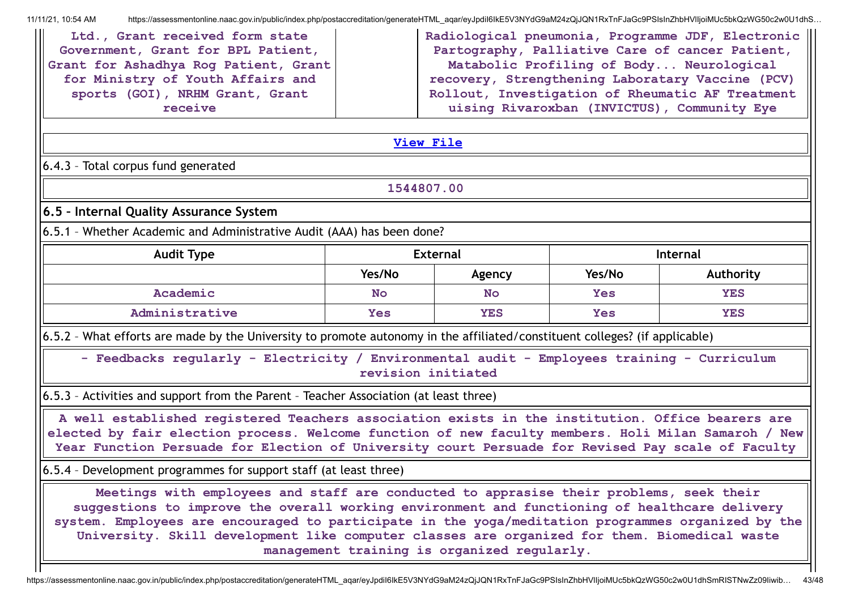| Radiological pneumonia, Programme JDF, Electronic   <br>Ltd., Grant received form state<br>Partography, Palliative Care of cancer Patient,<br>Government, Grant for BPL Patient,<br>Grant for Ashadhya Rog Patient, Grant<br>Matabolic Profiling of Body Neurological<br>for Ministry of Youth Affairs and<br>recovery, Strengthening Laboratary Vaccine (PCV)<br>sports (GOI), NRHM Grant, Grant<br>Rollout, Investigation of Rheumatic AF Treatment<br>uising Rivaroxban (INVICTUS), Community Eye<br>receive |                    |                                             |            |            |  |  |  |
|-----------------------------------------------------------------------------------------------------------------------------------------------------------------------------------------------------------------------------------------------------------------------------------------------------------------------------------------------------------------------------------------------------------------------------------------------------------------------------------------------------------------|--------------------|---------------------------------------------|------------|------------|--|--|--|
|                                                                                                                                                                                                                                                                                                                                                                                                                                                                                                                 | <b>View File</b>   |                                             |            |            |  |  |  |
| 6.4.3 - Total corpus fund generated                                                                                                                                                                                                                                                                                                                                                                                                                                                                             |                    |                                             |            |            |  |  |  |
|                                                                                                                                                                                                                                                                                                                                                                                                                                                                                                                 | 1544807.00         |                                             |            |            |  |  |  |
| 6.5 - Internal Quality Assurance System                                                                                                                                                                                                                                                                                                                                                                                                                                                                         |                    |                                             |            |            |  |  |  |
| 6.5.1 - Whether Academic and Administrative Audit (AAA) has been done?                                                                                                                                                                                                                                                                                                                                                                                                                                          |                    |                                             |            |            |  |  |  |
| <b>Audit Type</b>                                                                                                                                                                                                                                                                                                                                                                                                                                                                                               |                    | <b>External</b>                             |            | Internal   |  |  |  |
|                                                                                                                                                                                                                                                                                                                                                                                                                                                                                                                 | Yes/No             | Agency                                      | Yes/No     | Authority  |  |  |  |
| Academic                                                                                                                                                                                                                                                                                                                                                                                                                                                                                                        | <b>No</b>          | <b>No</b>                                   | <b>Yes</b> | <b>YES</b> |  |  |  |
| Administrative                                                                                                                                                                                                                                                                                                                                                                                                                                                                                                  | <b>Yes</b>         | <b>YES</b>                                  | <b>Yes</b> | <b>YES</b> |  |  |  |
| 6.5.2 - What efforts are made by the University to promote autonomy in the affiliated/constituent colleges? (if applicable)                                                                                                                                                                                                                                                                                                                                                                                     |                    |                                             |            |            |  |  |  |
| - Feedbacks regularly - Electricity / Environmental audit - Employees training - Curriculum                                                                                                                                                                                                                                                                                                                                                                                                                     | revision initiated |                                             |            |            |  |  |  |
| 6.5.3 - Activities and support from the Parent - Teacher Association (at least three)                                                                                                                                                                                                                                                                                                                                                                                                                           |                    |                                             |            |            |  |  |  |
| A well established registered Teachers association exists in the institution. Office bearers are<br>elected by fair election process. Welcome function of new faculty members. Holi Milan Samaroh / New<br>Year Function Persuade for Election of University court Persuade for Revised Pay scale of Faculty                                                                                                                                                                                                    |                    |                                             |            |            |  |  |  |
| 6.5.4 - Development programmes for support staff (at least three)                                                                                                                                                                                                                                                                                                                                                                                                                                               |                    |                                             |            |            |  |  |  |
| Meetings with employees and staff are conducted to apprasise their problems, seek their<br>suggestions to improve the overall working environment and functioning of healthcare delivery<br>system. Employees are encouraged to participate in the yoga/meditation programmes organized by the<br>University. Skill development like computer classes are organized for them. Biomedical waste                                                                                                                  |                    | management training is organized regularly. |            |            |  |  |  |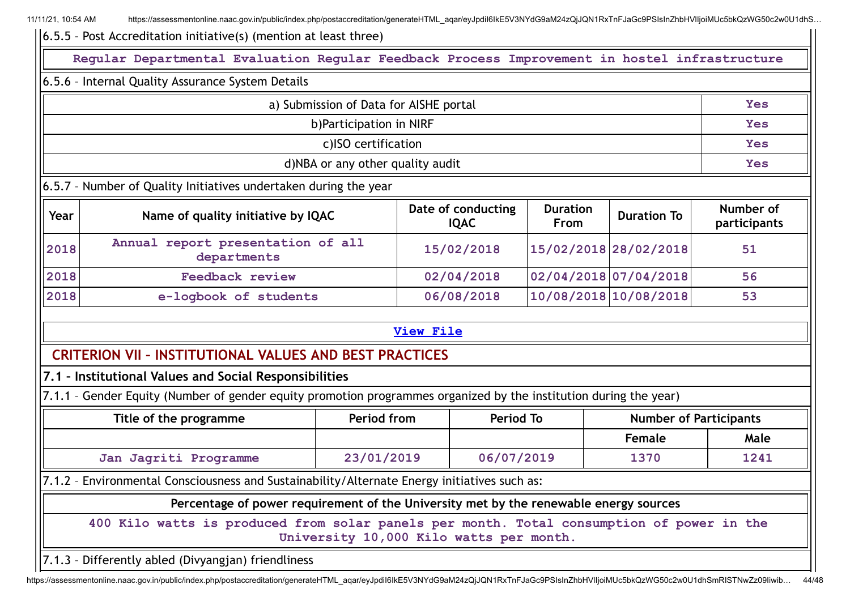| $\vert$ 6.5.5 - Post Accreditation initiative(s) (mention at least three)                                                                                     |                                                                                                                                      |                  |                  |                       |                               |            |  |  |  |
|---------------------------------------------------------------------------------------------------------------------------------------------------------------|--------------------------------------------------------------------------------------------------------------------------------------|------------------|------------------|-----------------------|-------------------------------|------------|--|--|--|
|                                                                                                                                                               | Regular Departmental Evaluation Regular Feedback Process Improvement in hostel infrastructure                                        |                  |                  |                       |                               |            |  |  |  |
| 6.5.6 - Internal Quality Assurance System Details                                                                                                             |                                                                                                                                      |                  |                  |                       |                               |            |  |  |  |
|                                                                                                                                                               | a) Submission of Data for AISHE portal                                                                                               |                  |                  |                       |                               | <b>Yes</b> |  |  |  |
|                                                                                                                                                               | b)Participation in NIRF                                                                                                              |                  |                  |                       |                               | <b>Yes</b> |  |  |  |
|                                                                                                                                                               | c)ISO certification                                                                                                                  |                  |                  |                       |                               | <b>Yes</b> |  |  |  |
|                                                                                                                                                               | d)NBA or any other quality audit                                                                                                     |                  |                  |                       |                               | Yes        |  |  |  |
| 6.5.7 - Number of Quality Initiatives undertaken during the year                                                                                              |                                                                                                                                      |                  |                  |                       |                               |            |  |  |  |
| Date of conducting<br>Number of<br><b>Duration</b><br>Name of quality initiative by IQAC<br><b>Duration To</b><br>Year<br><b>IQAC</b><br>From<br>participants |                                                                                                                                      |                  |                  |                       |                               |            |  |  |  |
| 2018                                                                                                                                                          | Annual report presentation of all<br>departments                                                                                     |                  | 15/02/2018       | 15/02/2018 28/02/2018 |                               | 51         |  |  |  |
| 2018                                                                                                                                                          | <b>Feedback review</b>                                                                                                               |                  | 02/04/2018       |                       | 02/04/2018 07/04/2018         | 56         |  |  |  |
| 2018                                                                                                                                                          | e-logbook of students                                                                                                                |                  | 06/08/2018       |                       | 10/08/2018 10/08/2018         | 53         |  |  |  |
|                                                                                                                                                               |                                                                                                                                      | <b>View File</b> |                  |                       |                               |            |  |  |  |
| <b>CRITERION VII - INSTITUTIONAL VALUES AND BEST PRACTICES</b>                                                                                                |                                                                                                                                      |                  |                  |                       |                               |            |  |  |  |
| 7.1 - Institutional Values and Social Responsibilities                                                                                                        |                                                                                                                                      |                  |                  |                       |                               |            |  |  |  |
| 7.1.1 - Gender Equity (Number of gender equity promotion programmes organized by the institution during the year)                                             |                                                                                                                                      |                  |                  |                       |                               |            |  |  |  |
| Title of the programme                                                                                                                                        | Period from                                                                                                                          |                  | <b>Period To</b> |                       | <b>Number of Participants</b> |            |  |  |  |
|                                                                                                                                                               |                                                                                                                                      |                  |                  |                       | Female                        | Male       |  |  |  |
| Jan Jagriti Programme                                                                                                                                         | 23/01/2019                                                                                                                           |                  | 06/07/2019       |                       | 1370                          | 1241       |  |  |  |
| 7.1.2 - Environmental Consciousness and Sustainability/Alternate Energy initiatives such as:                                                                  |                                                                                                                                      |                  |                  |                       |                               |            |  |  |  |
|                                                                                                                                                               | Percentage of power requirement of the University met by the renewable energy sources                                                |                  |                  |                       |                               |            |  |  |  |
|                                                                                                                                                               | 400 Kilo watts is produced from solar panels per month. Total consumption of power in the<br>University 10,000 Kilo watts per month. |                  |                  |                       |                               |            |  |  |  |
| 7.1.3 - Differently abled (Divyangjan) friendliness                                                                                                           |                                                                                                                                      |                  |                  |                       |                               |            |  |  |  |

https://assessmentonline.naac.gov.in/public/index.php/postaccreditation/generateHTML\_aqar/eyJpdiI6IkE5V3NYdG9aM24zQjJQN1RxTnFJaGc9PSIsInZhbHVlIjoiMUc5bkQzWG50c2w0U1dhSmRISTNwZz09Iiwib... 44/48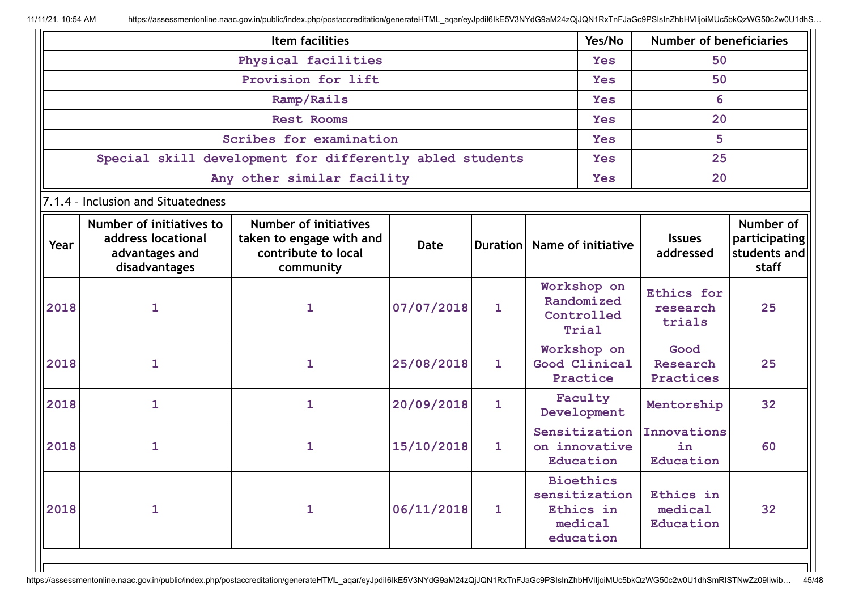|                            |                                                                                   | Item facilities                                                                              |            |                 |                  | Yes/No                                                                 | <b>Number of beneficiaries</b>    |                                                     |  |
|----------------------------|-----------------------------------------------------------------------------------|----------------------------------------------------------------------------------------------|------------|-----------------|------------------|------------------------------------------------------------------------|-----------------------------------|-----------------------------------------------------|--|
| Physical facilities        |                                                                                   |                                                                                              |            |                 | 50<br><b>Yes</b> |                                                                        |                                   |                                                     |  |
|                            | Provision for lift                                                                |                                                                                              |            |                 |                  | <b>Yes</b>                                                             | 50                                |                                                     |  |
|                            | Ramp/Rails                                                                        |                                                                                              |            |                 |                  |                                                                        | 6                                 |                                                     |  |
|                            | <b>Rest Rooms</b>                                                                 |                                                                                              |            |                 |                  | <b>Yes</b>                                                             | 20                                |                                                     |  |
|                            | Scribes for examination                                                           |                                                                                              |            |                 |                  | <b>Yes</b>                                                             | 5                                 |                                                     |  |
|                            | Special skill development for differently abled students                          |                                                                                              |            |                 |                  | <b>Yes</b>                                                             | 25                                |                                                     |  |
| Any other similar facility |                                                                                   |                                                                                              |            |                 |                  | <b>Yes</b>                                                             | 20                                |                                                     |  |
|                            | 7.1.4 - Inclusion and Situatedness                                                |                                                                                              |            |                 |                  |                                                                        |                                   |                                                     |  |
| Year                       | Number of initiatives to<br>address locational<br>advantages and<br>disadvantages | <b>Number of initiatives</b><br>taken to engage with and<br>contribute to local<br>community | Date       | <b>Duration</b> |                  | Name of initiative                                                     | <b>Issues</b><br>addressed        | Number of<br>participating<br>students and<br>staff |  |
| 2018                       | $\mathbf{1}$                                                                      | $\mathbf{1}$                                                                                 | 07/07/2018 | 1               |                  | Workshop on<br>Randomized<br>Controlled<br>Trial                       | Ethics for<br>research<br>trials  | 25                                                  |  |
| 2018                       | $\mathbf{1}$                                                                      | $\mathbf{1}$                                                                                 | 25/08/2018 | $\mathbf{1}$    |                  | Workshop on<br>Good Clinical<br>Practice                               | Good<br>Research<br>Practices     | 25                                                  |  |
| 2018                       | $\mathbf{1}$                                                                      | $\mathbf{1}$                                                                                 | 20/09/2018 | $\mathbf{1}$    |                  | Faculty<br>Development                                                 | Mentorship                        | 32                                                  |  |
| 2018                       | $\mathbf{1}$                                                                      | $\mathbf 1$                                                                                  | 15/10/2018 | $\mathbf{1}$    |                  | Sensitization<br>on innovative<br>Education                            | Innovations<br>in<br>Education    | 60                                                  |  |
| 2018                       | 1                                                                                 | 1                                                                                            | 06/11/2018 | $\mathbf{1}$    |                  | <b>Bioethics</b><br>sensitization<br>Ethics in<br>medical<br>education | Ethics in<br>medical<br>Education | 32                                                  |  |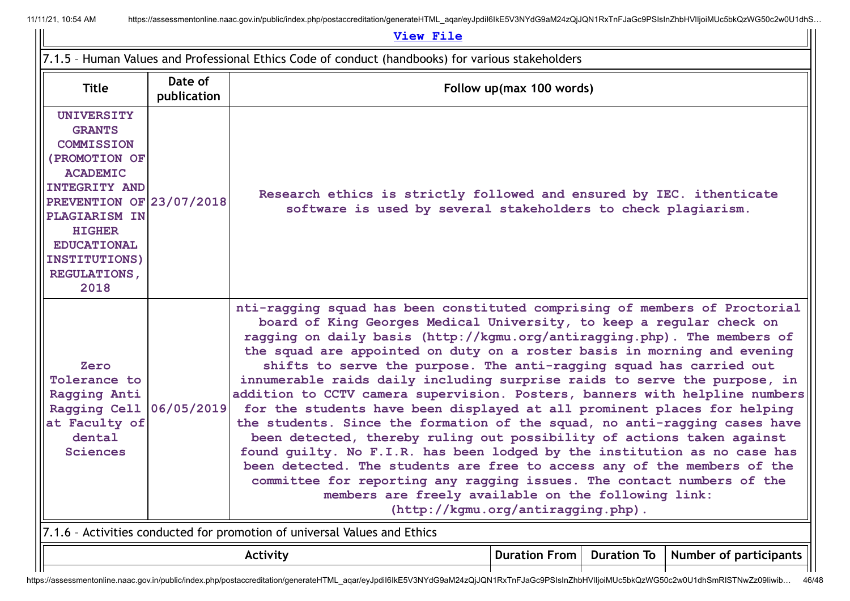| View File                                                                                                                                                                                                                                                      |                                                                                                |                                                                                                                                                                                                                                                                                                                                                                                                                                                                                                                                                                                                                                                                                                                                                                                                                                                                                                                                                                                                                                                                                                                   |  |                                                                                                                                       |  |  |  |
|----------------------------------------------------------------------------------------------------------------------------------------------------------------------------------------------------------------------------------------------------------------|------------------------------------------------------------------------------------------------|-------------------------------------------------------------------------------------------------------------------------------------------------------------------------------------------------------------------------------------------------------------------------------------------------------------------------------------------------------------------------------------------------------------------------------------------------------------------------------------------------------------------------------------------------------------------------------------------------------------------------------------------------------------------------------------------------------------------------------------------------------------------------------------------------------------------------------------------------------------------------------------------------------------------------------------------------------------------------------------------------------------------------------------------------------------------------------------------------------------------|--|---------------------------------------------------------------------------------------------------------------------------------------|--|--|--|
| 7.1.5 - Human Values and Professional Ethics Code of conduct (handbooks) for various stakeholders                                                                                                                                                              |                                                                                                |                                                                                                                                                                                                                                                                                                                                                                                                                                                                                                                                                                                                                                                                                                                                                                                                                                                                                                                                                                                                                                                                                                                   |  |                                                                                                                                       |  |  |  |
| <b>Title</b>                                                                                                                                                                                                                                                   |                                                                                                | Follow up(max 100 words)                                                                                                                                                                                                                                                                                                                                                                                                                                                                                                                                                                                                                                                                                                                                                                                                                                                                                                                                                                                                                                                                                          |  |                                                                                                                                       |  |  |  |
| <b>UNIVERSITY</b><br><b>GRANTS</b><br><b>COMMISSION</b><br>(PROMOTION OF<br><b>ACADEMIC</b><br><b>INTEGRITY AND</b><br>PREVENTION OF 23/07/2018<br><b>PLAGIARISM IN</b><br><b>HIGHER</b><br><b>EDUCATIONAL</b><br>INSTITUTIONS)<br><b>REGULATIONS,</b><br>2018 |                                                                                                |                                                                                                                                                                                                                                                                                                                                                                                                                                                                                                                                                                                                                                                                                                                                                                                                                                                                                                                                                                                                                                                                                                                   |  | Research ethics is strictly followed and ensured by IEC. ithenticate<br>software is used by several stakeholders to check plagiarism. |  |  |  |
| Zero<br>Tolerance to<br>Ragging Anti<br>Ragging Cell<br>at Faculty of<br>dental<br><b>Sciences</b>                                                                                                                                                             | 06/05/2019                                                                                     | nti-ragging squad has been constituted comprising of members of Proctorial<br>board of King Georges Medical University, to keep a regular check on<br>ragging on daily basis (http://kgmu.org/antiragging.php). The members of<br>the squad are appointed on duty on a roster basis in morning and evening<br>shifts to serve the purpose. The anti-ragging squad has carried out<br>innumerable raids daily including surprise raids to serve the purpose, in<br>addition to CCTV camera supervision. Posters, banners with helpline numbers<br>for the students have been displayed at all prominent places for helping<br>the students. Since the formation of the squad, no anti-ragging cases have<br>been detected, thereby ruling out possibility of actions taken against<br>found guilty. No F.I.R. has been lodged by the institution as no case has<br>been detected. The students are free to access any of the members of the<br>committee for reporting any ragging issues. The contact numbers of the<br>members are freely available on the following link:<br>(http://kgmu.org/antiragging.php). |  |                                                                                                                                       |  |  |  |
| 7.1.6 - Activities conducted for promotion of universal Values and Ethics                                                                                                                                                                                      |                                                                                                |                                                                                                                                                                                                                                                                                                                                                                                                                                                                                                                                                                                                                                                                                                                                                                                                                                                                                                                                                                                                                                                                                                                   |  |                                                                                                                                       |  |  |  |
|                                                                                                                                                                                                                                                                | <b>Number of participants</b><br><b>Duration From</b><br><b>Duration To</b><br><b>Activity</b> |                                                                                                                                                                                                                                                                                                                                                                                                                                                                                                                                                                                                                                                                                                                                                                                                                                                                                                                                                                                                                                                                                                                   |  |                                                                                                                                       |  |  |  |
|                                                                                                                                                                                                                                                                |                                                                                                |                                                                                                                                                                                                                                                                                                                                                                                                                                                                                                                                                                                                                                                                                                                                                                                                                                                                                                                                                                                                                                                                                                                   |  |                                                                                                                                       |  |  |  |

https://assessmentonline.naac.gov.in/public/index.php/postaccreditation/generateHTML\_aqar/eyJpdiI6IkE5V3NYdG9aM24zQjJQN1RxTnFJaGc9PSIsInZhbHVlIjoiMUc5bkQzWG50c2w0U1dhSmRISTNwZz09Iiwib... 46/48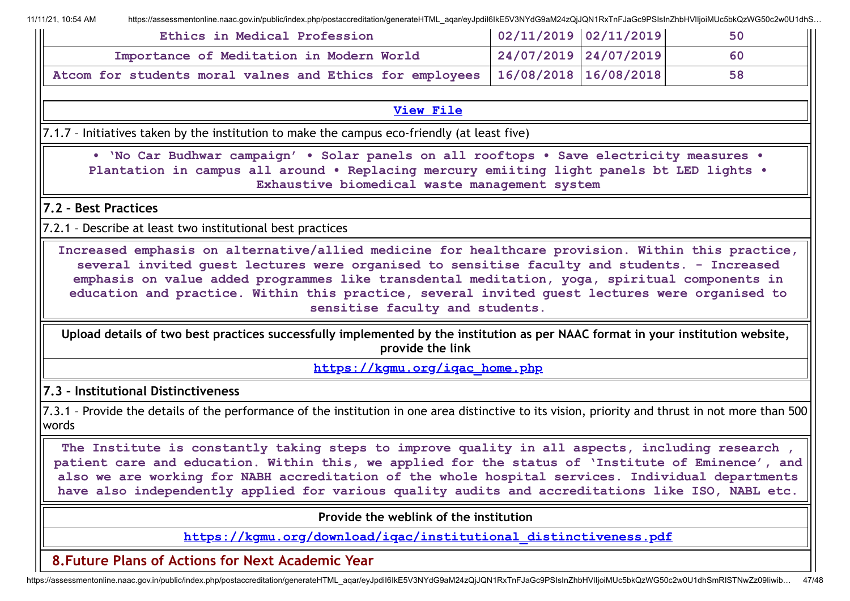| Ethics in Medical Profession                                                       | $\mid 02/11/2019 \mid 02/11/2019 \mid$ | 50 |
|------------------------------------------------------------------------------------|----------------------------------------|----|
| Importance of Meditation in Modern World                                           | 24/07/2019 24/07/2019                  | 60 |
| Atcom for students moral valnes and Ethics for employees   16/08/2018   16/08/2018 |                                        | 58 |

#### **[View](https://assessmentonline.naac.gov.in/public/Postacc/promotion_activities/6569_promotion_activities_1611303283.xlsx) File**

7.1.7 – Initiatives taken by the institution to make the campus eco-friendly (at least five)

**• 'No Car Budhwar campaign' • Solar panels on all rooftops • Save electricity measures • Plantation in campus all around • Replacing mercury emiiting light panels bt LED lights • Exhaustive biomedical waste management system**

**7.2 – Best Practices**

7.2.1 – Describe at least two institutional best practices

**Increased emphasis on alternative/allied medicine for healthcare provision. Within this practice, several invited guest lectures were organised to sensitise faculty and students. - Increased emphasis on value added programmes like transdental meditation, yoga, spiritual components in education and practice. Within this practice, several invited guest lectures were organised to sensitise faculty and students.**

**Upload details of two best practices successfully implemented by the institution as per NAAC format in your institution website, provide the link**

**[https://kgmu.org/iqac\\_home.php](https://kgmu.org/iqac_home.php)**

**7.3 – Institutional Distinctiveness**

7.3.1 – Provide the details of the performance of the institution in one area distinctive to its vision, priority and thrust in not more than 500 words

**The Institute is constantly taking steps to improve quality in all aspects, including research , patient care and education. Within this, we applied for the status of 'Institute of Eminence', and also we are working for NABH accreditation of the whole hospital services. Individual departments have also independently applied for various quality audits and accreditations like ISO, NABL etc.**

**Provide the weblink of the institution**

**[https://kgmu.org/download/iqac/institutional\\_distinctiveness.pdf](https://kgmu.org/download/iqac/institutional_distinctiveness.pdf)**

**8.Future Plans of Actions for Next Academic Year**

https://assessmentonline.naac.gov.in/public/index.php/postaccreditation/generateHTML\_aqar/eyJpdiI6IkE5V3NYdG9aM24zQjJQN1RxTnFJaGc9PSIsInZhbHVIIjoiMUc5bkQzWG50c2w0U1dhSmRISTNwZz09Iiwib... 47/48